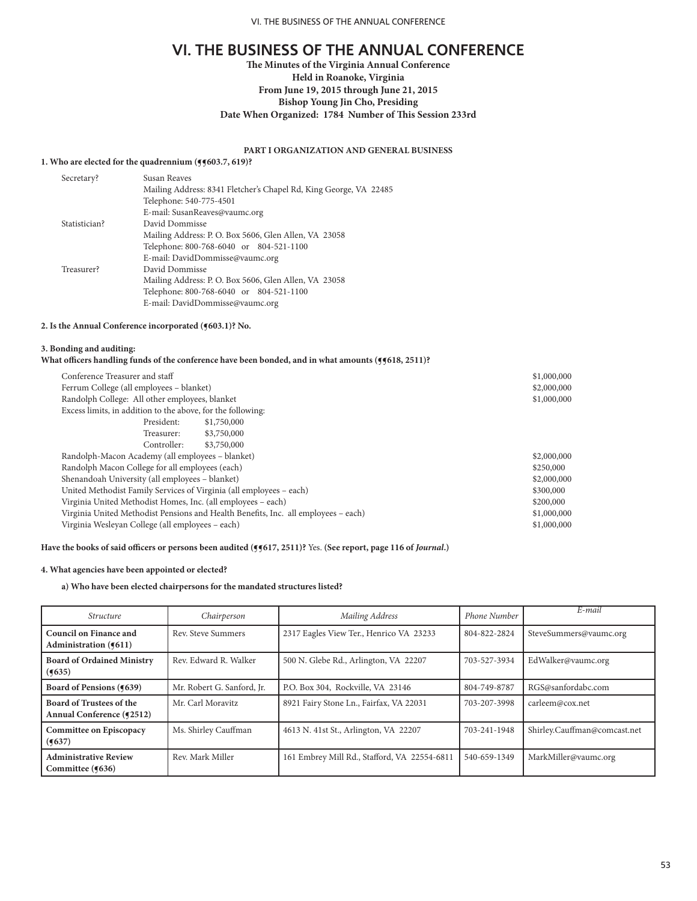# **The Minutes of the Virginia Annual Conference Held in Roanoke, Virginia From June 19, 2015 through June 21, 2015 Bishop Young Jin Cho, Presiding Date When Organized: 1784 Number of This Session 233rd**

# **PART I ORGANIZATION AND GENERAL BUSINESS**

### **1. Who are elected for the quadrennium (¶¶603.7, 619)?**

| Susan Reaves                                                      |
|-------------------------------------------------------------------|
| Mailing Address: 8341 Fletcher's Chapel Rd, King George, VA 22485 |
| Telephone: 540-775-4501                                           |
| E-mail: SusanReaves@vaumc.org                                     |
| David Dommisse                                                    |
| Mailing Address: P. O. Box 5606, Glen Allen, VA 23058             |
| Telephone: 800-768-6040 or 804-521-1100                           |
| E-mail: DavidDommisse@vaumc.org                                   |
| David Dommisse                                                    |
| Mailing Address: P. O. Box 5606, Glen Allen, VA 23058             |
| Telephone: 800-768-6040 or 804-521-1100                           |
| E-mail: DavidDommisse@vaumc.org                                   |
|                                                                   |

# **2. Is the Annual Conference incorporated (¶603.1)? No.**

### **3. Bonding and auditing:**

#### What officers handling funds of the conference have been bonded, and in what amounts ( $\frac{1}{9}\$ 618, 2511)?

|                                                                                    | \$1,000,000 |  |  |  |
|------------------------------------------------------------------------------------|-------------|--|--|--|
| Ferrum College (all employees - blanket)                                           |             |  |  |  |
| Randolph College: All other employees, blanket                                     | \$1,000,000 |  |  |  |
| Excess limits, in addition to the above, for the following:                        |             |  |  |  |
| \$1,750,000                                                                        |             |  |  |  |
| \$3,750,000                                                                        |             |  |  |  |
| \$3,750,000                                                                        |             |  |  |  |
| Randolph-Macon Academy (all employees – blanket)                                   |             |  |  |  |
| Randolph Macon College for all employees (each)                                    | \$250,000   |  |  |  |
| Shenandoah University (all employees - blanket)                                    | \$2,000,000 |  |  |  |
| United Methodist Family Services of Virginia (all employees - each)                | \$300,000   |  |  |  |
| Virginia United Methodist Homes, Inc. (all employees – each)                       | \$200,000   |  |  |  |
| Virginia United Methodist Pensions and Health Benefits, Inc. all employees - each) | \$1,000,000 |  |  |  |
| Virginia Wesleyan College (all employees – each)                                   | \$1,000,000 |  |  |  |
|                                                                                    |             |  |  |  |

# **Have the books of said officers or persons been audited (¶¶617, 2511)?** Yes. **(See report, page 116 of** *Journal***.)**

### **4. What agencies have been appointed or elected?**

# **a) Who have been elected chairpersons for the mandated structures listed?**

| <i><u><b>Structure</b></u></i>                               | Chairperson                | Mailing Address                              | <b>Phone Number</b> | $E$ -mail                    |
|--------------------------------------------------------------|----------------------------|----------------------------------------------|---------------------|------------------------------|
| Council on Finance and<br>Administration (¶611)              | Rev. Steve Summers         | 2317 Eagles View Ter., Henrico VA 23233      | 804-822-2824        | SteveSummers@vaumc.org       |
| <b>Board of Ordained Ministry</b><br>(9635)                  | Rev. Edward R. Walker      | 500 N. Glebe Rd., Arlington, VA 22207        | 703-527-3934        | EdWalker@vaumc.org           |
| Board of Pensions (¶639)                                     | Mr. Robert G. Sanford, Jr. | P.O. Box 304, Rockville, VA 23146            | 804-749-8787        | RGS@sanfordabc.com           |
| <b>Board of Trustees of the</b><br>Annual Conference (¶2512) | Mr. Carl Moravitz          | 8921 Fairy Stone Ln., Fairfax, VA 22031      | 703-207-3998        | carleem@cox.net              |
| Committee on Episcopacy<br>(9637)                            | Ms. Shirley Cauffman       | 4613 N. 41st St., Arlington, VA 22207        | 703-241-1948        | Shirley.Cauffman@comcast.net |
| <b>Administrative Review</b><br>Committee (¶636)             | Rev. Mark Miller           | 161 Embrey Mill Rd., Stafford, VA 22554-6811 | 540-659-1349        | MarkMiller@vaumc.org         |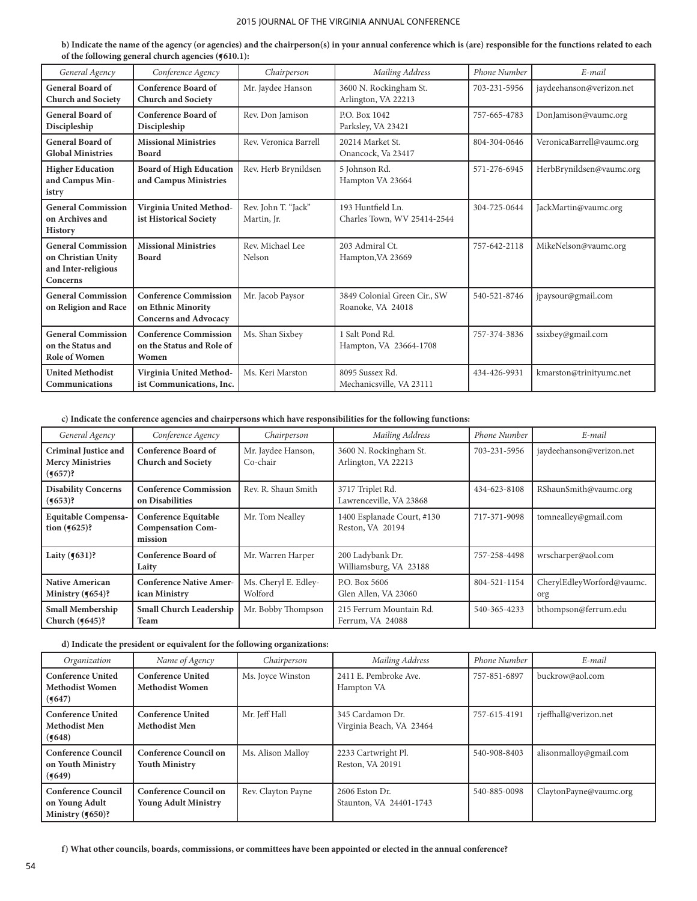**b) Indicate the name of the agency (or agencies) and the chairperson(s) in your annual conference which is (are) responsible for the functions related to each of the following general church agencies (¶610.1):**

| General Agency                                                                     | Conference Agency                                                                  | Chairperson                        | Mailing Address                                   | Phone Number | $E$ -mail                 |
|------------------------------------------------------------------------------------|------------------------------------------------------------------------------------|------------------------------------|---------------------------------------------------|--------------|---------------------------|
| <b>General Board of</b><br><b>Church and Society</b>                               | <b>Conference Board of</b><br><b>Church and Society</b>                            | Mr. Jaydee Hanson                  | 3600 N. Rockingham St.<br>Arlington, VA 22213     | 703-231-5956 | jaydeehanson@verizon.net  |
| <b>General Board of</b><br>Discipleship                                            | <b>Conference Board of</b><br>Discipleship                                         | Rev. Don Jamison                   | P.O. Box 1042<br>Parksley, VA 23421               | 757-665-4783 | DonJamison@vaumc.org      |
| <b>General Board of</b><br><b>Global Ministries</b>                                | <b>Missional Ministries</b><br><b>Board</b>                                        | Rev. Veronica Barrell              | 20214 Market St.<br>Onancock, Va 23417            | 804-304-0646 | VeronicaBarrell@vaumc.org |
| <b>Higher Education</b><br>and Campus Min-<br>istry                                | <b>Board of High Education</b><br>and Campus Ministries                            | Rev. Herb Brynildsen               | 5 Johnson Rd.<br>Hampton VA 23664                 | 571-276-6945 | HerbBrynildsen@vaumc.org  |
| <b>General Commission</b><br>on Archives and<br><b>History</b>                     | Virginia United Method-<br>ist Historical Society                                  | Rev. John T. "Jack"<br>Martin, Jr. | 193 Huntfield Ln.<br>Charles Town, WV 25414-2544  | 304-725-0644 | JackMartin@vaumc.org      |
| <b>General Commission</b><br>on Christian Unity<br>and Inter-religious<br>Concerns | <b>Missional Ministries</b><br><b>Board</b>                                        | Rev. Michael Lee<br>Nelson         | 203 Admiral Ct.<br>Hampton, VA 23669              | 757-642-2118 | MikeNelson@vaumc.org      |
| <b>General Commission</b><br>on Religion and Race                                  | <b>Conference Commission</b><br>on Ethnic Minority<br><b>Concerns and Advocacy</b> | Mr. Jacob Paysor                   | 3849 Colonial Green Cir., SW<br>Roanoke, VA 24018 | 540-521-8746 | jpaysour@gmail.com        |
| <b>General Commission</b><br>on the Status and<br><b>Role of Women</b>             | <b>Conference Commission</b><br>on the Status and Role of<br>Women                 | Ms. Shan Sixbey                    | 1 Salt Pond Rd.<br>Hampton, VA 23664-1708         | 757-374-3836 | ssixbey@gmail.com         |
| <b>United Methodist</b><br>Communications                                          | Virginia United Method-<br>ist Communications, Inc.                                | Ms. Keri Marston                   | 8095 Sussex Rd.<br>Mechanicsville, VA 23111       | 434-426-9931 | kmarston@trinityumc.net   |

# **c) Indicate the conference agencies and chairpersons which have responsibilities for the following functions:**

| General Agency                                                                              | Conference Agency                                                  | Chairperson                     | Mailing Address                                | Phone Number | E-mail                           |
|---------------------------------------------------------------------------------------------|--------------------------------------------------------------------|---------------------------------|------------------------------------------------|--------------|----------------------------------|
| <b>Criminal Justice and</b><br><b>Mercy Ministries</b><br>$(9657)$ ?                        | <b>Conference Board of</b><br><b>Church and Society</b>            | Mr. Jaydee Hanson,<br>Co-chair  | 3600 N. Rockingham St.<br>Arlington, VA 22213  | 703-231-5956 | jaydeehanson@verizon.net         |
| <b>Conference Commission</b><br><b>Disability Concerns</b><br>$(9653)$ ?<br>on Disabilities |                                                                    | Rev. R. Shaun Smith             | 3717 Triplet Rd.<br>Lawrenceville, VA 23868    | 434-623-8108 | RShaunSmith@vaumc.org            |
| <b>Equitable Compensa-</b><br>tion $(9625)$ ?                                               | <b>Conference Equitable</b><br><b>Compensation Com-</b><br>mission | Mr. Tom Nealley                 | 1400 Esplanade Court, #130<br>Reston, VA 20194 | 717-371-9098 | tomnealley@gmail.com             |
| Laity $(9631)$ ?                                                                            | <b>Conference Board of</b><br>Laity                                | Mr. Warren Harper               | 200 Ladybank Dr.<br>Williamsburg, VA 23188     | 757-258-4498 | wrscharper@aol.com               |
| <b>Native American</b><br>Ministry $(9654)$ ?                                               | <b>Conference Native Amer-</b><br>ican Ministry                    | Ms. Cheryl E. Edley-<br>Wolford | P.O. Box 5606<br>Glen Allen, VA 23060          | 804-521-1154 | CherylEdleyWorford@vaumc.<br>org |
| <b>Small Membership</b><br>Church $(9645)$ ?                                                | <b>Small Church Leadership</b><br>Team                             | Mr. Bobby Thompson              | 215 Ferrum Mountain Rd.<br>Ferrum, VA 24088    | 540-365-4233 | bthompson@ferrum.edu             |

# **d) Indicate the president or equivalent for the following organizations:**

| Organization                                                       | Name of Agency                                       | Chairperson        | Mailing Address                              | <b>Phone Number</b> | $E$ -mail              |
|--------------------------------------------------------------------|------------------------------------------------------|--------------------|----------------------------------------------|---------------------|------------------------|
| <b>Conference United</b><br><b>Methodist Women</b><br>(9647)       | <b>Conference United</b><br><b>Methodist Women</b>   | Ms. Joyce Winston  | 2411 E. Pembroke Ave.<br>Hampton VA          | 757-851-6897        | buckrow@aol.com        |
| <b>Conference United</b><br><b>Methodist Men</b><br>(9648)         | <b>Conference United</b><br><b>Methodist Men</b>     | Mr. Jeff Hall      | 345 Cardamon Dr.<br>Virginia Beach, VA 23464 | 757-615-4191        | rjeffhall@verizon.net  |
| <b>Conference Council</b><br>on Youth Ministry<br>(9649)           | Conference Council on<br><b>Youth Ministry</b>       | Ms. Alison Malloy  | 2233 Cartwright Pl.<br>Reston, VA 20191      | 540-908-8403        | alisonmalloy@gmail.com |
| <b>Conference Council</b><br>on Young Adult<br>Ministry $(9650)$ ? | Conference Council on<br><b>Young Adult Ministry</b> | Rev. Clayton Payne | $2606$ Eston Dr.<br>Staunton, VA 24401-1743  | 540-885-0098        | ClaytonPayne@vaumc.org |

**f) What other councils, boards, commissions, or committees have been appointed or elected in the annual conference?**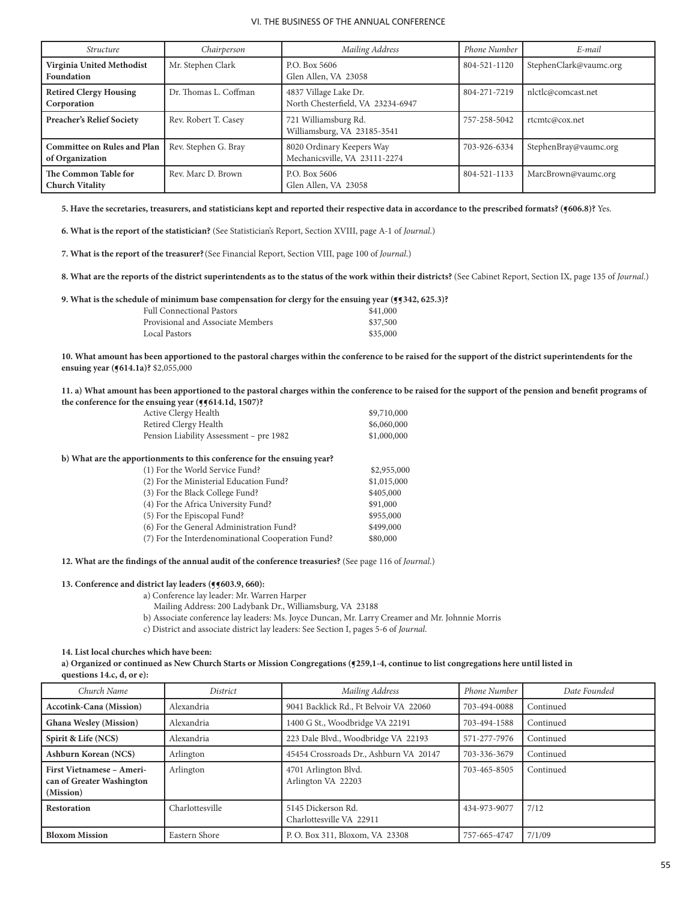| <i><u><b>Structure</b></u></i>                        | Chairperson           | Mailing Address                                            | Phone Number | E-mail                 |
|-------------------------------------------------------|-----------------------|------------------------------------------------------------|--------------|------------------------|
| Virginia United Methodist<br>Foundation               | Mr. Stephen Clark     | P.O. Box 5606<br>Glen Allen, VA 23058                      | 804-521-1120 | StephenClark@vaumc.org |
| <b>Retired Clergy Housing</b><br>Corporation          | Dr. Thomas L. Coffman | 4837 Village Lake Dr.<br>North Chesterfield, VA 23234-6947 | 804-271-7219 | nlctlc@comcast.net     |
| <b>Preacher's Relief Society</b>                      | Rev. Robert T. Casey  | 721 Williamsburg Rd.<br>Williamsburg, VA 23185-3541        | 757-258-5042 | rtcmtc@cox.net         |
| <b>Committee on Rules and Plan</b><br>of Organization | Rev. Stephen G. Bray  | 8020 Ordinary Keepers Way<br>Mechanicsville, VA 23111-2274 | 703-926-6334 | StephenBray@vaumc.org  |
| The Common Table for<br><b>Church Vitality</b>        | Rev. Marc D. Brown    | P.O. Box 5606<br>Glen Allen, VA 23058                      | 804-521-1133 | MarcBrown@vaumc.org    |

5. Have the secretaries, treasurers, and statisticians kept and reported their respective data in accordance to the prescribed formats? (§606.8)? Yes.

**6. What is the report of the statistician?** (See Statistician's Report, Section XVIII, page A-1 of *Journal*.)

- **7. What is the report of the treasurer?**(See Financial Report, Section VIII, page 100 of *Journal*.)
- **8. What are the reports of the district superintendents as to the status of the work within their districts?** (See Cabinet Report, Section IX, page 135 of *Journal*.)

**9. What is the schedule of minimum base compensation for clergy for the ensuing year (¶¶342, 625.3)?**

| <b>Full Connectional Pastors</b>  | \$41,000 |
|-----------------------------------|----------|
| Provisional and Associate Members | \$37,500 |
| Local Pastors                     | \$35,000 |

**10. What amount has been apportioned to the pastoral charges within the conference to be raised for the support of the district superintendents for the ensuing year (¶614.1a)?** \$2,055,000

**11. a) What amount has been apportioned to the pastoral charges within the conference to be raised for the support of the pension and benefit programs of the conference for the ensuing year (¶¶614.1d, 1507)?**

| Active Clergy Health                                                    | \$9,710,000 |
|-------------------------------------------------------------------------|-------------|
| Retired Clergy Health                                                   | \$6,060,000 |
| Pension Liability Assessment - pre 1982                                 | \$1,000,000 |
| b) What are the apportionments to this conference for the ensuing year? |             |
| (1) For the World Service Fund?                                         | \$2,955,000 |
| (2) For the Ministerial Education Fund?                                 | \$1,015,000 |
| (3) For the Black College Fund?                                         | \$405,000   |
| (4) For the Africa University Fund?                                     | \$91,000    |
| (5) For the Episcopal Fund?                                             | \$955,000   |
| (6) For the General Administration Fund?                                | \$499,000   |
| (7) For the Interdenominational Cooperation Fund?                       | \$80,000    |
|                                                                         |             |

**12. What are the findings of the annual audit of the conference treasuries?** (See page 116 of *Journal*.)

#### **13. Conference and district lay leaders (¶¶603.9, 660):**

a) Conference lay leader: Mr. Warren Harper

- Mailing Address: 200 Ladybank Dr., Williamsburg, VA 23188
- b) Associate conference lay leaders: Ms. Joyce Duncan, Mr. Larry Creamer and Mr. Johnnie Morris
- c) District and associate district lay leaders: See Section I, pages 5-6 of *Journal*.

#### **14. List local churches which have been:**

a) Organized or continued as New Church Starts or Mission Congregations (**5259**,1-4, continue to list congregations here until listed in **questions 14.c, d, or e):** 

| Church Name                                                                | District        | Mailing Address                                | Phone Number | Date Founded |
|----------------------------------------------------------------------------|-----------------|------------------------------------------------|--------------|--------------|
| <b>Accotink-Cana (Mission)</b>                                             | Alexandria      | 9041 Backlick Rd., Ft Belvoir VA 22060         | 703-494-0088 | Continued    |
| <b>Ghana Wesley (Mission)</b>                                              | Alexandria      | 1400 G St., Woodbridge VA 22191                | 703-494-1588 | Continued    |
| Spirit & Life (NCS)                                                        | Alexandria      | 223 Dale Blvd., Woodbridge VA 22193            | 571-277-7976 | Continued    |
| <b>Ashburn Korean (NCS)</b>                                                | Arlington       | 45454 Crossroads Dr., Ashburn VA 20147         | 703-336-3679 | Continued    |
| <b>First Vietnamese - Ameri-</b><br>can of Greater Washington<br>(Mission) | Arlington       | 4701 Arlington Blvd.<br>Arlington VA 22203     | 703-465-8505 | Continued    |
| <b>Restoration</b>                                                         | Charlottesville | 5145 Dickerson Rd.<br>Charlottesville VA 22911 | 434-973-9077 | 7/12         |
| <b>Bloxom Mission</b>                                                      | Eastern Shore   | P.O. Box 311, Bloxom, VA 23308                 | 757-665-4747 | 7/1/09       |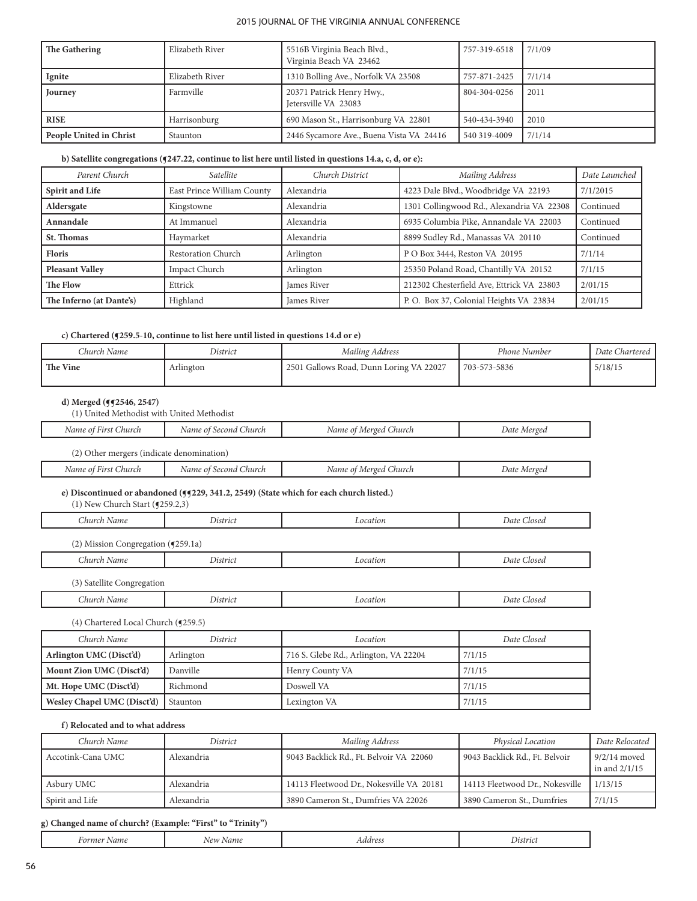| The Gathering           | Elizabeth River | 5516B Virginia Beach Blvd.,<br>Virginia Beach VA 23462 | 757-319-6518 | 17/1/09 |
|-------------------------|-----------------|--------------------------------------------------------|--------------|---------|
| Ignite                  | Elizabeth River | 1310 Bolling Ave., Norfolk VA 23508                    | 757-871-2425 | 7/1/14  |
| Journey                 | Farmville       | 20371 Patrick Henry Hwy.,<br>Ietersville VA 23083      | 804-304-0256 | 2011    |
| <b>RISE</b>             | Harrisonburg    | 690 Mason St., Harrisonburg VA 22801                   | 540-434-3940 | 2010    |
| People United in Christ | Staunton        | 2446 Sycamore Ave., Buena Vista VA 24416               | 540 319-4009 | 7/1/14  |

# **b) Satellite congregations (¶247.22, continue to list here until listed in questions 14.a, c, d, or e):**

| Parent Church            | Satellite                  | Church District    | Mailing Address                           | Date Launched |
|--------------------------|----------------------------|--------------------|-------------------------------------------|---------------|
| Spirit and Life          | East Prince William County | Alexandria         | 4223 Dale Blvd., Woodbridge VA 22193      | 7/1/2015      |
| Aldersgate               | Kingstowne                 | Alexandria         | 1301 Collingwood Rd., Alexandria VA 22308 | Continued     |
| Annandale                | At Immanuel                | Alexandria         | 6935 Columbia Pike, Annandale VA 22003    | Continued     |
| St. Thomas               | Haymarket                  | Alexandria         | 8899 Sudley Rd., Manassas VA 20110        | Continued     |
| Floris                   | <b>Restoration Church</b>  | Arlington          | P O Box 3444, Reston VA 20195             | 7/1/14        |
| <b>Pleasant Valley</b>   | Impact Church              | Arlington          | 25350 Poland Road, Chantilly VA 20152     | 7/1/15        |
| The Flow                 | Ettrick                    | <b>James River</b> | 212302 Chesterfield Ave, Ettrick VA 23803 | 2/01/15       |
| The Inferno (at Dante's) | Highland                   | <b>James River</b> | P.O. Box 37, Colonial Heights VA 23834    | 2/01/15       |

## **c) Chartered (¶259.5-10, continue to list here until listed in questions 14.d or e)**

| Church Name | District  | Mailing Address                         | Phone Number | Date Chartered |
|-------------|-----------|-----------------------------------------|--------------|----------------|
| The Vine    | Arlington | 2501 Gallows Road, Dunn Loring VA 22027 | 703-573-5836 | 5/18/15        |

## **d) Merged (¶¶2546, 2547)**

| (1) United Methodist with United Methodist |                       |                       |             |  |
|--------------------------------------------|-----------------------|-----------------------|-------------|--|
| Name of First Church                       | Name of Second Church | Name of Merged Church | Date Merged |  |
| (2) Other mergers (indicate denomination)  |                       |                       |             |  |
| Name of First Church                       | Name of Second Church | Name of Merged Church | Date Merged |  |

# e) Discontinued or abandoned ( $(9229, 341.2, 2549)$  (State which for each church listed.)

(1) New Church Start (¶259.2,3)

| :hurch | $\sim$  | ocation. | $\sim$      |
|--------|---------|----------|-------------|
| Name   | nstric. |          | Date Closed |
| $\sim$ | .       |          |             |

(2) Mission Congregation (¶259.1a)

| ----<br>1.1.1.1.0<br>1 L C<br>_ _ _ _ _ _ _ _ _ _ _ _ _ _ _ _ _ _ | a la crista di<br>. | запот.<br>. | hat<br>лоѕеа<br>$\overline{\phantom{a}}$<br>. |
|-------------------------------------------------------------------|---------------------|-------------|-----------------------------------------------|
| $\sim$<br>11.                                                     |                     |             |                                               |

(3) Satellite Congregation

| .<br>------ | . | . | .<br>. |
|-------------|---|---|--------|
|             |   |   |        |

## (4) Chartered Local Church (¶259.5)

| Church Name                 | District  | Location                              | Date Closed |
|-----------------------------|-----------|---------------------------------------|-------------|
| Arlington UMC (Disct'd)     | Arlington | 716 S. Glebe Rd., Arlington, VA 22204 | 7/1/15      |
| Mount Zion UMC (Disct'd)    | Danville  | Henry County VA                       | 7/1/15      |
| Mt. Hope UMC (Disct'd)      | Richmond  | Doswell VA                            | 7/1/15      |
| Wesley Chapel UMC (Disct'd) | Staunton  | Lexington VA                          | 7/1/15      |

# **f) Relocated and to what address**

| Church Name       | <i>District</i> | Mailing Address                          | Physical Location               | Date Relocated                    |
|-------------------|-----------------|------------------------------------------|---------------------------------|-----------------------------------|
| Accotink-Cana UMC | Alexandria      | 9043 Backlick Rd., Ft. Belvoir VA 22060  | 9043 Backlick Rd., Ft. Belvoir  | $9/2/14$ moved<br>in and $2/1/15$ |
| Asbury UMC        | Alexandria      | 14113 Fleetwood Dr., Nokesville VA 20181 | 14113 Fleetwood Dr., Nokesville | 1/13/15                           |
| Spirit and Life   | Alexandria      | 3890 Cameron St., Dumfries VA 22026      | 3890 Cameron St., Dumfries      | 7/1/15                            |

# **g) Changed name of church? (Example: "First" to "Trinity")**

| . | . | . | . |
|---|---|---|---|
|   |   |   |   |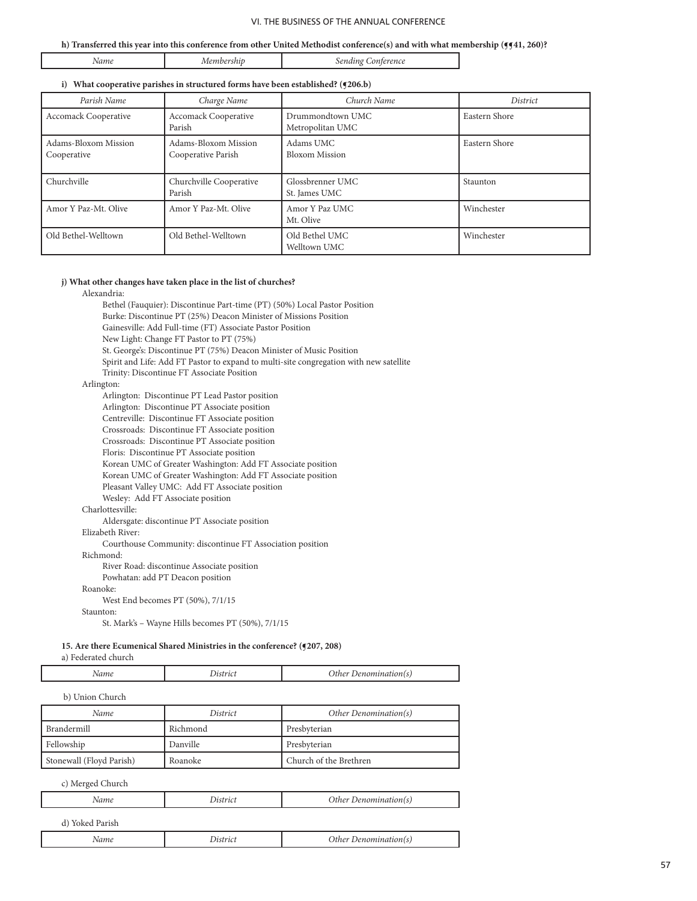#### **h) Transferred this year into this conference from other United Methodist conference(s) and with what membership (¶¶41, 260)?**

|  | NA 1<br>. |  | יי |
|--|-----------|--|----|
|--|-----------|--|----|

#### **i) What cooperative parishes in structured forms have been established? (¶206.b)**

| Parish Name                         | Charge Name                                | Church Name                          | <i>District</i> |
|-------------------------------------|--------------------------------------------|--------------------------------------|-----------------|
| <b>Accomack Cooperative</b>         | <b>Accomack Cooperative</b><br>Parish      | Drummondtown UMC<br>Metropolitan UMC | Eastern Shore   |
| Adams-Bloxom Mission<br>Cooperative | Adams-Bloxom Mission<br>Cooperative Parish | Adams UMC<br><b>Bloxom Mission</b>   | Eastern Shore   |
| Churchville                         | Churchville Cooperative<br>Parish          | Glossbrenner UMC<br>St. James UMC    | Staunton        |
| Amor Y Paz-Mt. Olive                | Amor Y Paz-Mt. Olive                       | Amor Y Paz UMC<br>Mt. Olive          | Winchester      |
| Old Bethel-Welltown                 | Old Bethel-Welltown                        | Old Bethel UMC<br>Welltown UMC       | Winchester      |

## **j) What other changes have taken place in the list of churches?**

Alexandria:

 Bethel (Fauquier): Discontinue Part-time (PT) (50%) Local Pastor Position Burke: Discontinue PT (25%) Deacon Minister of Missions Position Gainesville: Add Full-time (FT) Associate Pastor Position New Light: Change FT Pastor to PT (75%) St. George's: Discontinue PT (75%) Deacon Minister of Music Position Spirit and Life: Add FT Pastor to expand to multi-site congregation with new satellite Trinity: Discontinue FT Associate Position Arlington: Arlington: Discontinue PT Lead Pastor position Arlington: Discontinue PT Associate position Centreville: Discontinue FT Associate position Crossroads: Discontinue FT Associate position Crossroads: Discontinue PT Associate position Floris: Discontinue PT Associate position Korean UMC of Greater Washington: Add FT Associate position Korean UMC of Greater Washington: Add FT Associate position Pleasant Valley UMC: Add FT Associate position Wesley: Add FT Associate position Charlottesville: Aldersgate: discontinue PT Associate position Elizabeth River:

Courthouse Community: discontinue FT Association position

Richmond:

River Road: discontinue Associate position

Powhatan: add PT Deacon position

Roanoke:

West End becomes PT (50%), 7/1/15

Staunton:

St. Mark's – Wayne Hills becomes PT (50%), 7/1/15

#### **15. Are there Ecumenical Shared Ministries in the conference? (¶207, 208)**

a) Federated church

|  | - - | . |  |
|--|-----|---|--|
|--|-----|---|--|

b) Union Church

| Name                     | <i>District</i> | Other Denomination(s)  |
|--------------------------|-----------------|------------------------|
| Brandermill              | Richmond        | Presbyterian           |
| Fellowship               | Danville        | Presbyterian           |
| Stonewall (Floyd Parish) | Roanoke         | Church of the Brethren |

c) Merged Church

| 'vame<br>. | ' LC 1 | <i>nusi</i><br>. |
|------------|--------|------------------|
|            |        |                  |

d) Yoked Parish

|  | Vame<br>- - | <br>_ |  |
|--|-------------|-------|--|
|--|-------------|-------|--|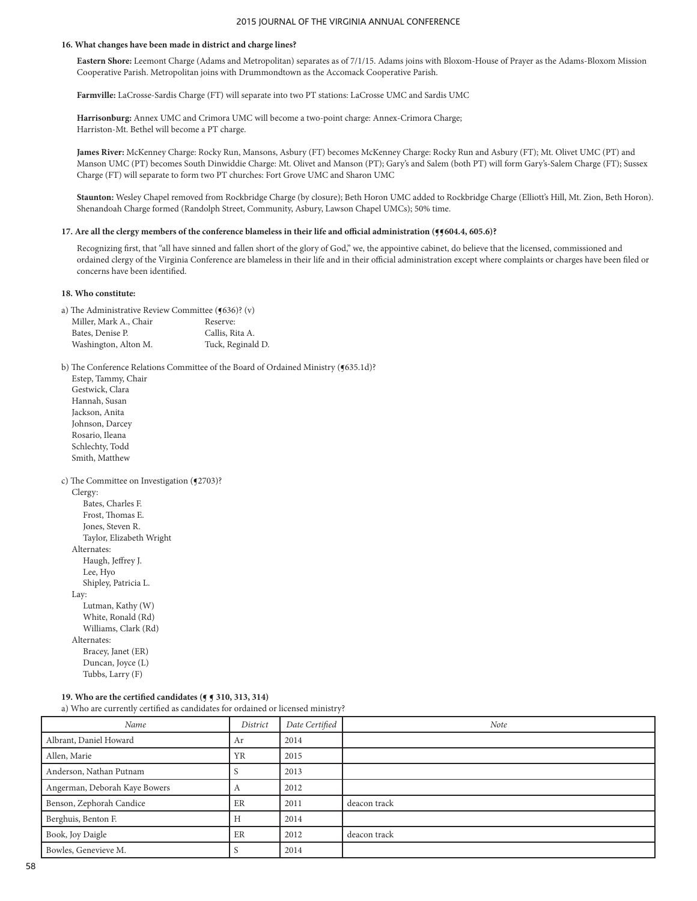### **16. What changes have been made in district and charge lines?**

**Eastern Shore:** Leemont Charge (Adams and Metropolitan) separates as of 7/1/15. Adams joins with Bloxom-House of Prayer as the Adams-Bloxom Mission Cooperative Parish. Metropolitan joins with Drummondtown as the Accomack Cooperative Parish.

**Farmville:** LaCrosse-Sardis Charge (FT) will separate into two PT stations: LaCrosse UMC and Sardis UMC

**Harrisonburg:** Annex UMC and Crimora UMC will become a two-point charge: Annex-Crimora Charge; Harriston-Mt. Bethel will become a PT charge.

**James River:** McKenney Charge: Rocky Run, Mansons, Asbury (FT) becomes McKenney Charge: Rocky Run and Asbury (FT); Mt. Olivet UMC (PT) and Manson UMC (PT) becomes South Dinwiddie Charge: Mt. Olivet and Manson (PT); Gary's and Salem (both PT) will form Gary's-Salem Charge (FT); Sussex Charge (FT) will separate to form two PT churches: Fort Grove UMC and Sharon UMC

**Staunton:** Wesley Chapel removed from Rockbridge Charge (by closure); Beth Horon UMC added to Rockbridge Charge (Elliott's Hill, Mt. Zion, Beth Horon). Shenandoah Charge formed (Randolph Street, Community, Asbury, Lawson Chapel UMCs); 50% time.

#### **17. Are all the clergy members of the conference blameless in their life and official administration (¶¶604.4, 605.6)?**

Recognizing first, that "all have sinned and fallen short of the glory of God," we, the appointive cabinet, do believe that the licensed, commissioned and ordained clergy of the Virginia Conference are blameless in their life and in their official administration except where complaints or charges have been filed or concerns have been identified.

### **18. Who constitute:**

| a) The Administrative Review Committee $(9636)$ ? (v) |                   |
|-------------------------------------------------------|-------------------|
| Miller, Mark A., Chair                                | Reserve:          |
| Bates, Denise P.                                      | Callis, Rita A.   |
| Washington, Alton M.                                  | Tuck, Reginald D. |

b) The Conference Relations Committee of the Board of Ordained Ministry (§635.1d)?

| Estep, Tammy, Chair                        |
|--------------------------------------------|
| Gestwick, Clara                            |
| Hannah, Susan                              |
| Jackson, Anita                             |
| Johnson, Darcey                            |
| Rosario, Ileana                            |
| Schlechty, Todd                            |
| Smith, Matthew                             |
| c) The Committee on Investigation (¶2703)? |
| Clergy:                                    |
| Bates, Charles F.                          |
| Frost, Thomas E.                           |
| Jones, Steven R.                           |
| Taylor, Elizabeth Wright                   |
| Alternates:                                |
| Haugh, Jeffrey J.                          |
| Lee, Hyo                                   |
| Shipley, Patricia L.                       |
| Lay:                                       |
| Lutman, Kathy (W)                          |
| White, Ronald (Rd)                         |
| Williams, Clark (Rd)                       |
| Alternates:                                |
| Bracey, Janet (ER)                         |
| Duncan, Joyce (L)                          |
| Tubbs, Larry (F)                           |

# **19. Who are the certified candidates (¶ ¶ 310, 313, 314)**

a) Who are currently certified as candidates for ordained or licensed ministry?

| Name                          | District  | Date Certified | Note         |
|-------------------------------|-----------|----------------|--------------|
| Albrant, Daniel Howard        | Ar        | 2014           |              |
| Allen, Marie                  | <b>YR</b> | 2015           |              |
| Anderson, Nathan Putnam       |           | 2013           |              |
| Angerman, Deborah Kaye Bowers | A         | 2012           |              |
| Benson, Zephorah Candice      | ER        | 2011           | deacon track |
| Berghuis, Benton F.           | Н         | 2014           |              |
| Book, Joy Daigle              | ER        | 2012           | deacon track |
| Bowles, Genevieve M.          |           | 2014           |              |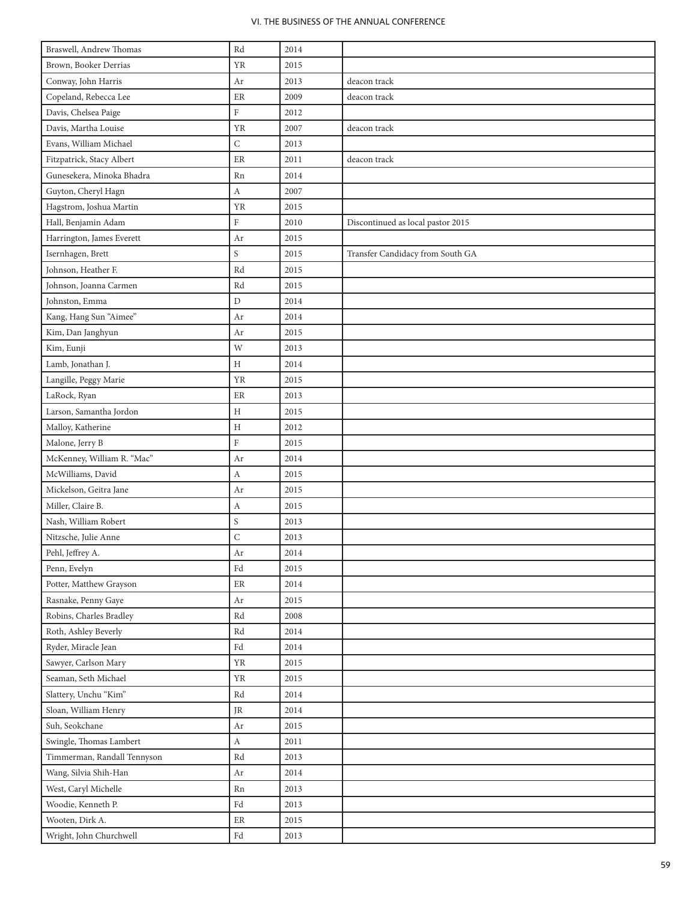| Braswell, Andrew Thomas     | $\mathop{\rm Rd}\nolimits$ | 2014 |                                   |
|-----------------------------|----------------------------|------|-----------------------------------|
| Brown, Booker Derrias       | <b>YR</b>                  | 2015 |                                   |
| Conway, John Harris         | Ar                         | 2013 | deacon track                      |
| Copeland, Rebecca Lee       | ER                         | 2009 | deacon track                      |
| Davis, Chelsea Paige        | $\rm F$                    | 2012 |                                   |
| Davis, Martha Louise        | YR                         | 2007 | deacon track                      |
| Evans, William Michael      | $\mathsf C$                | 2013 |                                   |
| Fitzpatrick, Stacy Albert   | ER                         | 2011 | deacon track                      |
| Gunesekera, Minoka Bhadra   | Rn                         | 2014 |                                   |
| Guyton, Cheryl Hagn         | $\boldsymbol{A}$           | 2007 |                                   |
| Hagstrom, Joshua Martin     | YR                         | 2015 |                                   |
| Hall, Benjamin Adam         | $\rm F$                    | 2010 | Discontinued as local pastor 2015 |
| Harrington, James Everett   | Ar                         | 2015 |                                   |
| Isernhagen, Brett           | S                          | 2015 | Transfer Candidacy from South GA  |
| Johnson, Heather F.         | Rd                         | 2015 |                                   |
| Johnson, Joanna Carmen      | Rd                         | 2015 |                                   |
| Johnston, Emma              | $\mathbf D$                | 2014 |                                   |
| Kang, Hang Sun "Aimee"      | Ar                         | 2014 |                                   |
| Kim, Dan Janghyun           | Ar                         | 2015 |                                   |
| Kim, Eunji                  | W                          | 2013 |                                   |
| Lamb, Jonathan J.           | $\rm H$                    | 2014 |                                   |
| Langille, Peggy Marie       | <b>YR</b>                  | 2015 |                                   |
| LaRock, Ryan                | $\rm ER$                   | 2013 |                                   |
| Larson, Samantha Jordon     | $\rm H$                    | 2015 |                                   |
| Malloy, Katherine           | H                          | 2012 |                                   |
| Malone, Jerry B             | $\rm F$                    | 2015 |                                   |
| McKenney, William R. "Mac"  | Ar                         | 2014 |                                   |
| McWilliams, David           | $\boldsymbol{A}$           | 2015 |                                   |
| Mickelson, Geitra Jane      | Ar                         | 2015 |                                   |
| Miller, Claire B.           | $\boldsymbol{A}$           | 2015 |                                   |
| Nash, William Robert        | $\mathbf S$                | 2013 |                                   |
| Nitzsche, Julie Anne        | $\mathsf C$                | 2013 |                                   |
| Pehl, Jeffrey A.            | $\rm Ar$                   | 2014 |                                   |
| Penn, Evelyn                | $\operatorname{Fd}$        | 2015 |                                   |
| Potter, Matthew Grayson     | $\rm ER$                   | 2014 |                                   |
| Rasnake, Penny Gaye         | Ar                         | 2015 |                                   |
| Robins, Charles Bradley     | Rd                         | 2008 |                                   |
| Roth, Ashley Beverly        | $\mathop{\rm Rd}\nolimits$ | 2014 |                                   |
| Ryder, Miracle Jean         | $\operatorname{Fd}$        | 2014 |                                   |
| Sawyer, Carlson Mary        | <b>YR</b>                  | 2015 |                                   |
| Seaman, Seth Michael        | <b>YR</b>                  | 2015 |                                   |
| Slattery, Unchu "Kim"       | Rd                         | 2014 |                                   |
| Sloan, William Henry        | JR                         | 2014 |                                   |
| Suh, Seokchane              | Ar                         | 2015 |                                   |
| Swingle, Thomas Lambert     | $\boldsymbol{A}$           | 2011 |                                   |
| Timmerman, Randall Tennyson | Rd                         | 2013 |                                   |
| Wang, Silvia Shih-Han       | Ar                         | 2014 |                                   |
| West, Caryl Michelle        | Rn                         | 2013 |                                   |
| Woodie, Kenneth P.          | Fd                         | 2013 |                                   |
| Wooten, Dirk A.             | $\rm ER$                   | 2015 |                                   |
| Wright, John Churchwell     | $\operatorname{Fd}$        | 2013 |                                   |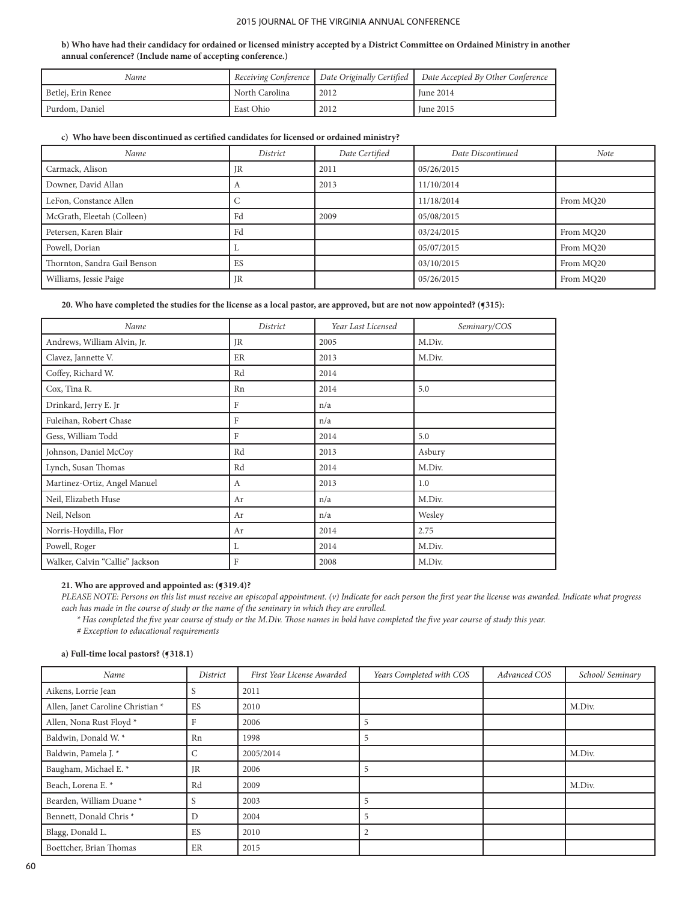### **b) Who have had their candidacy for ordained or licensed ministry accepted by a District Committee on Ordained Ministry in another annual conference? (Include name of accepting conference.)**

| Name               |                |      | Receiving Conference   Date Originally Certified   Date Accepted By Other Conference |
|--------------------|----------------|------|--------------------------------------------------------------------------------------|
| Betlej, Erin Renee | North Carolina | 2012 | <b>Iune 2014</b>                                                                     |
| Purdom, Daniel     | East Ohio      | 2012 | <b>Iune 2015</b>                                                                     |

## **c) Who have been discontinued as certified candidates for licensed or ordained ministry?**

| Name                         | District | Date Certified | Date Discontinued | Note      |
|------------------------------|----------|----------------|-------------------|-----------|
| Carmack, Alison              | JR       | 2011           | 05/26/2015        |           |
| Downer, David Allan          |          | 2013           | 11/10/2014        |           |
| LeFon, Constance Allen       |          |                | 11/18/2014        | From MQ20 |
| McGrath, Eleetah (Colleen)   | Fd       | 2009           | 05/08/2015        |           |
| Petersen, Karen Blair        | Fd       |                | 03/24/2015        | From MQ20 |
| Powell, Dorian               |          |                | 05/07/2015        | From MQ20 |
| Thornton, Sandra Gail Benson | ES       |                | 03/10/2015        | From MQ20 |
| Williams, Jessie Paige       | JR       |                | 05/26/2015        | From MQ20 |

### 20. Who have completed the studies for the license as a local pastor, are approved, but are not now appointed? ( $q315$ ):

| Name                            | District | Year Last Licensed | Seminary/COS |
|---------------------------------|----------|--------------------|--------------|
| Andrews, William Alvin, Jr.     | JR       | 2005               | M.Div.       |
| Clavez, Jannette V.             | ER       | 2013               | M.Div.       |
| Coffey, Richard W.              | Rd       | 2014               |              |
| Cox, Tina R.                    | Rn       | 2014               | 5.0          |
| Drinkard, Jerry E. Jr           | F        | n/a                |              |
| Fuleihan, Robert Chase          | F        | n/a                |              |
| Gess, William Todd              | F        | 2014               | 5.0          |
| Johnson, Daniel McCoy           | Rd       | 2013               | Asbury       |
| Lynch, Susan Thomas             | Rd       | 2014               | M.Div.       |
| Martinez-Ortiz, Angel Manuel    | A        | 2013               | 1.0          |
| Neil, Elizabeth Huse            | Ar       | n/a                | M.Div.       |
| Neil, Nelson                    | Ar       | n/a                | Wesley       |
| Norris-Hoydilla, Flor           | Ar       | 2014               | 2.75         |
| Powell, Roger                   | L        | 2014               | M.Div.       |
| Walker, Calvin "Callie" Jackson | F        | 2008               | M.Div.       |

#### **21. Who are approved and appointed as: (¶319.4)?**

*PLEASE NOTE: Persons on this list must receive an episcopal appointment. (v) Indicate for each person the first year the license was awarded. Indicate what progress each has made in the course of study or the name of the seminary in which they are enrolled.* 

*\* Has completed the five year course of study or the M.Div. Those names in bold have completed the five year course of study this year.*

*# Exception to educational requirements*

#### **a) Full-time local pastors? (¶318.1)**

| Name                               | District        | First Year License Awarded | Years Completed with COS | Advanced COS | School/ Seminary |
|------------------------------------|-----------------|----------------------------|--------------------------|--------------|------------------|
| Aikens, Lorrie Jean                | S               | 2011                       |                          |              |                  |
| Allen, Janet Caroline Christian *  | ES              | 2010                       |                          |              | M.Div.           |
| Allen, Nona Rust Floyd *           | F               | 2006                       | 5                        |              |                  |
| Baldwin, Donald W. *               | Rn              | 1998                       | 5                        |              |                  |
| Baldwin, Pamela J. *               | $\sqrt{2}$<br>U | 2005/2014                  |                          |              | M.Div.           |
| Baugham, Michael E. *              | <b>JR</b>       | 2006                       | 5                        |              |                  |
| Beach, Lorena E. *                 | Rd              | 2009                       |                          |              | M.Div.           |
| Bearden, William Duane*            | S               | 2003                       | 5                        |              |                  |
| Bennett, Donald Chris <sup>*</sup> | D               | 2004                       | 5                        |              |                  |
| Blagg, Donald L.                   | ES              | 2010                       | $\overline{2}$           |              |                  |
| Boettcher, Brian Thomas            | ER              | 2015                       |                          |              |                  |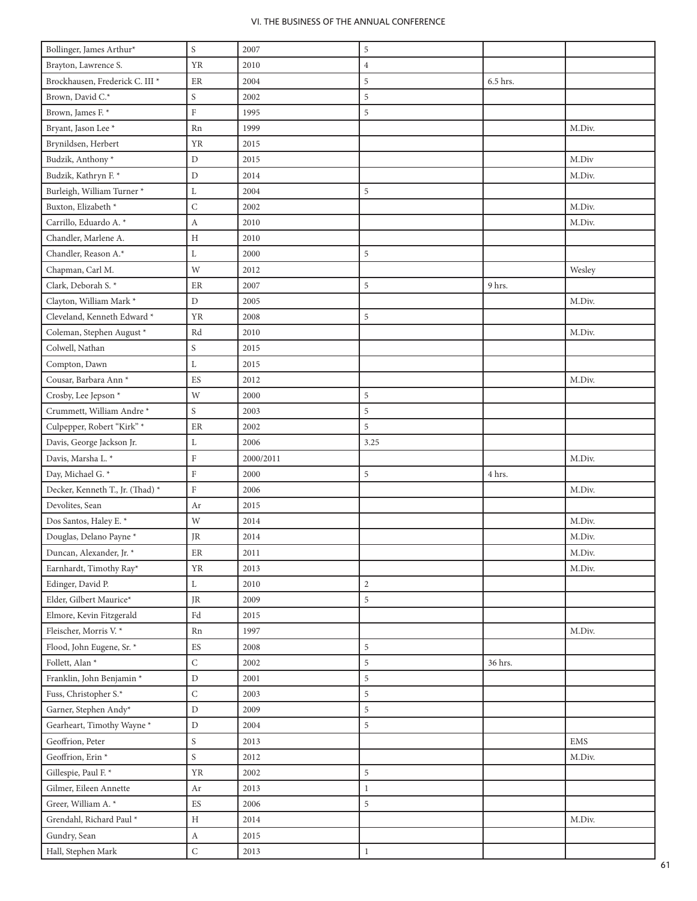| Bollinger, James Arthur*                   | $\mathbf S$                               | 2007         | 5              |          |           |
|--------------------------------------------|-------------------------------------------|--------------|----------------|----------|-----------|
| Brayton, Lawrence S.                       | <b>YR</b>                                 | 2010         | $\overline{4}$ |          |           |
| Brockhausen, Frederick C. III <sup>*</sup> | $\rm ER$                                  | 2004         | 5              | 6.5 hrs. |           |
| Brown, David C.*                           | $\mathbf S$                               | 2002         | 5              |          |           |
| Brown, James F. *                          | $\rm F$                                   | 1995         | 5              |          |           |
| Bryant, Jason Lee <sup>*</sup>             | Rn                                        | 1999         |                |          | M.Div.    |
| Brynildsen, Herbert                        | <b>YR</b>                                 | 2015         |                |          |           |
| Budzik, Anthony*                           | $\mathbf D$                               | 2015         |                |          | M.Div     |
| Budzik, Kathryn F. *                       | $\mathbf D$                               | 2014         |                |          | M.Div.    |
| Burleigh, William Turner *                 | L                                         | 2004         | 5              |          |           |
| Buxton, Elizabeth *                        | $\mathsf C$                               | 2002         |                |          | M.Div.    |
| Carrillo, Eduardo A. *                     | $\boldsymbol{A}$                          | 2010         |                |          | M.Div.    |
| Chandler, Marlene A.                       | $\boldsymbol{\mathrm{H}}$                 | 2010         |                |          |           |
| Chandler, Reason A.*                       | L                                         | 2000         | 5              |          |           |
| Chapman, Carl M.                           | $\ensuremath{\text{W}}$                   | 2012         |                |          | Wesley    |
| Clark, Deborah S. *                        | $\rm ER$                                  | 2007         | 5              | 9 hrs.   |           |
| Clayton, William Mark*                     | $\mathbf D$                               | 2005         |                |          | M.Div.    |
| Cleveland, Kenneth Edward *                | <b>YR</b>                                 | 2008         | 5              |          |           |
| Coleman, Stephen August *                  | Rd                                        | 2010         |                |          | M.Div.    |
| Colwell, Nathan                            | $\mathbf S$                               | 2015         |                |          |           |
| Compton, Dawn                              | L                                         | 2015         |                |          |           |
| Cousar, Barbara Ann <sup>*</sup>           | ES                                        | 2012         |                |          | M.Div.    |
| Crosby, Lee Jepson*                        | W                                         | 2000         | 5              |          |           |
| Crummett, William Andre*                   | $\mathbf S$                               | 2003         | 5              |          |           |
| Culpepper, Robert "Kirk" *                 | ER                                        | 2002         | 5              |          |           |
| Davis, George Jackson Jr.                  | L                                         | 2006         | 3.25           |          |           |
| Davis, Marsha L. *                         | $\mathbf F$                               | 2000/2011    |                |          | M.Div.    |
| Day, Michael G. *                          | $\rm F$                                   | 2000         | 5              | 4 hrs.   |           |
| Decker, Kenneth T., Jr. (Thad) *           | $\rm F$                                   | 2006         |                |          | M.Div.    |
| Devolites, Sean                            | Ar                                        | 2015         |                |          |           |
| Dos Santos, Haley E. *                     | $\ensuremath{\text{W}}$                   | 2014         |                |          | M.Div.    |
| Douglas, Delano Payne*                     | JR                                        | 2014         |                |          | M.Div.    |
| Duncan, Alexander, Jr. *                   | $\rm ER$                                  | 2011         |                |          | M.Div.    |
| Earnhardt, Timothy Ray*                    | <b>YR</b>                                 | 2013         |                |          | M.Div.    |
| Edinger, David P.                          | L                                         | 2010         | $\overline{2}$ |          |           |
| Elder, Gilbert Maurice*                    | $\rm JR$                                  | 2009         | 5              |          |           |
| Elmore, Kevin Fitzgerald                   | $\operatorname{Fd}$                       | 2015         |                |          |           |
| Fleischer, Morris V.*                      |                                           |              |                |          |           |
| Flood, John Eugene, Sr. *                  |                                           |              |                |          |           |
|                                            | Rn                                        | 1997         |                |          | M.Div.    |
|                                            | ES                                        | 2008         | 5              |          |           |
| Follett, Alan <sup>*</sup>                 | ${\bf C}$                                 | 2002         | 5              | 36 hrs.  |           |
| Franklin, John Benjamin*                   | $\mathbf D$                               | 2001         | $\,$ 5 $\,$    |          |           |
| Fuss, Christopher S.*                      | $\mathsf C$                               | 2003         | 5              |          |           |
| Garner, Stephen Andy*                      | $\mathbf D$                               | 2009         | 5              |          |           |
| Gearheart, Timothy Wayne*                  | $\mathbf D$                               | 2004         | 5              |          |           |
| Geoffrion, Peter                           | $\mathbf S$                               | 2013         |                |          | $\rm EMS$ |
| Geoffrion, Erin *                          | $\mathbf S$                               | 2012         |                |          | M.Div.    |
| Gillespie, Paul F. *                       | YR                                        | 2002         | 5              |          |           |
| Gilmer, Eileen Annette                     | Ar                                        | 2013         | $\mathbf{1}$   |          |           |
| Greer, William A. *                        | ES                                        | 2006         | 5              |          |           |
| Grendahl, Richard Paul *<br>Gundry, Sean   | $\, {\rm H}$<br>$\boldsymbol{\mathrm{A}}$ | 2014<br>2015 |                |          | M.Div.    |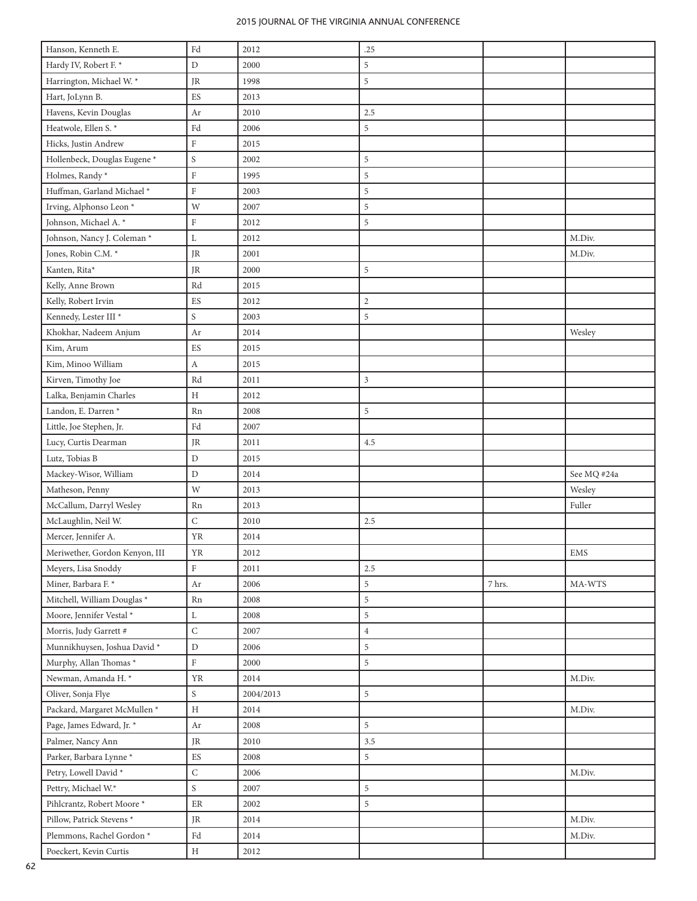| Hanson, Kenneth E.                         | $\operatorname{Fd}$      | 2012      | .25            |        |             |
|--------------------------------------------|--------------------------|-----------|----------------|--------|-------------|
| Hardy IV, Robert F. *                      | D                        | 2000      | 5              |        |             |
| Harrington, Michael W. *                   | JR                       | 1998      | 5              |        |             |
| Hart, JoLynn B.                            | ES                       | 2013      |                |        |             |
| Havens, Kevin Douglas                      | Ar                       | 2010      | 2.5            |        |             |
| Heatwole, Ellen S.*                        | Fd                       | 2006      | 5              |        |             |
| Hicks, Justin Andrew                       | $\rm F$                  | 2015      |                |        |             |
| Hollenbeck, Douglas Eugene <sup>*</sup>    | S                        | 2002      | 5              |        |             |
| Holmes, Randy*                             | ${\rm F}$                | 1995      | 5              |        |             |
| Huffman, Garland Michael*                  | $\rm F$                  | 2003      | 5              |        |             |
| Irving, Alphonso Leon <sup>*</sup>         | W                        | 2007      | 5              |        |             |
| Johnson, Michael A. *                      | $\rm F$                  | 2012      | 5              |        |             |
| Johnson, Nancy J. Coleman *                | $\mathbf L$              | 2012      |                |        | M.Div.      |
| Jones, Robin C.M. *                        | <b>JR</b>                | 2001      |                |        | M.Div.      |
| Kanten, Rita*                              | JR                       | 2000      | 5              |        |             |
| Kelly, Anne Brown                          | Rd                       | 2015      |                |        |             |
| Kelly, Robert Irvin                        | ${\rm ES}$               | 2012      | $\mathbf{2}$   |        |             |
| Kennedy, Lester III $^\star$               | S                        | 2003      | 5              |        |             |
| Khokhar, Nadeem Anjum                      | Ar                       | 2014      |                |        | Wesley      |
| Kim, Arum                                  | ${\rm ES}$               | 2015      |                |        |             |
| Kim, Minoo William                         | $\boldsymbol{A}$         | 2015      |                |        |             |
| Kirven, Timothy Joe                        | Rd                       | 2011      | 3              |        |             |
| Lalka, Benjamin Charles                    | $\rm H$                  | 2012      |                |        |             |
| Landon, E. Darren *                        | Rn                       | 2008      | 5              |        |             |
| Little, Joe Stephen, Jr.                   | Fd                       | 2007      |                |        |             |
|                                            | $\rm JR$                 | 2011      | 4.5            |        |             |
| Lucy, Curtis Dearman                       |                          |           |                |        |             |
| Lutz, Tobias B                             | $\mathbf D$              | 2015      |                |        |             |
|                                            | $\mathbf D$              | 2014      |                |        | See MQ #24a |
| Mackey-Wisor, William<br>Matheson, Penny   | W                        | 2013      |                |        | Wesley      |
| McCallum, Darryl Wesley                    | Rn                       | 2013      |                |        | Fuller      |
|                                            | $\mathsf C$              | 2010      | 2.5            |        |             |
| McLaughlin, Neil W.<br>Mercer, Jennifer A. | YR                       | 2014      |                |        |             |
| Meriwether, Gordon Kenyon, III             | <b>YR</b>                | 2012      |                |        | EMS         |
| Meyers, Lisa Snoddy                        | F                        | 2011      | 2.5            |        |             |
| Miner, Barbara F. *                        | $_{\rm Ar}$              | 2006      | 5              | 7 hrs. | MA-WTS      |
| Mitchell, William Douglas *                | Rn                       | 2008      | 5              |        |             |
| Moore, Jennifer Vestal $^\star$            | L                        | 2008      | 5              |        |             |
| Morris, Judy Garrett $\#$                  | $\mathsf C$              | 2007      | $\overline{4}$ |        |             |
| Munnikhuysen, Joshua David <sup>*</sup>    | $\mathbf D$              | 2006      | 5              |        |             |
| Murphy, Allan Thomas*                      | $\rm F$                  | 2000      | 5              |        |             |
| Newman, Amanda H. *                        | ${\it YR}$               | 2014      |                |        | M.Div.      |
| Oliver, Sonja Flye                         | $\mathbf S$              | 2004/2013 | 5              |        |             |
| Packard, Margaret McMullen <sup>*</sup>    | Η                        | 2014      |                |        | M.Div.      |
| Page, James Edward, Jr. *                  | Ar                       | 2008      | 5              |        |             |
| Palmer, Nancy Ann                          | JR                       | 2010      | 3.5            |        |             |
| Parker, Barbara Lynne <sup>*</sup>         | $\mathop{\hbox{\rm ES}}$ | 2008      | 5              |        |             |
| Petry, Lowell David *                      | $\mathsf C$              | 2006      |                |        | M.Div.      |
| Pettry, Michael W.*                        | $\mathbf S$              | 2007      | 5              |        |             |
| Pihlcrantz, Robert Moore*                  | $\rm ER$                 | 2002      | 5              |        |             |
| Pillow, Patrick Stevens <sup>*</sup>       | JR                       | 2014      |                |        | M.Div.      |
| Plemmons, Rachel Gordon <sup>*</sup>       | $\operatorname{Fd}$      | 2014      |                |        | M.Div.      |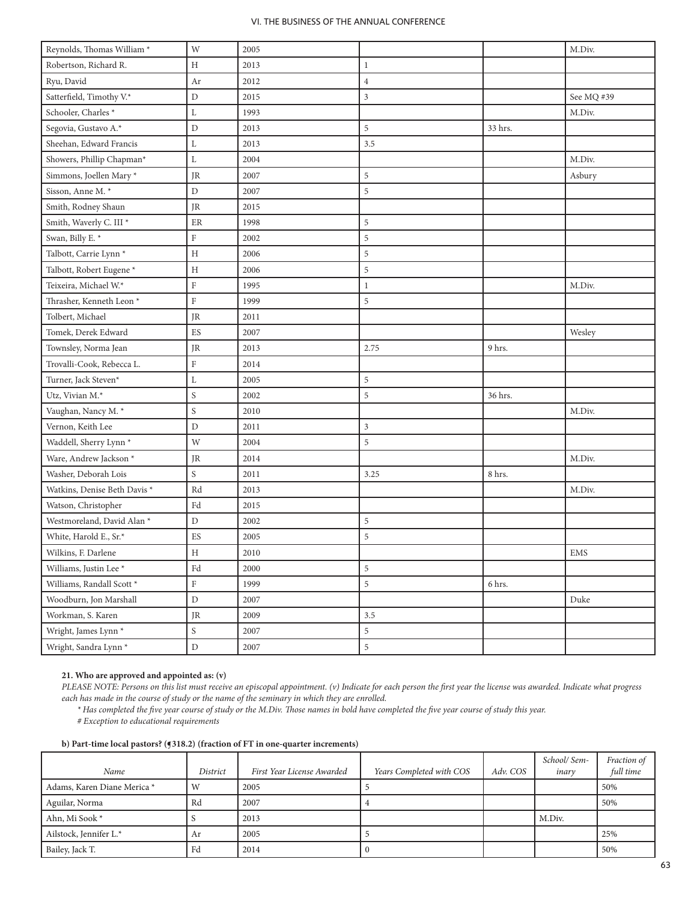| Reynolds, Thomas William *            | W             | 2005     |                |         | M.Div.     |
|---------------------------------------|---------------|----------|----------------|---------|------------|
| Robertson, Richard R.                 | Н             | 2013     | $\mathbf{1}$   |         |            |
| Ryu, David                            | Ar            | 2012     | $\overline{4}$ |         |            |
| Satterfield, Timothy V.*              | ${\rm D}$     | 2015     | $\mathfrak z$  |         | See MQ #39 |
| Schooler, Charles <sup>*</sup>        | L             | 1993     |                |         | M.Div.     |
| Segovia, Gustavo A.*                  | $\mathbf D$   | 2013     | 5              | 33 hrs. |            |
| Sheehan, Edward Francis               | L             | 2013     | 3.5            |         |            |
| Showers, Phillip Chapman*             | $\mathbf L$   | 2004     |                |         | M.Div.     |
| Simmons, Joellen Mary*                | JR            | 2007     | $\sqrt{5}$     |         | Asbury     |
| Sisson, Anne M. *                     | $\mathbf D$   | 2007     | 5              |         |            |
| Smith, Rodney Shaun                   | JR            | 2015     |                |         |            |
| Smith, Waverly C. III <sup>*</sup>    | $\rm ER$      | 1998     | $\sqrt{5}$     |         |            |
| Swan, Billy E. *                      | $\rm F$       | 2002     | 5              |         |            |
| Talbott, Carrie Lynn <sup>*</sup>     | $\, {\rm H}$  | 2006     | $\sqrt{5}$     |         |            |
| Talbott, Robert Eugene <sup>*</sup>   | H             | 2006     | $\mathfrak s$  |         |            |
| Teixeira, Michael W.*                 | $\rm F$       | 1995     | $\mathbf{1}$   |         | M.Div.     |
| Thrasher, Kenneth Leon <sup>*</sup>   | $\rm F$       | 1999     | $\,$ 5 $\,$    |         |            |
| Tolbert, Michael                      | JR            | 2011     |                |         |            |
| Tomek, Derek Edward                   | ES            | 2007     |                |         | Wesley     |
| Townsley, Norma Jean                  | JR            | 2013     | 2.75           | 9 hrs.  |            |
| Trovalli-Cook, Rebecca L.             | F             | 2014     |                |         |            |
| Turner, Jack Steven*                  | L             | 2005     | $\sqrt{5}$     |         |            |
| Utz, Vivian M.*                       | $\mathbf S$   | 2002     | 5              | 36 hrs. |            |
| Vaughan, Nancy M. *                   | ${\mathsf S}$ | 2010     |                |         | M.Div.     |
| Vernon, Keith Lee                     | $\mathbf D$   | 2011     | $\mathfrak{Z}$ |         |            |
| Waddell, Sherry Lynn <sup>*</sup>     | W             | 2004     | 5              |         |            |
| Ware, Andrew Jackson <sup>*</sup>     | JR            | 2014     |                |         | M.Div.     |
| Washer, Deborah Lois                  | S             | 2011     | 3.25           | 8 hrs.  |            |
| Watkins, Denise Beth Davis *          | Rd            | 2013     |                |         | M.Div.     |
| Watson, Christopher                   | Fd            | 2015     |                |         |            |
| Westmoreland, David Alan <sup>*</sup> | $\mathbf D$   | 2002     | $\sqrt{5}$     |         |            |
| White, Harold E., Sr.*                | ES            | 2005     | $\sqrt{5}$     |         |            |
| Wilkins, F. Darlene                   | $\rm H$       | $2010\,$ |                |         | <b>EMS</b> |
| Williams, Justin Lee <sup>*</sup>     | Fd            | 2000     | $\overline{5}$ |         |            |
| Williams, Randall Scott *             | $\rm F$       | 1999     | $\sqrt{5}$     | 6 hrs.  |            |
| Woodburn, Jon Marshall                | ${\rm D}$     | 2007     |                |         | Duke       |
| Workman, S. Karen                     | JR            | 2009     | 3.5            |         |            |
| Wright, James Lynn <sup>*</sup>       | $\mathbf S$   | 2007     | $\overline{5}$ |         |            |
| Wright, Sandra Lynn <sup>*</sup>      | ${\rm D}$     | 2007     | $\overline{5}$ |         |            |

# **21. Who are approved and appointed as: (v)**

*PLEASE NOTE: Persons on this list must receive an episcopal appointment. (v) Indicate for each person the first year the license was awarded. Indicate what progress each has made in the course of study or the name of the seminary in which they are enrolled.* 

*\* Has completed the five year course of study or the M.Div. Those names in bold have completed the five year course of study this year.*

*# Exception to educational requirements*

| Name                        | District | First Year License Awarded | Years Completed with COS | Adv. COS | School/ Sem-<br>inary | Fraction of<br>full time |
|-----------------------------|----------|----------------------------|--------------------------|----------|-----------------------|--------------------------|
| Adams, Karen Diane Merica * | W        | 2005                       |                          |          |                       | 50%                      |
| Aguilar, Norma              | Rd       | 2007                       |                          |          |                       | 50%                      |
| Ahn, Mi Sook *              |          | 2013                       |                          |          | M.Div.                |                          |
| Ailstock, Jennifer L.*      | Ar       | 2005                       |                          |          |                       | 25%                      |
| Bailey, Jack T.             | Fd       | 2014                       |                          |          |                       | 50%                      |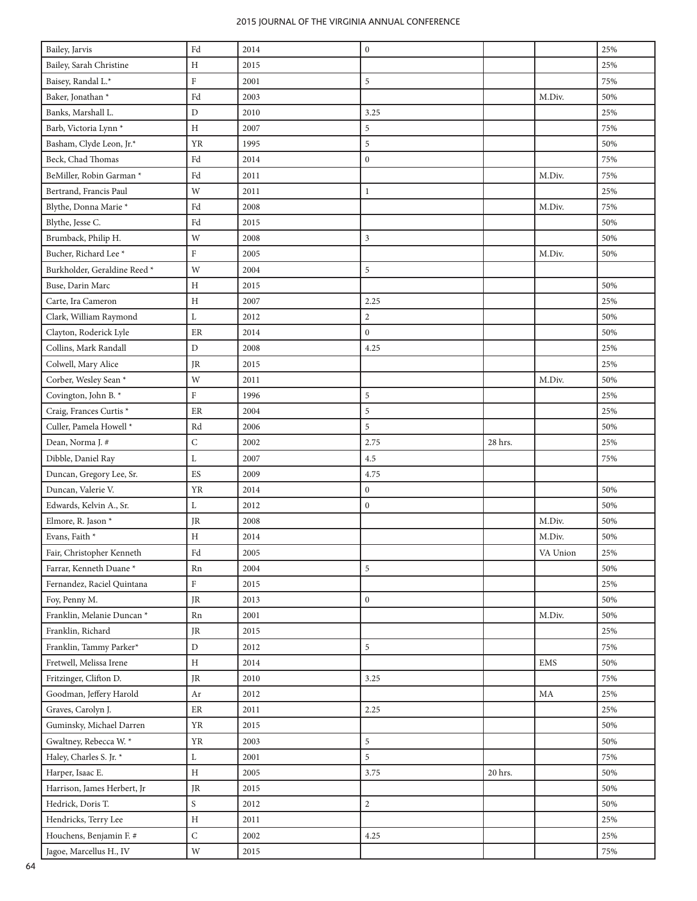| Bailey, Jarvis                                     | $\operatorname{Fd}$ | 2014 | $\boldsymbol{0}$ |         |            | 25%    |
|----------------------------------------------------|---------------------|------|------------------|---------|------------|--------|
| Bailey, Sarah Christine                            | Η                   | 2015 |                  |         |            | 25%    |
| Baisey, Randal L.*                                 | ${\rm F}$           | 2001 | 5                |         |            | 75%    |
| Baker, Jonathan *                                  | Fd                  | 2003 |                  |         | M.Div.     | 50%    |
| Banks, Marshall L.                                 | D                   | 2010 | 3.25             |         |            | 25%    |
| Barb, Victoria Lynn <sup>*</sup>                   | Η                   | 2007 | 5                |         |            | 75%    |
| Basham, Clyde Leon, Jr.*                           | <b>YR</b>           | 1995 | 5                |         |            | 50%    |
| Beck, Chad Thomas                                  | $\operatorname{Fd}$ | 2014 | $\boldsymbol{0}$ |         |            | 75%    |
| BeMiller, Robin Garman*                            | Fd                  | 2011 |                  |         | M.Div.     | 75%    |
| Bertrand, Francis Paul                             | W                   | 2011 | $\mathbf{1}$     |         |            | 25%    |
| Blythe, Donna Marie *                              | Fd                  | 2008 |                  |         | M.Div.     | 75%    |
| Blythe, Jesse C.                                   | Fd                  | 2015 |                  |         |            | 50%    |
| Brumback, Philip H.                                | W                   | 2008 | 3                |         |            | 50%    |
| Bucher, Richard Lee <sup>*</sup>                   | $\rm F$             | 2005 |                  |         | M.Div.     | 50%    |
| Burkholder, Geraldine Reed *                       | W                   | 2004 | 5                |         |            |        |
| Buse, Darin Marc                                   | Η                   | 2015 |                  |         |            | 50%    |
| Carte, Ira Cameron                                 | $\rm H$             | 2007 | 2.25             |         |            | 25%    |
| Clark, William Raymond                             | L                   | 2012 | $\overline{c}$   |         |            | 50%    |
| Clayton, Roderick Lyle                             | ER                  | 2014 | $\boldsymbol{0}$ |         |            | 50%    |
| Collins, Mark Randall                              | D                   | 2008 | 4.25             |         |            | 25%    |
| Colwell, Mary Alice                                | JR                  | 2015 |                  |         |            | 25%    |
| Corber, Wesley Sean *                              | W                   | 2011 |                  |         | M.Div.     | 50%    |
| Covington, John B.*                                | $\rm F$             | 1996 | 5                |         |            | 25%    |
| Craig, Frances Curtis*                             | ER                  | 2004 | 5                |         |            | 25%    |
| Culler, Pamela Howell *                            | Rd                  | 2006 | 5                |         |            | 50%    |
| Dean, Norma J. #                                   | ${\bf C}$           | 2002 | 2.75             | 28 hrs. |            | 25%    |
| Dibble, Daniel Ray                                 | L                   | 2007 | 4.5              |         |            | 75%    |
| Duncan, Gregory Lee, Sr.                           | ${\rm ES}$          | 2009 | 4.75             |         |            |        |
| Duncan, Valerie V.                                 | YR                  | 2014 | $\boldsymbol{0}$ |         |            | 50%    |
| Edwards, Kelvin A., Sr.                            | Г                   | 2012 | $\boldsymbol{0}$ |         |            | 50%    |
| Elmore, R. Jason *                                 | JR                  | 2008 |                  |         | M.Div.     | 50%    |
| Evans, Faith *                                     | Η                   | 2014 |                  |         | M.Div.     | 50%    |
| Fair, Christopher Kenneth                          | $\operatorname{Fd}$ | 2005 |                  |         | VA Union   | $25\%$ |
| Farrar, Kenneth Duane*                             | Rn                  | 2004 | 5                |         |            | 50%    |
| Fernandez, Raciel Quintana                         | $\rm F$             | 2015 |                  |         |            | 25%    |
| Foy, Penny M.                                      | JR                  | 2013 | $\mathbf{0}$     |         |            | 50%    |
| Franklin, Melanie Duncan *                         | Rn                  | 2001 |                  |         | M.Div.     | 50%    |
| Franklin, Richard                                  | JR                  | 2015 |                  |         |            | 25%    |
| Franklin, Tammy Parker*                            | D                   | 2012 | 5                |         |            | 75%    |
| Fretwell, Melissa Irene                            | H                   | 2014 |                  |         | <b>EMS</b> | 50%    |
| Fritzinger, Clifton D.                             | JR                  | 2010 | 3.25             |         |            | 75%    |
| Goodman, Jeffery Harold                            | Ar                  | 2012 |                  |         | MA         | 25%    |
| Graves, Carolyn J.                                 | ER                  | 2011 | 2.25             |         |            | 25%    |
| Guminsky, Michael Darren                           | ${\it YR}$          | 2015 |                  |         |            | 50%    |
| Gwaltney, Rebecca W. *                             | ${\it YR}$          | 2003 | 5                |         |            | 50%    |
| Haley, Charles S. Jr. *                            | L                   | 2001 | 5                |         |            | 75%    |
| Harper, Isaac E.                                   | Η                   | 2005 | 3.75             | 20 hrs. |            | 50%    |
| Harrison, James Herbert, Jr                        |                     |      |                  |         |            | 50%    |
|                                                    | JR                  | 2015 |                  |         |            |        |
| Hedrick, Doris T.                                  | S                   | 2012 | $\overline{c}$   |         |            | 50%    |
| Hendricks, Terry Lee                               | $\, {\rm H}$        | 2011 |                  |         |            | 25%    |
| Houchens, Benjamin F. #<br>Jagoe, Marcellus H., IV | ${\bf C}$           | 2002 | 4.25             |         |            | 25%    |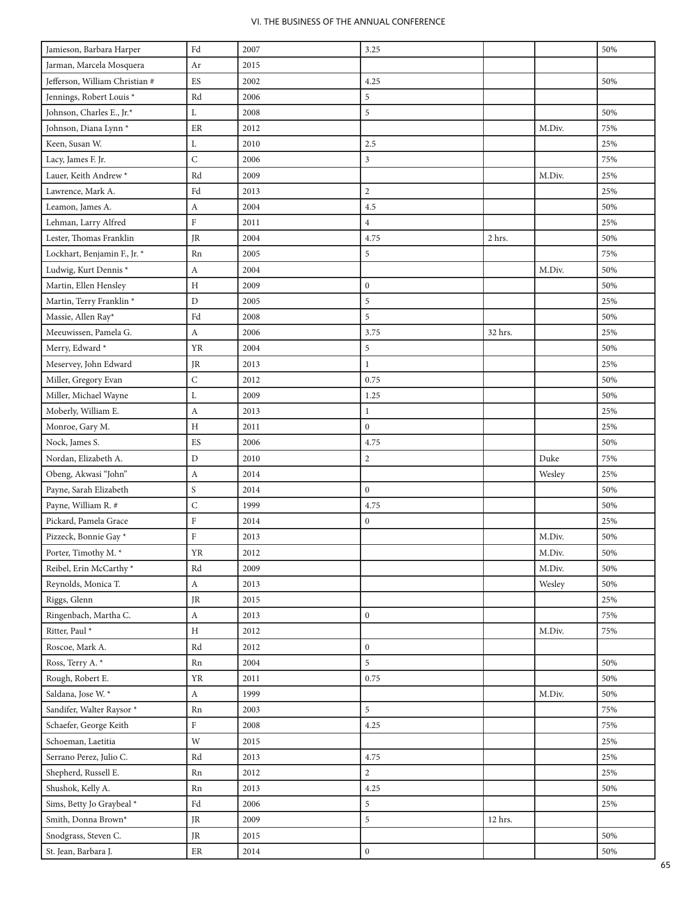| Jamieson, Barbara Harper            | $\operatorname{Fd}$        | 2007 | 3.25             |         |                            | 50% |
|-------------------------------------|----------------------------|------|------------------|---------|----------------------------|-----|
| Jarman, Marcela Mosquera            | Ar                         | 2015 |                  |         |                            |     |
| Jefferson, William Christian #      | ${\rm ES}$                 | 2002 | 4.25             |         |                            | 50% |
| Jennings, Robert Louis*             | Rd                         | 2006 | $\sqrt{5}$       |         |                            |     |
| Johnson, Charles E., Jr.*           | L                          | 2008 | 5                |         |                            | 50% |
| Johnson, Diana Lynn <sup>*</sup>    | ER                         | 2012 |                  |         | M.Div.                     | 75% |
| Keen, Susan W.                      | L                          | 2010 | 2.5              |         |                            | 25% |
| Lacy, James F. Jr.                  | $\mathsf C$                | 2006 | $\mathfrak{Z}$   |         |                            | 75% |
| Lauer, Keith Andrew <sup>*</sup>    | Rd                         | 2009 |                  |         | M.Div.                     | 25% |
| Lawrence, Mark A.                   | Fd                         | 2013 | $\overline{c}$   |         |                            | 25% |
| Leamon, James A.                    | A                          | 2004 | 4.5              |         |                            | 50% |
| Lehman, Larry Alfred                | $\rm F$                    | 2011 | $\overline{4}$   |         |                            | 25% |
| Lester, Thomas Franklin             | JR                         | 2004 | 4.75             | 2 hrs.  |                            | 50% |
| Lockhart, Benjamin F., Jr. *        | Rn                         | 2005 | 5                |         |                            | 75% |
| Ludwig, Kurt Dennis*                | A                          | 2004 |                  |         | M.Div.                     | 50% |
| Martin, Ellen Hensley               | H                          | 2009 | $\mathbf{0}$     |         |                            | 50% |
| Martin, Terry Franklin <sup>*</sup> | D                          | 2005 | $\sqrt{5}$       |         |                            | 25% |
| Massie, Allen Ray*                  | Fd                         | 2008 | 5                |         |                            | 50% |
| Meeuwissen, Pamela G.               | $\boldsymbol{A}$           | 2006 | 3.75             | 32 hrs. |                            | 25% |
| Merry, Edward *                     | YR                         | 2004 | $\sqrt{5}$       |         |                            | 50% |
| Meservey, John Edward               | JR.                        | 2013 | $\mathbf{1}$     |         |                            | 25% |
| Miller, Gregory Evan                | $\mathsf C$                | 2012 | 0.75             |         |                            | 50% |
| Miller, Michael Wayne               | L                          | 2009 | 1.25             |         |                            | 50% |
| Moberly, William E.                 | A                          | 2013 | $\mathbf{1}$     |         |                            | 25% |
| Monroe, Gary M.                     | $\, {\rm H}$               | 2011 | $\boldsymbol{0}$ |         |                            | 25% |
| Nock, James S.                      | ${\rm ES}$                 | 2006 | 4.75             |         |                            | 50% |
| Nordan, Elizabeth A.                | D                          | 2010 | $\sqrt{2}$       |         | Duke                       | 75% |
| Obeng, Akwasi "John"                | A                          | 2014 |                  |         | Wesley                     | 25% |
| Payne, Sarah Elizabeth              | S                          | 2014 | $\boldsymbol{0}$ |         |                            | 50% |
| Payne, William R. #                 | $\mathsf C$                | 1999 | 4.75             |         |                            | 50% |
| Pickard, Pamela Grace               | $\rm F$                    | 2014 | $\boldsymbol{0}$ |         |                            | 25% |
| Pizzeck, Bonnie Gay*                | $\rm F$                    | 2013 |                  |         | M.Div.                     | 50% |
| Porter, Timothy M. *                | ${\it YR}$                 | 2012 |                  |         | $\mathbf{M}.\mathbf{Div}.$ | 50% |
| Reibel, Erin McCarthy*              | Rd                         | 2009 |                  |         | M.Div.                     | 50% |
| Reynolds, Monica T.                 | $\boldsymbol{A}$           | 2013 |                  |         | Wesley                     | 50% |
| Riggs, Glenn                        | $\rm JR$                   | 2015 |                  |         |                            | 25% |
| Ringenbach, Martha C.               | $\rm A$                    | 2013 | $\mathbf{0}$     |         |                            | 75% |
| Ritter, Paul *                      | $\, {\rm H}$               | 2012 |                  |         | M.Div.                     | 75% |
| Roscoe, Mark A.                     | Rd                         | 2012 | $\mathbf{0}$     |         |                            |     |
| Ross, Terry A. *                    | Rn                         | 2004 | 5                |         |                            | 50% |
| Rough, Robert E.                    | <b>YR</b>                  | 2011 | 0.75             |         |                            | 50% |
| Saldana, Jose W. *                  | $\boldsymbol{A}$           | 1999 |                  |         | M.Div.                     | 50% |
| Sandifer, Walter Raysor *           | Rn                         | 2003 | 5                |         |                            | 75% |
| Schaefer, George Keith              | $\rm F$                    | 2008 | 4.25             |         |                            | 75% |
| Schoeman, Laetitia                  | W                          | 2015 |                  |         |                            | 25% |
| Serrano Perez, Julio C.             | $\mathop{\rm Rd}\nolimits$ | 2013 | 4.75             |         |                            | 25% |
| Shepherd, Russell E.                | Rn                         | 2012 | $\overline{2}$   |         |                            | 25% |
| Shushok, Kelly A.                   | Rn                         | 2013 | 4.25             |         |                            | 50% |
| Sims, Betty Jo Graybeal *           | Fd                         | 2006 | $\sqrt{5}$       |         |                            | 25% |
| Smith, Donna Brown*                 | JR                         | 2009 | $\sqrt{5}$       | 12 hrs. |                            |     |
| Snodgrass, Steven C.                | JR                         | 2015 |                  |         |                            | 50% |
| St. Jean, Barbara J.                | $\rm ER$                   | 2014 | $\mathbf{0}$     |         |                            | 50% |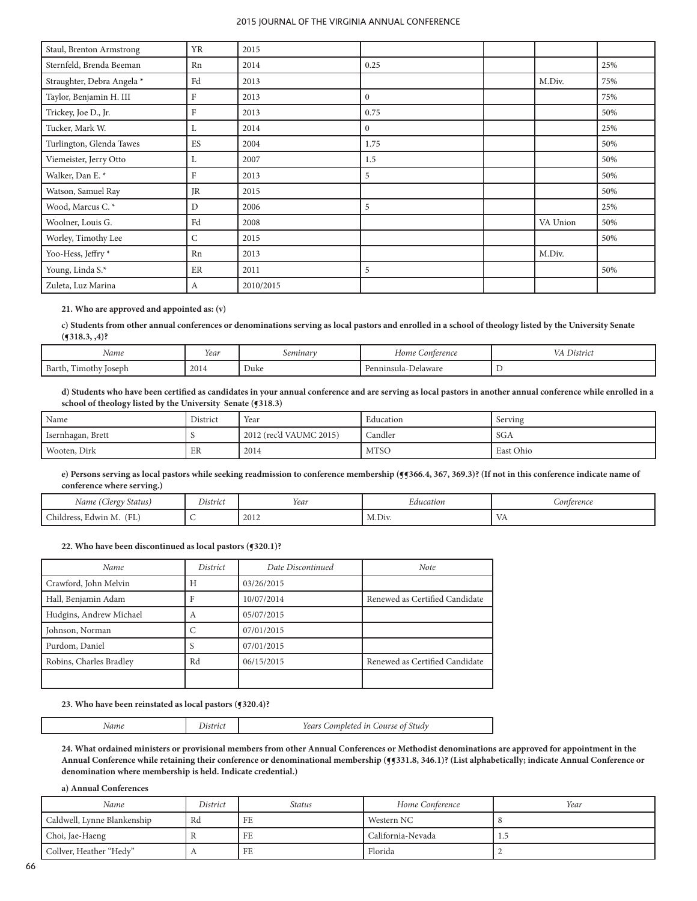| Staul, Brenton Armstrong   | YR        | 2015      |                |          |     |
|----------------------------|-----------|-----------|----------------|----------|-----|
| Sternfeld, Brenda Beeman   | Rn        | 2014      | 0.25           |          | 25% |
| Straughter, Debra Angela * | Fd        | 2013      |                | M.Div.   | 75% |
| Taylor, Benjamin H. III    | F         | 2013      | $\overline{0}$ |          | 75% |
| Trickey, Joe D., Jr.       | F         | 2013      | 0.75           |          | 50% |
| Tucker, Mark W.            | L         | 2014      | $\overline{0}$ |          | 25% |
| Turlington, Glenda Tawes   | ES        | 2004      | 1.75           |          | 50% |
| Viemeister, Jerry Otto     | L         | 2007      | 1.5            |          | 50% |
| Walker, Dan E. *           | F         | 2013      | 5              |          | 50% |
| Watson, Samuel Ray         | <b>JR</b> | 2015      |                |          | 50% |
| Wood, Marcus C. *          | D         | 2006      | 5              |          | 25% |
| Woolner, Louis G.          | Fd        | 2008      |                | VA Union | 50% |
| Worley, Timothy Lee        | C         | 2015      |                |          | 50% |
| Yoo-Hess, Jeffry *         | Rn        | 2013      |                | M.Div.   |     |
| Young, Linda S.*           | ER        | 2011      | 5              |          | 50% |
| Zuleta, Luz Marina         | A         | 2010/2015 |                |          |     |

## **21. Who are approved and appointed as: (v)**

**c) Students from other annual conferences or denominations serving as local pastors and enrolled in a school of theology listed by the University Senate (¶318.3, ,4)?**

| Name                              | Year | .seminar | Home<br>onterence | $\sim$ $\sim$ |
|-----------------------------------|------|----------|-------------------|---------------|
| Barth,<br>--<br>loseph<br>11mothy | 2014 | Duke     | 12022<br>elaward  |               |

**d) Students who have been certified as candidates in your annual conference and are serving as local pastors in another annual conference while enrolled in a school of theology listed by the University Senate (¶318.3)**

| ' Name            | District | Year                    | Education    | Serving    |
|-------------------|----------|-------------------------|--------------|------------|
| Isernhagan, Brett |          | 2012 (rec'd VAUMC 2015) | .<br>Candler | <b>SGA</b> |
| Wooten, Dirk      | ER       | 2014                    | <b>MTSO</b>  | East Ohio  |

e) Persons serving as local pastors while seeking readmission to conference membership (**f 366.4**, 367, 369.3)? (If not in this conference indicate name of **conference where serving.)**

| $\cdot$ $\cdot$<br>rv Status)<br>clero <sub>"</sub><br>Name (' | $\mathbf{r}$ .<br>$\sim$<br>District | Year | cducation | <i>_onterence</i> |
|----------------------------------------------------------------|--------------------------------------|------|-----------|-------------------|
| $\sqrt{2}$<br>.hildress,<br>Edwin M.<br>( L L                  |                                      | 2012 | M.Div.    | Y 4 1             |

## **22. Who have been discontinued as local pastors (¶320.1)?**

| Name                    | District | Date Discontinued | <b>Note</b>                    |
|-------------------------|----------|-------------------|--------------------------------|
| Crawford, John Melvin   | H        | 03/26/2015        |                                |
| Hall, Benjamin Adam     |          | 10/07/2014        | Renewed as Certified Candidate |
| Hudgins, Andrew Michael | А        | 05/07/2015        |                                |
| Johnson, Norman         |          | 07/01/2015        |                                |
| Purdom, Daniel          |          | 07/01/2015        |                                |
| Robins, Charles Bradley | Rd       | 06/15/2015        | Renewed as Certified Candidate |
|                         |          |                   |                                |

#### **23. Who have been reinstated as local pastors (¶320.4)?**

| Name | Jistrict | Years Completed in Course of Study |
|------|----------|------------------------------------|
|------|----------|------------------------------------|

**24. What ordained ministers or provisional members from other Annual Conferences or Methodist denominations are approved for appointment in the Annual Conference while retaining their conference or denominational membership (¶¶331.8, 346.1)? (List alphabetically; indicate Annual Conference or denomination where membership is held. Indicate credential.)**

**a) Annual Conferences**

| Name                        | District     | Status | Home Conference   | Year |
|-----------------------------|--------------|--------|-------------------|------|
| Caldwell, Lynne Blankenship | Rd           | FE     | Western NC        |      |
| Choi, Jae-Haeng             |              | FE     | California-Nevada | -1.5 |
| Collver, Heather "Hedy"     | $\mathbf{u}$ | FE     | Florida           |      |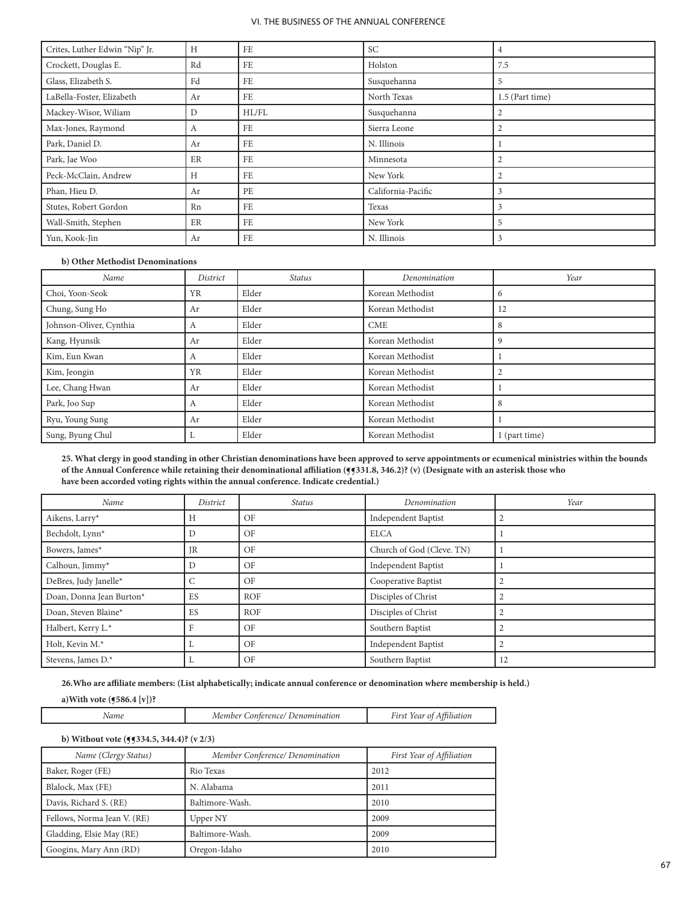| Crites, Luther Edwin "Nip" Jr. | H  | FE    | <b>SC</b>          | $\overline{4}$  |
|--------------------------------|----|-------|--------------------|-----------------|
| Crockett, Douglas E.           | Rd | FE    | Holston            | 7.5             |
| Glass, Elizabeth S.            | Fd | FE    | Susquehanna        | 5               |
| LaBella-Foster, Elizabeth      | Ar | FE    | North Texas        | 1.5 (Part time) |
| Mackey-Wisor, Wiliam           | D  | HL/FL | Susquehanna        | 2               |
| Max-Jones, Raymond             | A  | FE    | Sierra Leone       | $\overline{2}$  |
| Park, Daniel D.                | Ar | FE    | N. Illinois        |                 |
| Park, Jae Woo                  | ER | FE    | Minnesota          | 2               |
| Peck-McClain, Andrew           | H  | FE    | New York           | 2               |
| Phan, Hieu D.                  | Ar | PE    | California-Pacific | 3               |
| Stutes, Robert Gordon          | Rn | FE    | Texas              | 3               |
| Wall-Smith, Stephen            | ER | FE    | New York           | 5               |
| Yun, Kook-Jin                  | Ar | FE    | N. Illinois        | 3               |

# **b) Other Methodist Denominations**

| Name                    | District     | <i>Status</i> | Denomination     | Year          |
|-------------------------|--------------|---------------|------------------|---------------|
| Choi, Yoon-Seok         | YR           | Elder         | Korean Methodist | 6             |
| Chung, Sung Ho          | Ar           | Elder         | Korean Methodist | 12            |
| Johnson-Oliver, Cynthia | $\mathsf{A}$ | Elder         | <b>CME</b>       | 8             |
| Kang, Hyunsik           | Ar           | Elder         | Korean Methodist | 9             |
| Kim, Eun Kwan           | А            | Elder         | Korean Methodist |               |
| Kim, Jeongin            | <b>YR</b>    | Elder         | Korean Methodist |               |
| Lee, Chang Hwan         | Ar           | Elder         | Korean Methodist |               |
| Park, Joo Sup           | А            | Elder         | Korean Methodist | 8             |
| Ryu, Young Sung         | Ar           | Elder         | Korean Methodist |               |
| Sung, Byung Chul        |              | Elder         | Korean Methodist | 1 (part time) |

**25. What clergy in good standing in other Christian denominations have been approved to serve appointments or ecumenical ministries within the bounds**  of the Annual Conference while retaining their denominational affiliation (**f**§31.8, 346.2)? (v) (Designate with an asterisk those who **have been accorded voting rights within the annual conference. Indicate credential.)**

| Name                     | District        | <i>Status</i> | Denomination               | Year      |
|--------------------------|-----------------|---------------|----------------------------|-----------|
| Aikens, Larry*           | Н               | OF            | <b>Independent Baptist</b> | 2         |
| Bechdolt, Lynn*          | D               | OF            | ELCA                       |           |
| Bowers, James*           | <b>JR</b>       | OF            | Church of God (Cleve. TN)  |           |
| Calhoun, Jimmy*          | D               | OF            | Independent Baptist        |           |
| DeBres, Judy Janelle*    | $\sqrt{2}$<br>U | OF            | Cooperative Baptist        |           |
| Doan, Donna Jean Burton* | ES              | <b>ROF</b>    | Disciples of Christ        | 2         |
| Doan, Steven Blaine*     | ES              | <b>ROF</b>    | Disciples of Christ        | $\bigcap$ |
| Halbert, Kerry L.*       | Е               | OF            | Southern Baptist           |           |
| Holt, Kevin M.*          | ⊥               | OF            | Independent Baptist        | $\bigcap$ |
| Stevens, James D.*       | ⊥               | OF            | Southern Baptist           | 12        |

**26.Who are affiliate members: (List alphabetically; indicate annual conference or denomination where membership is held.)**

**a)With vote (¶586.4 [v])?**

| um<br>$\mu$ rie<br>$\cdot$<br>w<br>. | $\mathcal{O}$<br>- |
|--------------------------------------|--------------------|
|--------------------------------------|--------------------|

# **b) Without vote (¶¶334.5, 344.4)? (v 2/3)**

| Name (Clergy Status)        | Member Conference/ Denomination | First Year of Affiliation |
|-----------------------------|---------------------------------|---------------------------|
| Baker, Roger (FE)           | Rio Texas                       | 2012                      |
| Blalock, Max (FE)           | N. Alabama                      | 2011                      |
| Davis, Richard S. (RE)      | Baltimore-Wash.                 | 2010                      |
| Fellows, Norma Jean V. (RE) | Upper NY                        | 2009                      |
| Gladding, Elsie May (RE)    | Baltimore-Wash.                 | 2009                      |
| Googins, Mary Ann (RD)      | Oregon-Idaho                    | 2010                      |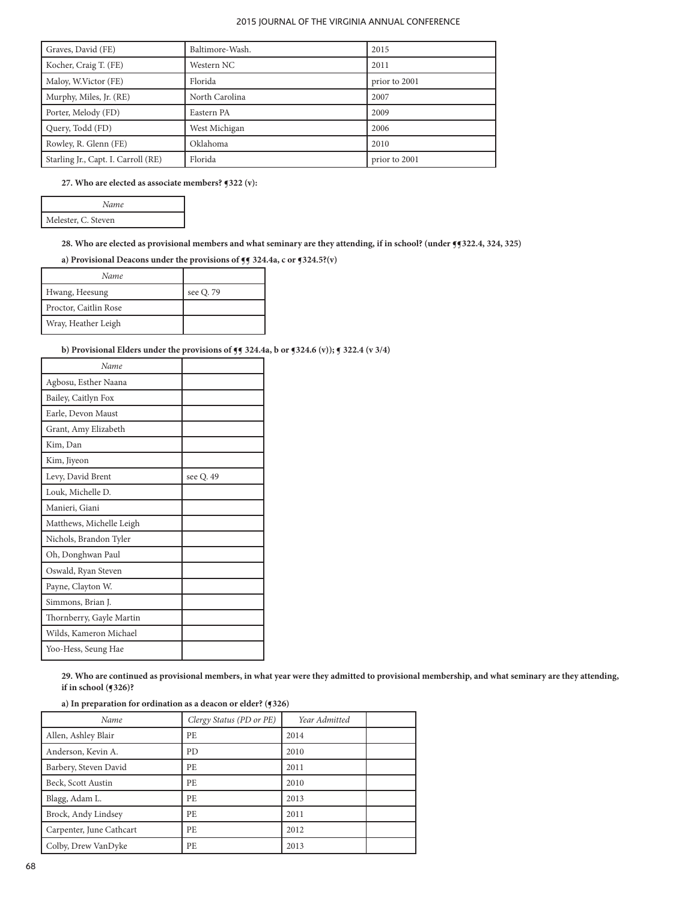| Graves, David (FE)                  | Baltimore-Wash.    | 2015          |
|-------------------------------------|--------------------|---------------|
| Kocher, Craig T. (FE)               | Western NC<br>2011 |               |
| Maloy, W.Victor (FE)<br>Florida     |                    | prior to 2001 |
| Murphy, Miles, Jr. (RE)             | North Carolina     | 2007          |
| Porter, Melody (FD)                 | Eastern PA         | 2009          |
| Query, Todd (FD)                    | West Michigan      | 2006          |
| Rowley, R. Glenn (FE)               | Oklahoma           | 2010          |
| Starling Jr., Capt. I. Carroll (RE) | Florida            | prior to 2001 |

## **27. Who are elected as associate members? ¶322 (v):**

| Name                |
|---------------------|
| Melester, C. Steven |

# **28. Who are elected as provisional members and what seminary are they attending, if in school? (under ¶¶322.4, 324, 325)**

**a) Provisional Deacons under the provisions of ¶¶ 324.4a, c or ¶324.5?(v)** 

| Name                  |           |
|-----------------------|-----------|
| Hwang, Heesung        | see Q. 79 |
| Proctor, Caitlin Rose |           |
| Wray, Heather Leigh   |           |

# **b) Provisional Elders under the provisions of**  $\mathbf{fg}$  **324.4a, b or**  $\mathbf{g}$ **324.6 (v));**  $\mathbf{g}$  **322.4 (v 3/4)**

| Name                     |           |
|--------------------------|-----------|
| Agbosu, Esther Naana     |           |
| Bailey, Caitlyn Fox      |           |
| Earle, Devon Maust       |           |
| Grant, Amy Elizabeth     |           |
| Kim, Dan                 |           |
| Kim, Jiyeon              |           |
| Levy, David Brent        | see Q. 49 |
| Louk, Michelle D.        |           |
| Manieri, Giani           |           |
| Matthews, Michelle Leigh |           |
| Nichols, Brandon Tyler   |           |
| Oh, Donghwan Paul        |           |
| Oswald, Ryan Steven      |           |
| Payne, Clayton W.        |           |
| Simmons, Brian J.        |           |
| Thornberry, Gayle Martin |           |
| Wilds, Kameron Michael   |           |
| Yoo-Hess, Seung Hae      |           |

**29. Who are continued as provisional members, in what year were they admitted to provisional membership, and what seminary are they attending, if in school (¶326)?**

# **a) In preparation for ordination as a deacon or elder? (¶326)**

| Name                     | Clergy Status (PD or PE) | Year Admitted |  |
|--------------------------|--------------------------|---------------|--|
| Allen, Ashley Blair      | PE                       | 2014          |  |
| Anderson, Kevin A.       | PD                       | 2010          |  |
| Barbery, Steven David    | РE                       | 2011          |  |
| Beck, Scott Austin       | РE                       | 2010          |  |
| Blagg, Adam L.           | PE.                      | 2013          |  |
| Brock, Andy Lindsey      | PE.                      | 2011          |  |
| Carpenter, June Cathcart | PE.                      | 2012          |  |
| Colby, Drew VanDyke      | PE                       | 2013          |  |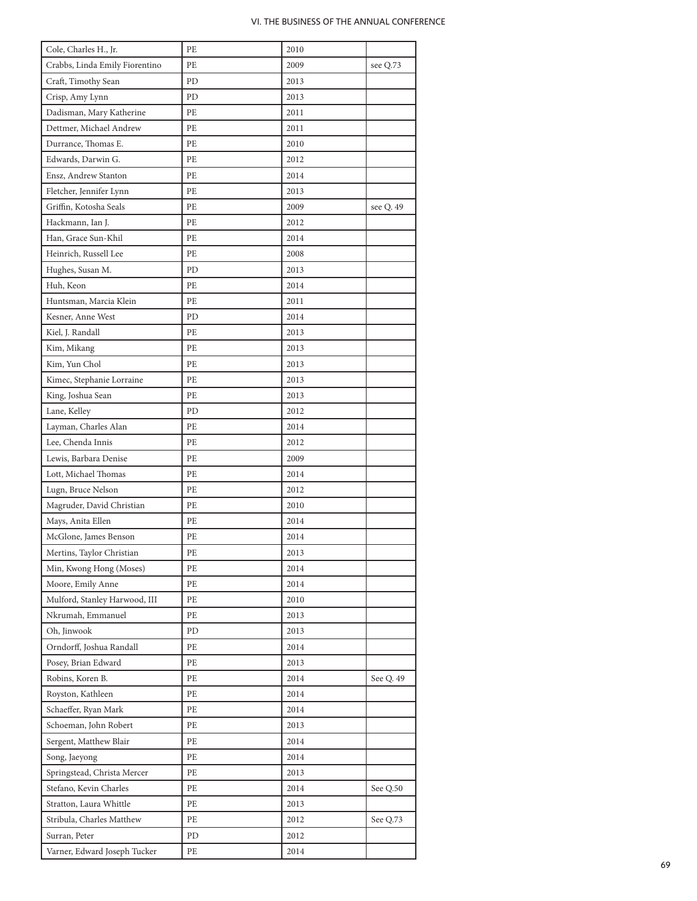| Cole, Charles H., Jr.                                 | PE | 2010 |           |
|-------------------------------------------------------|----|------|-----------|
| Crabbs, Linda Emily Fiorentino                        | PE | 2009 | see Q.73  |
| Craft, Timothy Sean                                   | PD | 2013 |           |
| Crisp, Amy Lynn                                       | PD | 2013 |           |
| Dadisman, Mary Katherine                              | РE | 2011 |           |
| Dettmer, Michael Andrew                               | PE | 2011 |           |
| Durrance, Thomas E.                                   | PE | 2010 |           |
| Edwards, Darwin G.                                    | PE | 2012 |           |
| Ensz, Andrew Stanton                                  | РE | 2014 |           |
| Fletcher, Jennifer Lynn                               | PE | 2013 |           |
| Griffin, Kotosha Seals                                | PE | 2009 | see Q. 49 |
| Hackmann, Ian J.                                      | РE | 2012 |           |
| Han, Grace Sun-Khil                                   | PE | 2014 |           |
| Heinrich, Russell Lee                                 | РE | 2008 |           |
| Hughes, Susan M.                                      | PD | 2013 |           |
| Huh, Keon                                             | PE | 2014 |           |
| Huntsman, Marcia Klein                                | PE | 2011 |           |
| Kesner, Anne West                                     | PD | 2014 |           |
| Kiel, J. Randall                                      | PE | 2013 |           |
| Kim, Mikang                                           | PE | 2013 |           |
| Kim, Yun Chol                                         | PE | 2013 |           |
| Kimec, Stephanie Lorraine                             | PE | 2013 |           |
| King, Joshua Sean                                     | PE | 2013 |           |
| Lane, Kelley                                          | PD | 2012 |           |
| Layman, Charles Alan                                  | PE | 2014 |           |
| Lee, Chenda Innis                                     | PE | 2012 |           |
| Lewis, Barbara Denise                                 | PE | 2009 |           |
| Lott, Michael Thomas                                  | РE | 2014 |           |
| Lugn, Bruce Nelson                                    | PE | 2012 |           |
| Magruder, David Christian                             | PE | 2010 |           |
| Mays, Anita Ellen                                     | РE | 2014 |           |
| McGlone, James Benson                                 | РE | 2014 |           |
| Mertins, Taylor Christian                             | РE | 2013 |           |
| Min, Kwong Hong (Moses)                               | PE | 2014 |           |
| Moore, Emily Anne                                     | PE | 2014 |           |
| Mulford, Stanley Harwood, III                         | PE | 2010 |           |
| Nkrumah, Emmanuel                                     | PE | 2013 |           |
| Oh, Jinwook                                           | PD | 2013 |           |
| Orndorff, Joshua Randall                              | PE | 2014 |           |
| Posey, Brian Edward                                   | PE | 2013 |           |
| Robins, Koren B.                                      | РE | 2014 | See Q. 49 |
| Royston, Kathleen                                     | PE | 2014 |           |
| Schaeffer, Ryan Mark                                  | PE | 2014 |           |
| Schoeman, John Robert                                 | РE | 2013 |           |
|                                                       | PE | 2014 |           |
| Sergent, Matthew Blair                                | PE | 2014 |           |
| Song, Jaeyong                                         |    |      |           |
| Springstead, Christa Mercer<br>Stefano, Kevin Charles | РE | 2013 |           |
|                                                       | РE | 2014 | See Q.50  |
| Stratton, Laura Whittle                               | PE | 2013 |           |
| Stribula, Charles Matthew                             | PE | 2012 | See Q.73  |
| Surran, Peter                                         | PD | 2012 |           |
| Varner, Edward Joseph Tucker                          | PE | 2014 |           |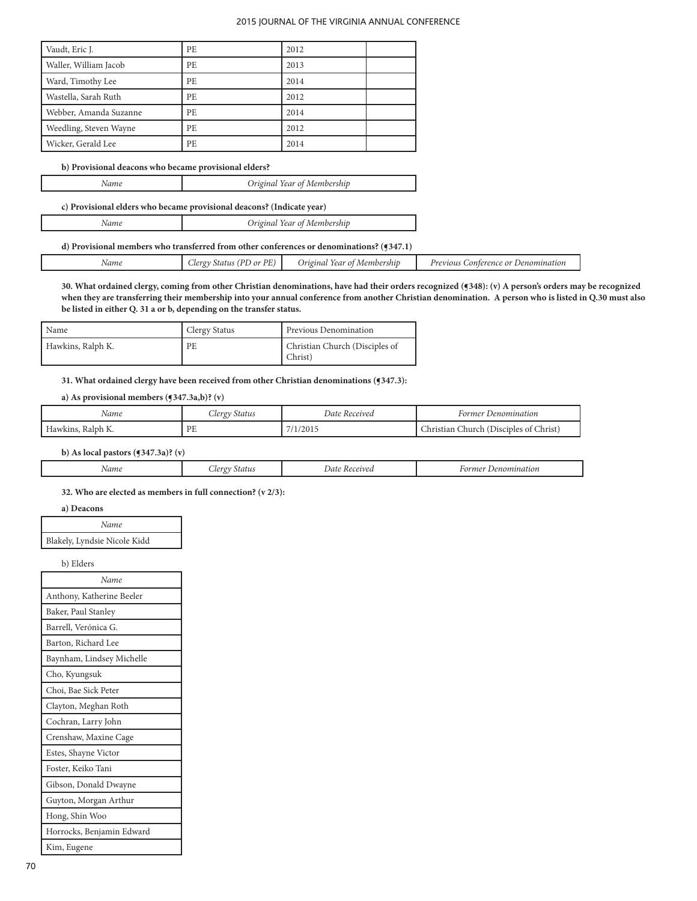| Vaudt, Eric J.         | PE.       | 2012 |  |
|------------------------|-----------|------|--|
| Waller, William Jacob  | PE.       | 2013 |  |
| Ward, Timothy Lee      | PE.       | 2014 |  |
| Wastella, Sarah Ruth   | <b>PE</b> | 2012 |  |
| Webber, Amanda Suzanne | PE.       | 2014 |  |
| Weedling, Steven Wayne | PE.       | 2012 |  |
| Wicker, Gerald Lee     | PE.       | 2014 |  |

### **b) Provisional deacons who became provisional elders?**

L

*Name Original Year of Membership*

**c) Provisional elders who became provisional deacons? (Indicate year)**

| Name | Original Year of Membership |
|------|-----------------------------|
|------|-----------------------------|

# **d) Provisional members who transferred from other conferences or denominations? (¶347.1)**

|  | Name<br>. | DF<br>$Llerq^*$<br>) or<br>stat.<br>Ð | <i>Origina</i><br>Membership<br>(ear<br>$\Omega$ 1 | Previous<br>Denomination<br>onterence<br>$\alpha r$ |
|--|-----------|---------------------------------------|----------------------------------------------------|-----------------------------------------------------|
|--|-----------|---------------------------------------|----------------------------------------------------|-----------------------------------------------------|

**30. What ordained clergy, coming from other Christian denominations, have had their orders recognized (¶348): (v) A person's orders may be recognized when they are transferring their membership into your annual conference from another Christian denomination. A person who is listed in Q.30 must also be listed in either Q. 31 a or b, depending on the transfer status.**

| Name              | Clergy Status | Previous Denomination                     |
|-------------------|---------------|-------------------------------------------|
| Hawkins, Ralph K. | <b>PE</b>     | Christian Church (Disciples of<br>Christ) |

# **31. What ordained clergy have been received from other Christian denominations (¶347.3):**

# **a) As provisional members (¶347.3a,b)? (v)**

| Name              | Clergy Status | Date Received | Former Denomination                    |
|-------------------|---------------|---------------|----------------------------------------|
| Hawkins, Ralph K. | PE            | 7/1/2015      | Christian Church (Disciples of Christ) |

# **b) As local pastors (¶347.3a)? (v)**

| Name<br>. | $\Delta$ AA.<br>. | Jat<br>'veı.<br>. | . 101 |
|-----------|-------------------|-------------------|-------|
|           |                   |                   |       |

**32. Who are elected as members in full connection? (v 2/3):**

# **a) Deacons**

| Name                         |  |
|------------------------------|--|
| Blakely, Lyndsie Nicole Kidd |  |

b) Elders

| Name                      |
|---------------------------|
| Anthony, Katherine Beeler |
| Baker, Paul Stanley       |
| Barrell, Verónica G.      |
| Barton, Richard Lee       |
| Baynham, Lindsey Michelle |
| Cho, Kyungsuk             |
| Choi, Bae Sick Peter      |
| Clayton, Meghan Roth      |
| Cochran, Larry John       |
| Crenshaw, Maxine Cage     |
| Estes, Shayne Victor      |
| Foster, Keiko Tani        |
| Gibson, Donald Dwayne     |
| Guyton, Morgan Arthur     |
| Hong, Shin Woo            |
| Horrocks, Benjamin Edward |
| Kim, Eugene               |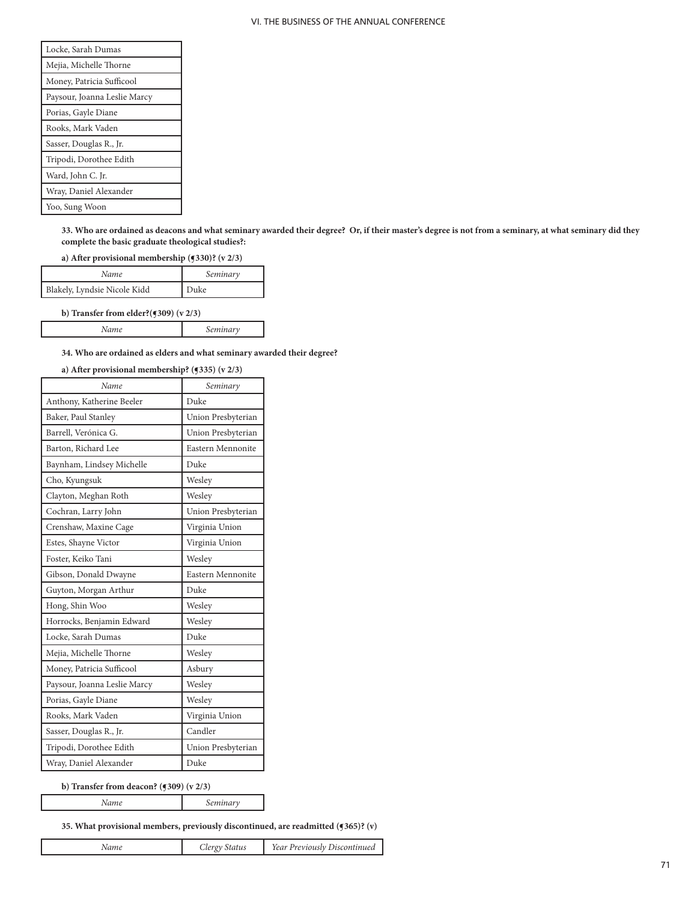| Locke, Sarah Dumas           |  |  |
|------------------------------|--|--|
| Mejia, Michelle Thorne       |  |  |
| Money, Patricia Sufficool    |  |  |
| Paysour, Joanna Leslie Marcy |  |  |
| Porias, Gayle Diane          |  |  |
| Rooks, Mark Vaden            |  |  |
| Sasser, Douglas R., Jr.      |  |  |
| Tripodi, Dorothee Edith      |  |  |
| Ward, John C. Jr.            |  |  |
| Wray, Daniel Alexander       |  |  |
| Yoo, Sung Woon               |  |  |

**33. Who are ordained as deacons and what seminary awarded their degree? Or, if their master's degree is not from a seminary, at what seminary did they complete the basic graduate theological studies?:**

**a) After provisional membership (¶330)? (v 2/3)**

| Name                         | Seminary |
|------------------------------|----------|
| Blakely, Lyndsie Nicole Kidd | Duke     |

**b) Transfer from elder?(¶309) (v 2/3)**

 $\mathsf{l}$ 

| <br>. <i>.</i> |
|----------------|
|                |

**34. Who are ordained as elders and what seminary awarded their degree?**

# **a) After provisional membership? (¶335) (v 2/3)**

| Name                         | Seminary           |
|------------------------------|--------------------|
| Anthony, Katherine Beeler    | Duke               |
| Baker, Paul Stanley          | Union Presbyterian |
| Barrell, Verónica G.         | Union Presbyterian |
| Barton, Richard Lee          | Eastern Mennonite  |
| Baynham, Lindsey Michelle    | Duke               |
| Cho, Kyungsuk                | Wesley             |
| Clayton, Meghan Roth         | Wesley             |
| Cochran, Larry John          | Union Presbyterian |
| Crenshaw, Maxine Cage        | Virginia Union     |
| Estes, Shayne Victor         | Virginia Union     |
| Foster, Keiko Tani           | Wesley             |
| Gibson, Donald Dwayne        | Eastern Mennonite  |
| Guyton, Morgan Arthur        | Duke               |
| Hong, Shin Woo               | Wesley             |
| Horrocks, Benjamin Edward    | Wesley             |
| Locke, Sarah Dumas           | Duke               |
| Mejia, Michelle Thorne       | Wesley             |
| Money, Patricia Sufficool    | Asbury             |
| Paysour, Joanna Leslie Marcy | Wesley             |
| Porias, Gayle Diane          | Wesley             |
| Rooks, Mark Vaden            | Virginia Union     |
| Sasser, Douglas R., Jr.      | Candler            |
| Tripodi, Dorothee Edith      | Union Presbyterian |
| Wray, Daniel Alexander       | Duke               |

#### **b) Transfer from deacon? (¶309) (v 2/3)**

*Name Seminary*

# **35. What provisional members, previously discontinued, are readmitted (¶365)? (v)**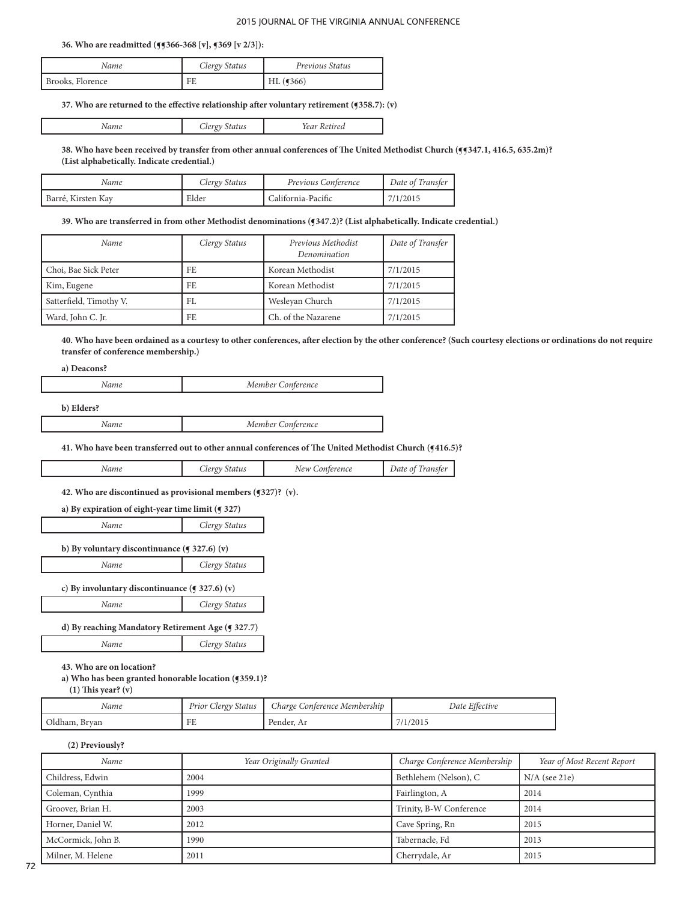#### **36. Who are readmitted (¶¶366-368 [v], ¶369 [v 2/3]):**

| Name             | Clergy Status | Previous Status       |
|------------------|---------------|-----------------------|
| Brooks, Florence | FE            | $HL$ ( $\sqrt{366}$ ) |

### **37. Who are returned to the effective relationship after voluntary retirement (¶358.7): (v)**

| <i>ivame</i> | ulus<br>ັ | eи<br>. |
|--------------|-----------|---------|

**38. Who have been received by transfer from other annual conferences of The United Methodist Church (¶¶347.1, 416.5, 635.2m)? (List alphabetically. Indicate credential.)**

| Name               | Clergy Status | Previous Conference | Date of Transfer |
|--------------------|---------------|---------------------|------------------|
| Barré, Kirsten Kav | Elder         | California-Pacific  | 7/1/2015         |

#### **39. Who are transferred in from other Methodist denominations (¶347.2)? (List alphabetically. Indicate credential.)**

| Name                    | Clergy Status | Previous Methodist<br>Denomination | Date of Transfer |
|-------------------------|---------------|------------------------------------|------------------|
| Choi, Bae Sick Peter    | FE            | Korean Methodist                   | 7/1/2015         |
| Kim, Eugene             | FE.           | Korean Methodist                   | 7/1/2015         |
| Satterfield, Timothy V. | FL.           | Weslevan Church                    | 7/1/2015         |
| Ward, John C. Jr.       | FE.           | Ch. of the Nazarene                | 7/1/2015         |

**40. Who have been ordained as a courtesy to other conferences, after election by the other conference? (Such courtesy elections or ordinations do not require transfer of conference membership.)**

**a) Deacons?**

L

| Member Con<br>iterence |
|------------------------|
|                        |

| b) Elders? |                   |
|------------|-------------------|
| Name       | Member Conference |

## **41. Who have been transferred out to other annual conferences of The United Methodist Church (¶416.5)?**

| Name<br>. | $\alpha$ v $\alpha$<br>Status | New<br>terence.<br>-41 | Date<br>$\omega$<br>ransjer |
|-----------|-------------------------------|------------------------|-----------------------------|
|-----------|-------------------------------|------------------------|-----------------------------|

## **42. Who are discontinued as provisional members (¶327)? (v).**

| a) By expiration of eight-year time limit $(9327)$        |               |  |  |
|-----------------------------------------------------------|---------------|--|--|
| Name                                                      | Clergy Status |  |  |
| b) By voluntary discontinuance $($ $\bullet$ 327.6) $(v)$ |               |  |  |
| Clergy Status<br>Name                                     |               |  |  |
| c) By involuntary discontinuance ( $\leq 327.6$ ) (v)     |               |  |  |
| Name                                                      | Clergy Status |  |  |

| d) By reaching Mandatory Retirement Age (¶ 327.7) |               |
|---------------------------------------------------|---------------|
| Name                                              | Clergy Status |

**43. Who are on location?**

## **a) Who has been granted honorable location (¶359.1)?**

 **(1) This year? (v)**

| Name          | Prior Clergy Status | Charge Conference Membership | Date Effective |
|---------------|---------------------|------------------------------|----------------|
| Oldham, Bryan | FE                  | Pender, Ar                   | 7/1/2015       |

**(2) Previously?**

| Name               | Year Originally Granted | Charge Conference Membership | Year of Most Recent Report |
|--------------------|-------------------------|------------------------------|----------------------------|
| Childress, Edwin   | 2004                    | Bethlehem (Nelson), C        | $N/A$ (see 21e)            |
| Coleman, Cynthia   | 1999                    | Fairlington, A               | 2014                       |
| Groover, Brian H.  | 2003                    | Trinity, B-W Conference      | 2014                       |
| Horner, Daniel W.  | 2012                    | Cave Spring, Rn              | 2015                       |
| McCormick, John B. | 1990                    | Tabernacle, Fd               | 2013                       |
| Milner, M. Helene  | 2011                    | Cherrydale, Ar               | 2015                       |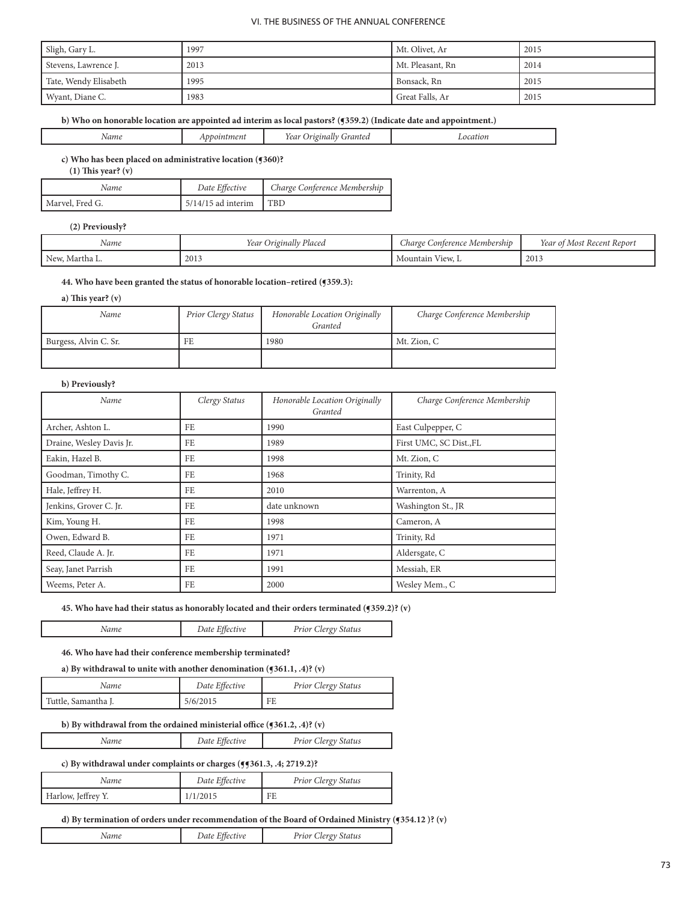| Sligh, Gary L.        | 1997 | Mt. Olivet, Ar   | 2015 |
|-----------------------|------|------------------|------|
| Stevens, Lawrence J.  | 2013 | Mt. Pleasant, Rn | 2014 |
| Tate, Wendy Elisabeth | 1995 | Bonsack, Rn      | 2015 |
| Wyant, Diane C.       | 1983 | Great Falls, Ar  | 2015 |

## **b) Who on honorable location are appointed ad interim as local pastors? (¶359.2) (Indicate date and appointment.)**

| 'Vame<br>- - | пеп. | rea <sup>,</sup><br>ranter | -1111017<br>. |
|--------------|------|----------------------------|---------------|

**c) Who has been placed on administrative location (¶360)?** 

 **(1) This year? (v)**

| Name            | Date Effective       | Charge Conference Membership |
|-----------------|----------------------|------------------------------|
| Marvel, Fred G. | $5/14/15$ ad interim | <b>TBD</b>                   |

# **(2) Previously?**

| Name         | $\sim$ 1<br>Placea<br>rear<br>Originally | : Membership<br><i>Charge</i><br>Conterence | $-$<br>Most<br>Recent Report<br>rear |
|--------------|------------------------------------------|---------------------------------------------|--------------------------------------|
| New, Martha. | 2013                                     | $\sim$ View, $\sim$<br>Mountain             | 2013                                 |

# **44. Who have been granted the status of honorable location–retired (¶359.3):**

# **a) This year? (v)**

| Name                  | Prior Clergy Status | Honorable Location Originally<br>Granted | Charge Conference Membership |
|-----------------------|---------------------|------------------------------------------|------------------------------|
| Burgess, Alvin C. Sr. | FE                  | 1980                                     | Mt. Zion, C                  |
|                       |                     |                                          |                              |

## **b) Previously?**

L

| Name                     | Clergy Status | Honorable Location Originally<br>Granted | Charge Conference Membership |
|--------------------------|---------------|------------------------------------------|------------------------------|
| Archer, Ashton L.        | FE            | 1990                                     | East Culpepper, C            |
| Draine, Wesley Davis Jr. | FE            | 1989                                     | First UMC, SC Dist., FL      |
| Eakin, Hazel B.          | FE            | 1998                                     | Mt. Zion, C                  |
| Goodman, Timothy C.      | FE            | 1968                                     | Trinity, Rd                  |
| Hale, Jeffrey H.         | FE            | 2010                                     | Warrenton, A                 |
| Jenkins, Grover C. Jr.   | FE            | date unknown                             | Washington St., JR           |
| Kim, Young H.            | FE            | 1998                                     | Cameron, A                   |
| Owen, Edward B.          | FE            | 1971                                     | Trinity, Rd                  |
| Reed, Claude A. Jr.      | FE            | 1971                                     | Aldersgate, C                |
| Seay, Janet Parrish      | FE            | 1991                                     | Messiah, ER                  |
| Weems, Peter A.          | FE            | 2000                                     | Wesley Mem., C               |

## **45. Who have had their status as honorably located and their orders terminated (¶359.2)? (v)**

*Name Date Effective Prior Clergy Status* 

**46. Who have had their conference membership terminated?**

**a) By withdrawal to unite with another denomination (¶361.1, .4)? (v)**

| Name                | Date Effective | <b>Prior Clergy Status</b> |
|---------------------|----------------|----------------------------|
| Tuttle, Samantha J. | 5/6/2015       | FE                         |

# **b) By withdrawal from the ordained ministerial office (¶361.2, .4)? (v)**

| √ame | Date Effective | Prior Clergy Status |
|------|----------------|---------------------|
|      |                |                     |

# **c) By withdrawal under complaints or charges (¶¶361.3, .4; 2719.2)?**

| Name               | Date Effective | <b>Prior Clergy Status</b> |
|--------------------|----------------|----------------------------|
| Harlow, Jeffrey Y. | 1/1/2015       | FE                         |

## d) By termination of orders under recommendation of the Board of Ordained Ministry (¶354.12 )? (v)

| $P$ rior $C_{1}$<br>status<br><i>vame</i> |
|-------------------------------------------|
|-------------------------------------------|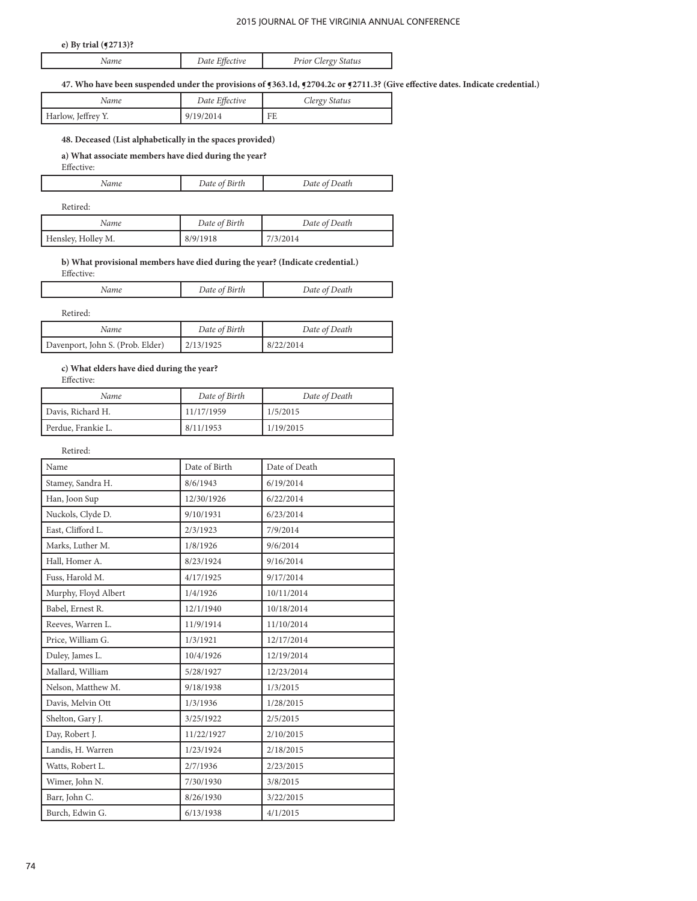# **e) By trial (¶2713)?**

# **47. Who have been suspended under the provisions of ¶363.1d, ¶2704.2c or ¶2711.3? (Give effective dates. Indicate credential.)**

|                                       | Clergy Status |
|---------------------------------------|---------------|
| Harlow, Jeffrey Y.<br>9/19/2014<br>FE |               |

# **48. Deceased (List alphabetically in the spaces provided)**

# **a) What associate members have died during the year?**

Effective:

| Name     | Date of Birth | Date of Death |
|----------|---------------|---------------|
| Retired: |               |               |
|          |               |               |

| Name               | Date of Birth | Date of Death |  |
|--------------------|---------------|---------------|--|
| Hensley, Holley M. | 8/9/1918      | 17/3/2014     |  |

# **b) What provisional members have died during the year? (Indicate credential.)**

| Hective: |               |               |
|----------|---------------|---------------|
| lame     | Date of Birth | Date of Death |

Retired:

| Name                             | Date of Birth | Date of Death |
|----------------------------------|---------------|---------------|
| Davenport, John S. (Prob. Elder) | 2/13/1925     | 8/22/2014     |

# **c) What elders have died during the year?**

Effective:

| Name               | Date of Birth | Date of Death |
|--------------------|---------------|---------------|
| Davis, Richard H.  | 11/17/1959    | 1/5/2015      |
| Perdue, Frankie L. | 8/11/1953     | 1/19/2015     |

Retired:

| Name                 | Date of Birth | Date of Death |
|----------------------|---------------|---------------|
| Stamey, Sandra H.    | 8/6/1943      | 6/19/2014     |
| Han, Joon Sup        | 12/30/1926    | 6/22/2014     |
| Nuckols, Clyde D.    | 9/10/1931     | 6/23/2014     |
| East, Clifford L.    | 2/3/1923      | 7/9/2014      |
| Marks, Luther M.     | 1/8/1926      | 9/6/2014      |
| Hall, Homer A.       | 8/23/1924     | 9/16/2014     |
| Fuss, Harold M.      | 4/17/1925     | 9/17/2014     |
| Murphy, Floyd Albert | 1/4/1926      | 10/11/2014    |
| Babel, Ernest R.     | 12/1/1940     | 10/18/2014    |
| Reeves, Warren L.    | 11/9/1914     | 11/10/2014    |
| Price, William G.    | 1/3/1921      | 12/17/2014    |
| Duley, James L.      | 10/4/1926     | 12/19/2014    |
| Mallard, William     | 5/28/1927     | 12/23/2014    |
| Nelson, Matthew M.   | 9/18/1938     | 1/3/2015      |
| Davis, Melvin Ott    | 1/3/1936      | 1/28/2015     |
| Shelton, Gary J.     | 3/25/1922     | 2/5/2015      |
| Day, Robert J.       | 11/22/1927    | 2/10/2015     |
| Landis, H. Warren    | 1/23/1924     | 2/18/2015     |
| Watts, Robert L.     | 2/7/1936      | 2/23/2015     |
| Wimer, John N.       | 7/30/1930     | 3/8/2015      |
| Barr, John C.        | 8/26/1930     | 3/22/2015     |
| Burch, Edwin G.      | 6/13/1938     | 4/1/2015      |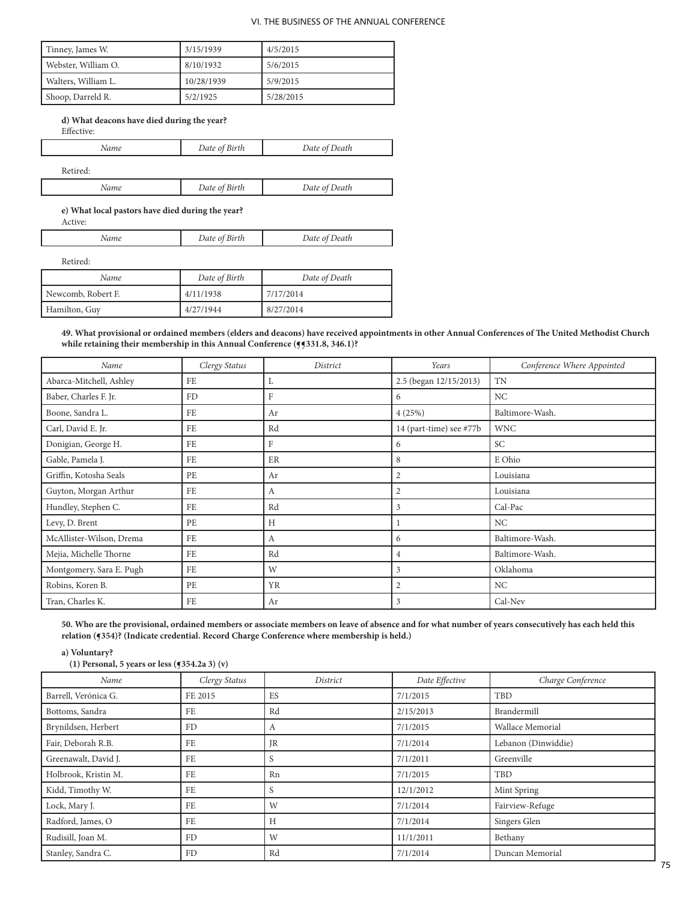| Tinney, James W.    | 3/15/1939  | 4/5/2015  |
|---------------------|------------|-----------|
| Webster, William O. | 8/10/1932  | 5/6/2015  |
| Walters, William L. | 10/28/1939 | 5/9/2015  |
| Shoop, Darreld R.   | 5/2/1925   | 5/28/2015 |

# **d) What deacons have died during the year?** Effective:

| Name     | Date of Birth | Date of Death |
|----------|---------------|---------------|
| Retired: |               |               |
| Name     | Date of Birth | Date of Death |

**e) What local pastors have died during the year?** Active:

| Date<br>ыrtn | Date<br>Death |
|--------------|---------------|
|              |               |

Retired:

| Name               | Date of Birth | Date of Death |
|--------------------|---------------|---------------|
| Newcomb, Robert F. | 4/11/1938     | 7/17/2014     |
| Hamilton, Guy      | 4/27/1944     | 8/27/2014     |

**49. What provisional or ordained members (elders and deacons) have received appointments in other Annual Conferences of The United Methodist Church**  while retaining their membership in this Annual Conference (**[**[331.8, 346.1]?

| Name                     | Clergy Status | District | Years                   | Conference Where Appointed |
|--------------------------|---------------|----------|-------------------------|----------------------------|
| Abarca-Mitchell, Ashley  | FE            | L        | 2.5 (began 12/15/2013)  | <b>TN</b>                  |
| Baber, Charles F. Jr.    | FD            | F        | 6                       | NC                         |
| Boone, Sandra L.         | FE            | Ar       | 4(25%)                  | Baltimore-Wash.            |
| Carl, David E. Jr.       | FE            | Rd       | 14 (part-time) see #77b | <b>WNC</b>                 |
| Donigian, George H.      | FE            | F        | 6                       | SC                         |
| Gable, Pamela J.         | FE            | ER       | 8                       | E Ohio                     |
| Griffin, Kotosha Seals   | PE            | Ar       | 2                       | Louisiana                  |
| Guyton, Morgan Arthur    | FE            | А        | $\overline{2}$          | Louisiana                  |
| Hundley, Stephen C.      | FE            | Rd       | 3                       | Cal-Pac                    |
| Levy, D. Brent           | PE            | Н        |                         | NC.                        |
| McAllister-Wilson, Drema | FE            | A        | 6                       | Baltimore-Wash.            |
| Mejia, Michelle Thorne   | FE            | Rd       | 4                       | Baltimore-Wash.            |
| Montgomery, Sara E. Pugh | FE            | W        | 3                       | Oklahoma                   |
| Robins, Koren B.         | PE            | YR       | $\overline{2}$          | NC                         |
| Tran, Charles K.         | FE            | Ar       | 3                       | Cal-Nev                    |

**50. Who are the provisional, ordained members or associate members on leave of absence and for what number of years consecutively has each held this relation (¶354)? (Indicate credential. Record Charge Conference where membership is held.)**

**a) Voluntary?** 

| (1) Personal, 5 years or less $(9354.2a 3)$ (v) |               |           |                |                     |
|-------------------------------------------------|---------------|-----------|----------------|---------------------|
| Name                                            | Clergy Status | District  | Date Effective | Charge Conference   |
| Barrell, Verónica G.                            | FE 2015       | ES        | 7/1/2015       | TBD                 |
| Bottoms, Sandra                                 | FE            | Rd        | 2/15/2013      | Brandermill         |
| Brynildsen, Herbert                             | FD            | A         | 7/1/2015       | Wallace Memorial    |
| Fair, Deborah R.B.                              | FE            | <b>JR</b> | 7/1/2014       | Lebanon (Dinwiddie) |
| Greenawalt, David J.                            | FE            | S         | 7/1/2011       | Greenville          |
| Holbrook, Kristin M.                            | FE            | Rn        | 7/1/2015       | TBD                 |
| Kidd, Timothy W.                                | FE            | S         | 12/1/2012      | Mint Spring         |
| Lock, Mary J.                                   | FE            | W         | 7/1/2014       | Fairview-Refuge     |
| Radford, James, O                               | FE            | H         | 7/1/2014       | Singers Glen        |
| Rudisill, Joan M.                               | FD            | W         | 11/1/2011      | Bethany             |
| Stanley, Sandra C.                              | FD            | Rd        | 7/1/2014       | Duncan Memorial     |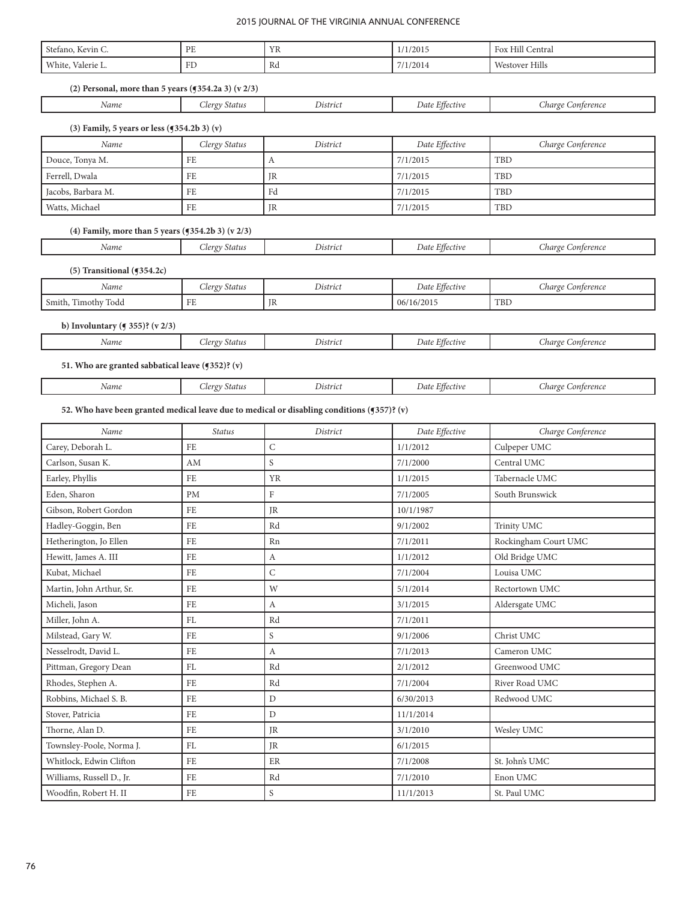| Stefano, Kevin C.                                       | PE            | YR                                                                                         | 1/1/2015       | Fox Hill Central     |
|---------------------------------------------------------|---------------|--------------------------------------------------------------------------------------------|----------------|----------------------|
| White, Valerie L.                                       | FD            | Rd                                                                                         | 7/1/2014       | Westover Hills       |
| (2) Personal, more than 5 years $(9354.2a 3)$ (v $2/3)$ |               |                                                                                            |                |                      |
| Name                                                    | Clergy Status | District                                                                                   | Date Effective | Charge Conference    |
|                                                         |               |                                                                                            |                |                      |
| (3) Family, 5 years or less $(9354.2b 3)$ (v)           |               |                                                                                            |                |                      |
| Name                                                    | Clergy Status | District                                                                                   | Date Effective | Charge Conference    |
| Douce, Tonya M.                                         | FE            | A                                                                                          | 7/1/2015       | TBD                  |
| Ferrell, Dwala                                          | FE            | JR                                                                                         | 7/1/2015       | TBD                  |
| Jacobs, Barbara M.                                      | FE            | Fd                                                                                         | 7/1/2015       | TBD                  |
| Watts, Michael                                          | FE            | JR                                                                                         | 7/1/2015       | TBD                  |
| (4) Family, more than 5 years $(9354.2b 3)$ (v 2/3)     |               |                                                                                            |                |                      |
| Name                                                    | Clergy Status | District                                                                                   | Date Effective | Charge Conference    |
| $(5)$ Transitional ( $(354.2c)$                         |               |                                                                                            |                |                      |
| Name                                                    | Clergy Status | District                                                                                   | Date Effective | Charge Conference    |
| Smith, Timothy Todd                                     | FE            | JR                                                                                         | 06/16/2015     | TBD                  |
| b) Involuntary ( $\leq$ 355)? (v 2/3)                   |               |                                                                                            |                |                      |
| Name                                                    | Clergy Status | District                                                                                   | Date Effective | Charge Conference    |
|                                                         |               |                                                                                            |                |                      |
| 51. Who are granted sabbatical leave (¶352)? (v)        |               |                                                                                            |                |                      |
| Name                                                    | Clergy Status | District                                                                                   | Date Effective | Charge Conference    |
|                                                         |               | 52. Who have been granted medical leave due to medical or disabling conditions (5357)? (v) |                |                      |
|                                                         |               |                                                                                            |                |                      |
| Name                                                    | <b>Status</b> | District                                                                                   | Date Effective | Charge Conference    |
| Carey, Deborah L.                                       | $\rm FE$      | $\mathsf C$                                                                                | 1/1/2012       | Culpeper UMC         |
| Carlson, Susan K.                                       | AM            | S                                                                                          | 7/1/2000       | Central UMC          |
| Earley, Phyllis                                         | FE            | YR                                                                                         | 1/1/2015       | Tabernacle UMC       |
| Eden, Sharon                                            | <b>PM</b>     | ${\rm F}$                                                                                  | 7/1/2005       | South Brunswick      |
| Gibson, Robert Gordon                                   | FE            | JR                                                                                         | 10/1/1987      |                      |
| Hadley-Goggin, Ben                                      | FE            | Rd                                                                                         | 9/1/2002       | Trinity UMC          |
| Hetherington, Jo Ellen                                  | FE            | Rn                                                                                         | 7/1/2011       | Rockingham Court UMC |
| Hewitt, James A. III                                    | FE            | A                                                                                          | 1/1/2012       | Old Bridge UMC       |
| Kubat, Michael                                          | FE            | $\mathsf C$                                                                                | 7/1/2004       | Louisa UMC           |
| Martin, John Arthur, Sr.                                | FE            | W                                                                                          | 5/1/2014       | Rectortown UMC       |
| Micheli, Jason                                          | FE            | A                                                                                          | 3/1/2015       | Aldersgate UMC       |
| Miller, John A.                                         | FL            | Rd                                                                                         | 7/1/2011       |                      |
| Milstead, Gary W.                                       | FE            | $\mathbf S$                                                                                | 9/1/2006       | Christ UMC           |
| Nesselrodt, David L.                                    | FE            | $\boldsymbol{A}$                                                                           | 7/1/2013       | Cameron UMC          |
| Pittman, Gregory Dean                                   | FL            | Rd                                                                                         | 2/1/2012       | Greenwood UMC        |
| Rhodes, Stephen A.                                      | FE            | Rd                                                                                         | 7/1/2004       | River Road UMC       |
| Robbins, Michael S. B.                                  | FE            | $\mathbf D$                                                                                | 6/30/2013      | Redwood UMC          |
| Stover, Patricia                                        | FE            | D                                                                                          | 11/1/2014      |                      |
| Thorne, Alan D.                                         | FE            | JR                                                                                         | 3/1/2010       | Wesley UMC           |
| Townsley-Poole, Norma J.                                | FL            | JR                                                                                         | 6/1/2015       |                      |
| Whitlock, Edwin Clifton                                 | FE            | ER                                                                                         | 7/1/2008       | St. John's UMC       |
| Williams, Russell D., Jr.                               | FE            | Rd                                                                                         | 7/1/2010       | Enon UMC             |
| Woodfin, Robert H. II                                   | $\rm FE$      | $\mathbf S$                                                                                | 11/1/2013      | St. Paul UMC         |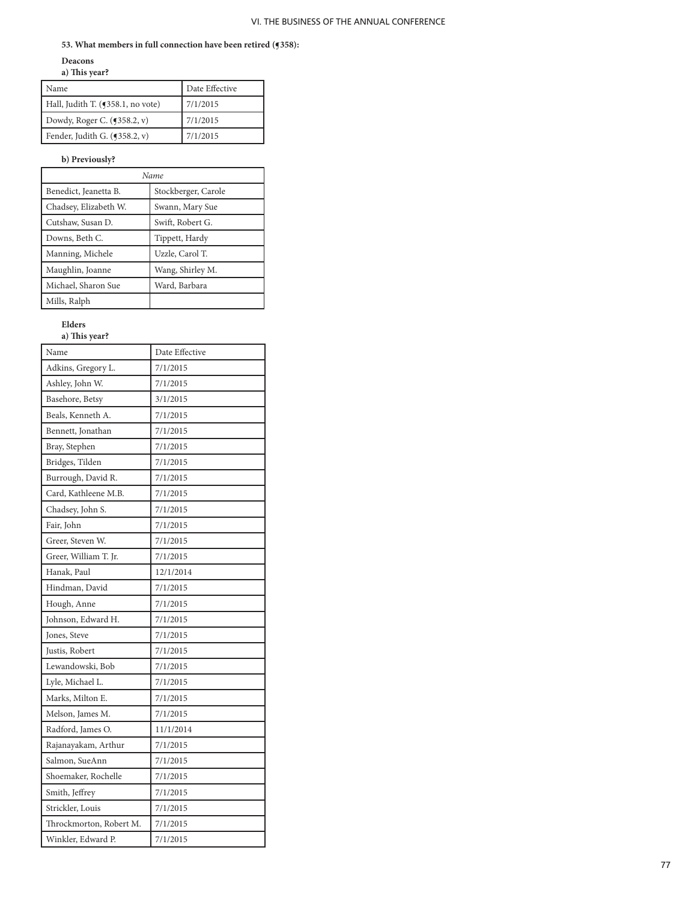# **53. What members in full connection have been retired (¶358):**

### **Deacons a) This year?**

| Name                              | Date Effective |
|-----------------------------------|----------------|
| Hall, Judith T. (¶358.1, no vote) | 7/1/2015       |
| Dowdy, Roger C. (¶358.2, v)       | 7/1/2015       |
| Fender, Judith G. $(9358.2, v)$   | 7/1/2015       |

# **b) Previously?**

| Name                  |                     |  |  |
|-----------------------|---------------------|--|--|
| Benedict, Jeanetta B. | Stockberger, Carole |  |  |
| Chadsey, Elizabeth W. | Swann, Mary Sue     |  |  |
| Cutshaw, Susan D.     | Swift, Robert G.    |  |  |
| Downs, Beth C.        | Tippett, Hardy      |  |  |
| Manning, Michele      | Uzzle, Carol T.     |  |  |
| Maughlin, Joanne      | Wang, Shirley M.    |  |  |
| Michael, Sharon Sue   | Ward, Barbara       |  |  |
| Mills, Ralph          |                     |  |  |

# **Elders a) This year?**

| Name                    | Date Effective |
|-------------------------|----------------|
| Adkins, Gregory L.      | 7/1/2015       |
| Ashley, John W.         | 7/1/2015       |
| Basehore, Betsy         | 3/1/2015       |
| Beals, Kenneth A.       | 7/1/2015       |
| Bennett, Jonathan       | 7/1/2015       |
| Bray, Stephen           | 7/1/2015       |
| Bridges, Tilden         | 7/1/2015       |
| Burrough, David R.      | 7/1/2015       |
| Card, Kathleene M.B.    | 7/1/2015       |
| Chadsey, John S.        | 7/1/2015       |
| Fair, John              | 7/1/2015       |
| Greer, Steven W.        | 7/1/2015       |
| Greer, William T. Jr.   | 7/1/2015       |
| Hanak, Paul             | 12/1/2014      |
| Hindman, David          | 7/1/2015       |
| Hough, Anne             | 7/1/2015       |
| Johnson, Edward H.      | 7/1/2015       |
| Jones, Steve            | 7/1/2015       |
| Justis, Robert          | 7/1/2015       |
| Lewandowski, Bob        | 7/1/2015       |
| Lyle, Michael L.        | 7/1/2015       |
| Marks, Milton E.        | 7/1/2015       |
| Melson, James M.        | 7/1/2015       |
| Radford, James O.       | 11/1/2014      |
| Rajanayakam, Arthur     | 7/1/2015       |
| Salmon, SueAnn          | 7/1/2015       |
| Shoemaker, Rochelle     | 7/1/2015       |
| Smith, Jeffrey          | 7/1/2015       |
| Strickler, Louis        | 7/1/2015       |
| Throckmorton, Robert M. | 7/1/2015       |
| Winkler, Edward P.      | 7/1/2015       |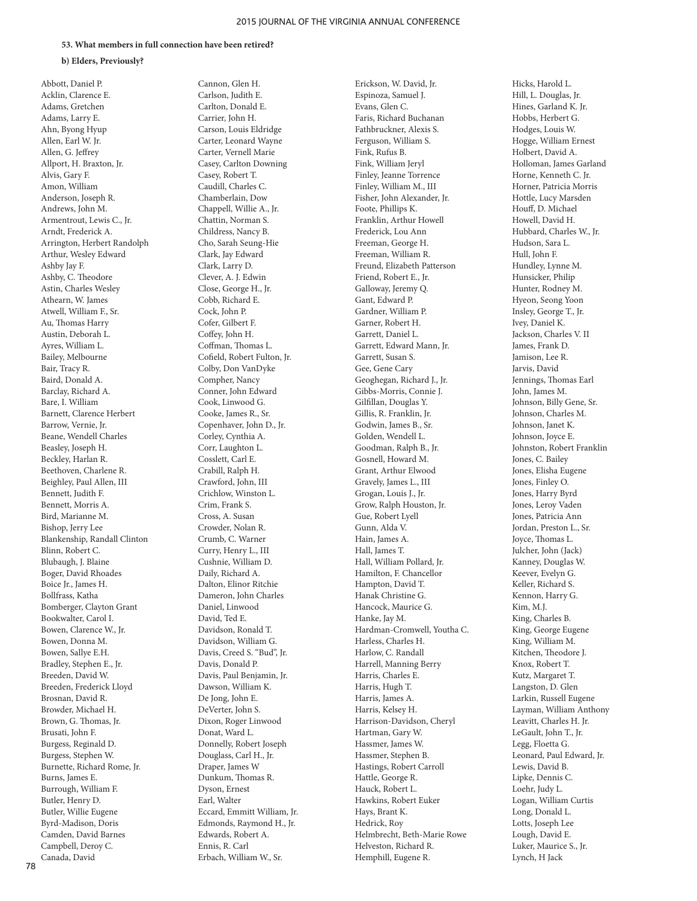### **53. What members in full connection have been retired?**

#### **b) Elders, Previously?**

Abbott, Daniel P. Acklin, Clarence E. Adams, Gretchen Adams, Larry E. Ahn, Byong Hyup Allen, Earl W. Jr. Allen, G. Jeffrey Allport, H. Braxton, Jr. Alvis, Gary F. Amon, William Anderson, Joseph R. Andrews, John M. Armentrout, Lewis C., Jr. Arndt, Frederick A. Arrington, Herbert Randolph Arthur, Wesley Edward Ashby Jay F. Ashby, C. Theodore Astin, Charles Wesley Athearn, W. James Atwell, William F., Sr. Au, Thomas Harry Austin, Deborah L. Ayres, William L. Bailey, Melbourne Bair, Tracy R. Baird, Donald A. Barclay, Richard A. Bare, I. William Barnett, Clarence Herbert Barrow, Vernie, Jr. Beane, Wendell Charles Beasley, Joseph H. Beckley, Harlan R. Beethoven, Charlene R. Beighley, Paul Allen, III Bennett, Judith F. Bennett, Morris A. Bird, Marianne M. Bishop, Jerry Lee Blankenship, Randall Clinton Blinn, Robert C. Blubaugh, J. Blaine Boger, David Rhoades Boice Jr., James H. Bollfrass, Katha Bomberger, Clayton Grant Bookwalter, Carol I. Bowen, Clarence W., Jr. Bowen, Donna M. Bowen, Sallye E.H. Bradley, Stephen E., Jr. Breeden, David W. Breeden, Frederick Lloyd Brosnan, David R. Browder, Michael H. Brown, G. Thomas, Jr. Brusati, John F. Burgess, Reginald D. Burgess, Stephen W. Burnette, Richard Rome, Jr. Burns, James E. Burrough, William F. Butler, Henry D. Butler, Willie Eugene Byrd-Madison, Doris Camden, David Barnes Campbell, Deroy C. Canada, David

Cannon, Glen H. Carlson, Judith E. Carlton, Donald E. Carrier, John H. Carson, Louis Eldridge Carter, Leonard Wayne Carter, Vernell Marie Casey, Carlton Downing Casey, Robert T. Caudill, Charles C. Chamberlain, Dow Chappell, Willie A., Jr. Chattin, Norman S. Childress, Nancy B. Cho, Sarah Seung-Hie Clark, Jay Edward Clark, Larry D. Clever, A. J. Edwin Close, George H., Jr. Cobb, Richard E. Cock, John P. Cofer, Gilbert F. Coffey, John H. Coffman, Thomas L. Cofield, Robert Fulton, Jr. Colby, Don VanDyke Compher, Nancy Conner, John Edward Cook, Linwood G. Cooke, James R., Sr. Copenhaver, John D., Jr. Corley, Cynthia A. Corr, Laughton L. Cosslett, Carl E. Crabill, Ralph H. Crawford, John, III Crichlow, Winston L. Crim, Frank S. Cross, A. Susan Crowder, Nolan R. Crumb, C. Warner Curry, Henry L., III Cushnie, William D. Daily, Richard A. Dalton, Elinor Ritchie Dameron, John Charles Daniel, Linwood David, Ted E. Davidson, Ronald T. Davidson, William G. Davis, Creed S. "Bud", Jr. Davis, Donald P. Davis, Paul Benjamin, Jr. Dawson, William K. De Jong, John E. DeVerter, John S. Dixon, Roger Linwood Donat, Ward L. Donnelly, Robert Joseph Douglass, Carl H., Jr. Draper, James W Dunkum, Thomas R. Dyson, Ernest Earl, Walter Eccard, Emmitt William, Jr. Edmonds, Raymond H., Jr. Edwards, Robert A. Ennis, R. Carl Erbach, William W., Sr.

Erickson, W. David, Jr. Espinoza, Samuel J. Evans, Glen C. Faris, Richard Buchanan Fathbruckner, Alexis S. Ferguson, William S. Fink, Rufus B. Fink, William Jeryl Finley, Jeanne Torrence Finley, William M., III Fisher, John Alexander, Jr. Foote, Phillips K. Franklin, Arthur Howell Frederick, Lou Ann Freeman, George H. Freeman, William R. Freund, Elizabeth Patterson Friend, Robert E., Jr. Galloway, Jeremy Q. Gant, Edward P. Gardner, William P. Garner, Robert H. Garrett, Daniel L. Garrett, Edward Mann, Jr. Garrett, Susan S. Gee, Gene Cary Geoghegan, Richard J., Jr. Gibbs-Morris, Connie J. Gilfillan, Douglas Y. Gillis, R. Franklin, Jr. Godwin, James B., Sr. Golden, Wendell L. Goodman, Ralph B., Jr. Gosnell, Howard M. Grant, Arthur Elwood Gravely, James L., III Grogan, Louis J., Jr. Grow, Ralph Houston, Jr. Gue, Robert Lyell Gunn, Alda V. Hain, James A. Hall, James T. Hall, William Pollard, Jr. Hamilton, F. Chancellor Hampton, David T. Hanak Christine G. Hancock, Maurice G. Hanke, Jay M. Hardman-Cromwell, Youtha C. Harless, Charles H. Harlow, C. Randall Harrell, Manning Berry Harris, Charles E. Harris, Hugh T. Harris, James A. Harris, Kelsey H. Harrison-Davidson, Cheryl Hartman, Gary W. Hassmer, James W. Hassmer, Stephen B. Hastings, Robert Carroll Hattle, George R. Hauck, Robert L. Hawkins, Robert Euker Hays, Brant K. Hedrick, Roy Helmbrecht, Beth-Marie Rowe Helveston, Richard R. Hemphill, Eugene R.

Hicks, Harold L. Hill, L. Douglas, Jr. Hines, Garland K. Jr. Hobbs, Herbert G. Hodges, Louis W. Hogge, William Ernest Holbert, David A. Holloman, James Garland Horne, Kenneth C. Jr. Horner, Patricia Morris Hottle, Lucy Marsden Houff, D. Michael Howell, David H. Hubbard, Charles W., Jr. Hudson, Sara L. Hull, John F. Hundley, Lynne M. Hunsicker, Philip Hunter, Rodney M. Hyeon, Seong Yoon Insley, George T., Jr. Ivey, Daniel K. Jackson, Charles V. II James, Frank D. Jamison, Lee R. Jarvis, David Jennings, Thomas Earl John, James M. Johnson, Billy Gene, Sr. Johnson, Charles M. Johnson, Janet K. Johnson, Joyce E. Johnston, Robert Franklin Jones, C. Bailey Jones, Elisha Eugene Jones, Finley O. Jones, Harry Byrd Jones, Leroy Vaden Jones, Patricia Ann Jordan, Preston L., Sr. Joyce, Thomas L. Julcher, John (Jack) Kanney, Douglas W. Keever, Evelyn G. Keller, Richard S. Kennon, Harry G. Kim, M.J. King, Charles B. King, George Eugene King, William M. Kitchen, Theodore J. Knox, Robert T. Kutz, Margaret T. Langston, D. Glen Larkin, Russell Eugene Layman, William Anthony Leavitt, Charles H. Jr. LeGault, John T., Jr. Legg, Floetta G. Leonard, Paul Edward, Jr. Lewis, David B. Lipke, Dennis C. Loehr, Judy L. Logan, William Curtis Long, Donald L. Lotts, Joseph Lee Lough, David E. Luker, Maurice S., Jr. Lynch, H Jack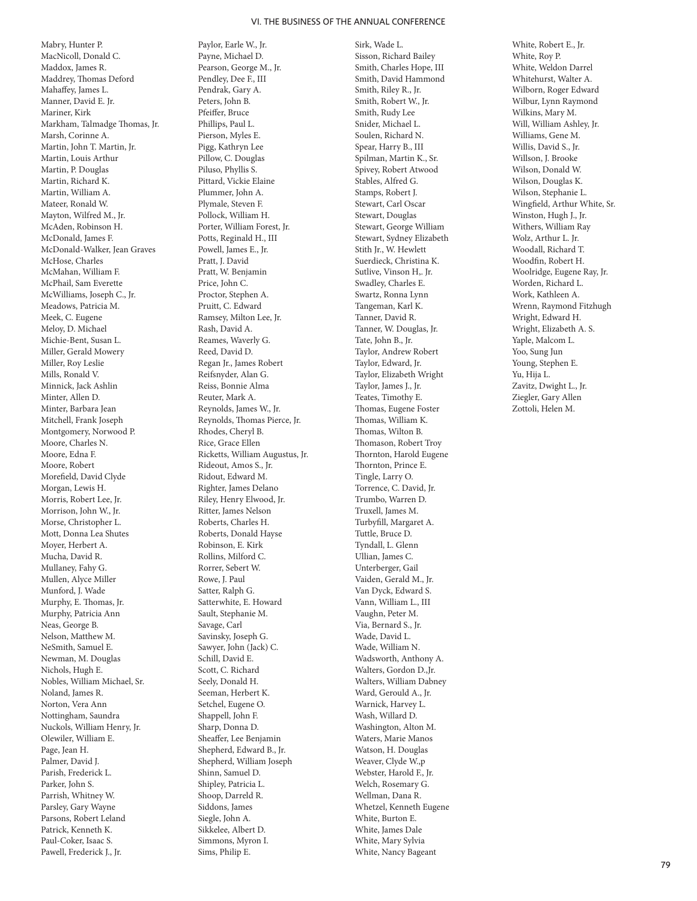Mabry, Hunter P. MacNicoll, Donald C. Maddox, James R. Maddrey, Thomas Deford Mahaffey, James L. Manner, David E. Jr. Mariner, Kirk Markham, Talmadge Thomas, Jr. Marsh, Corinne A. Martin, John T. Martin, Jr. Martin, Louis Arthur Martin, P. Douglas Martin, Richard K. Martin, William A. Mateer, Ronald W. Mayton, Wilfred M., Jr. McAden, Robinson H. McDonald, James F. McDonald-Walker, Jean Graves McHose, Charles McMahan, William F. McPhail, Sam Everette McWilliams, Joseph C., Jr. Meadows, Patricia M. Meek, C. Eugene Meloy, D. Michael Michie-Bent, Susan L. Miller, Gerald Mowery Miller, Roy Leslie Mills, Ronald V. Minnick, Jack Ashlin Minter, Allen D. Minter, Barbara Jean Mitchell, Frank Joseph Montgomery, Norwood P. Moore, Charles N. Moore, Edna F. Moore, Robert Morefield, David Clyde Morgan, Lewis H. Morris, Robert Lee, Jr. Morrison, John W., Jr. Morse, Christopher L. Mott, Donna Lea Shutes Moyer, Herbert A. Mucha, David R. Mullaney, Fahy G. Mullen, Alyce Miller Munford, J. Wade Murphy, E. Thomas, Jr. Murphy, Patricia Ann Neas, George B. Nelson, Matthew M. NeSmith, Samuel E. Newman, M. Douglas Nichols, Hugh E. Nobles, William Michael, Sr. Noland, James R. Norton, Vera Ann Nottingham, Saundra Nuckols, William Henry, Jr. Olewiler, William E. Page, Jean H. Palmer, David J. Parish, Frederick L. Parker, John S. Parrish, Whitney W. Parsley, Gary Wayne Parsons, Robert Leland Patrick, Kenneth K. Paul-Coker, Isaac S. Pawell, Frederick J., Jr.

Paylor, Earle W., Jr. Payne, Michael D. Pearson, George M., Jr. Pendley, Dee F., III Pendrak, Gary A. Peters, John B. Pfeiffer, Bruce Phillips, Paul L. Pierson, Myles E. Pigg, Kathryn Lee Pillow, C. Douglas Piluso, Phyllis S. Pittard, Vickie Elaine Plummer, John A. Plymale, Steven F. Pollock, William H. Porter, William Forest, Jr. Potts, Reginald H., III Powell, James E., Jr. Pratt, J. David Pratt, W. Benjamin Price, John C. Proctor, Stephen A. Pruitt, C. Edward Ramsey, Milton Lee, Jr. Rash, David A. Reames, Waverly G. Reed, David D. Regan Jr., James Robert Reifsnyder, Alan G. Reiss, Bonnie Alma Reuter, Mark A. Reynolds, James W., Jr. Reynolds, Thomas Pierce, Jr. Rhodes, Cheryl B. Rice, Grace Ellen Ricketts, William Augustus, Jr. Rideout, Amos S., Jr. Ridout, Edward M. Righter, James Delano Riley, Henry Elwood, Jr. Ritter, James Nelson Roberts, Charles H. Roberts, Donald Hayse Robinson, E. Kirk Rollins, Milford C. Rorrer, Sebert W. Rowe, J. Paul Satter, Ralph G. Satterwhite, E. Howard Sault, Stephanie M. Savage, Carl Savinsky, Joseph G. Sawyer, John (Jack) C. Schill, David E. Scott, C. Richard Seely, Donald H. Seeman, Herbert K. Setchel, Eugene O. Shappell, John F. Sharp, Donna D. Sheaffer, Lee Benjamin Shepherd, Edward B., Jr. Shepherd, William Joseph Shinn, Samuel D. Shipley, Patricia L. Shoop, Darreld R. Siddons, James Siegle, John A. Sikkelee, Albert D. Simmons, Myron I. Sims, Philip E.

Sirk, Wade L. Sisson, Richard Bailey Smith, Charles Hope, III Smith, David Hammond Smith, Riley R., Jr. Smith, Robert W., Jr. Smith, Rudy Lee Snider, Michael L. Soulen, Richard N. Spear, Harry B., III Spilman, Martin K., Sr. Spivey, Robert Atwood Stables, Alfred G. Stamps, Robert J. Stewart, Carl Oscar Stewart, Douglas Stewart, George William Stewart, Sydney Elizabeth Stith Jr., W. Hewlett Suerdieck, Christina K. Sutlive, Vinson H,. Jr. Swadley, Charles E. Swartz, Ronna Lynn Tangeman, Karl K. Tanner, David R. Tanner, W. Douglas, Jr. Tate, John B., Jr. Taylor, Andrew Robert Taylor, Edward, Jr. Taylor, Elizabeth Wright Taylor, James J., Jr. Teates, Timothy E. Thomas, Eugene Foster Thomas, William K. Thomas, Wilton B. Thomason, Robert Troy Thornton, Harold Eugene Thornton, Prince E. Tingle, Larry O. Torrence, C. David, Jr. Trumbo, Warren D. Truxell, James M. Turbyfill, Margaret A. Tuttle, Bruce D. Tyndall, L. Glenn Ullian, James C. Unterberger, Gail Vaiden, Gerald M., Jr. Van Dyck, Edward S. Vann, William L., III Vaughn, Peter M. Via, Bernard S., Jr. Wade, David L. Wade, William N. Wadsworth, Anthony A. Walters, Gordon D.,Jr. Walters, William Dabney Ward, Gerould A., Jr. Warnick, Harvey L. Wash, Willard D. Washington, Alton M. Waters, Marie Manos Watson, H. Douglas Weaver, Clyde W.,p Webster, Harold F., Jr. Welch, Rosemary G. Wellman, Dana R. Whetzel, Kenneth Eugene White, Burton E. White, James Dale White, Mary Sylvia White, Nancy Bageant

White, Robert E., Jr. White, Roy P. White, Weldon Darrel Whitehurst, Walter A. Wilborn, Roger Edward Wilbur, Lynn Raymond Wilkins, Mary M. Will, William Ashley, Jr. Williams, Gene M. Willis, David S., Jr. Willson, J. Brooke Wilson, Donald W. Wilson, Douglas K. Wilson, Stephanie L. Wingfield, Arthur White, Sr. Winston, Hugh J., Jr. Withers, William Ray Wolz, Arthur L. Jr. Woodall, Richard T. Woodfin, Robert H. Woolridge, Eugene Ray, Jr. Worden, Richard L. Work, Kathleen A. Wrenn, Raymond Fitzhugh Wright, Edward H. Wright, Elizabeth A. S. Yaple, Malcom L. Yoo, Sung Jun Young, Stephen E. Yu, Hija L. Zavitz, Dwight L., Jr. Ziegler, Gary Allen Zottoli, Helen M.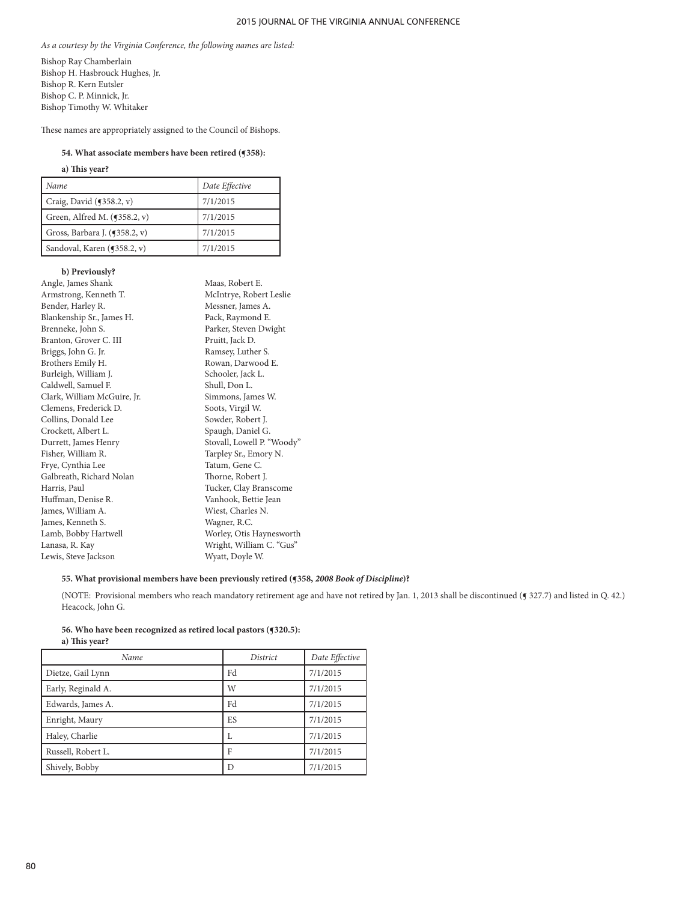*As a courtesy by the Virginia Conference, the following names are listed:*

Bishop Ray Chamberlain Bishop H. Hasbrouck Hughes, Jr. Bishop R. Kern Eutsler Bishop C. P. Minnick, Jr. Bishop Timothy W. Whitaker

These names are appropriately assigned to the Council of Bishops.

#### **54. What associate members have been retired (¶358):**

# **a) This year?**

| Name                           | Date Effective |
|--------------------------------|----------------|
| Craig, David $(9358.2, v)$     | 7/1/2015       |
| Green, Alfred M. $(9358.2, v)$ | 7/1/2015       |
| Gross, Barbara J. (¶358.2, v)  | 7/1/2015       |
| Sandoval, Karen (¶358.2, v)    | 7/1/2015       |

### **b) Previously?**

| Angle, James Shank          | Maas, Robert E.            |
|-----------------------------|----------------------------|
| Armstrong, Kenneth T.       | McIntrye, Robert Leslie    |
| Bender, Harley R.           | Messner, James A.          |
| Blankenship Sr., James H.   | Pack, Raymond E.           |
| Brenneke, John S.           | Parker, Steven Dwight      |
| Branton, Grover C. III      | Pruitt, Jack D.            |
| Briggs, John G. Jr.         | Ramsey, Luther S.          |
| Brothers Emily H.           | Rowan, Darwood E.          |
| Burleigh, William J.        | Schooler, Jack L.          |
| Caldwell, Samuel F.         | Shull, Don L.              |
| Clark, William McGuire, Jr. | Simmons, James W.          |
| Clemens, Frederick D.       | Soots, Virgil W.           |
| Collins, Donald Lee         | Sowder, Robert J.          |
| Crockett, Albert L.         | Spaugh, Daniel G.          |
| Durrett, James Henry        | Stovall, Lowell P. "Woody" |
| Fisher, William R.          | Tarpley Sr., Emory N.      |
| Frye, Cynthia Lee           | Tatum, Gene C.             |
| Galbreath, Richard Nolan    | Thorne, Robert J.          |
| Harris, Paul                | Tucker, Clay Branscome     |
| Huffman, Denise R.          | Vanhook, Bettie Jean       |
| James, William A.           | Wiest, Charles N.          |
| James, Kenneth S.           | Wagner, R.C.               |
| Lamb, Bobby Hartwell        | Worley, Otis Haynesworth   |
| Lanasa, R. Kay              | Wright, William C. "Gus"   |
| Lewis, Steve Jackson        | Wyatt, Doyle W.            |
|                             |                            |

# **55. What provisional members have been previously retired (¶358,** *2008 Book of Discipline***)?**

(NOTE: Provisional members who reach mandatory retirement age and have not retired by Jan. 1, 2013 shall be discontinued (§ 327.7) and listed in Q. 42.) Heacock, John G.

**56. Who have been recognized as retired local pastors (¶320.5):**

| a) This year?      |          |                |
|--------------------|----------|----------------|
| Name               | District | Date Effective |
| Dietze, Gail Lynn  | Fd       | 7/1/2015       |
| Early, Reginald A. | W        | 7/1/2015       |
| Edwards, James A.  | Fd       | 7/1/2015       |
| Enright, Maury     | ES       | 7/1/2015       |
| Haley, Charlie     | L        | 7/1/2015       |
| Russell, Robert L. | F        | 7/1/2015       |
| Shively, Bobby     | D        | 7/1/2015       |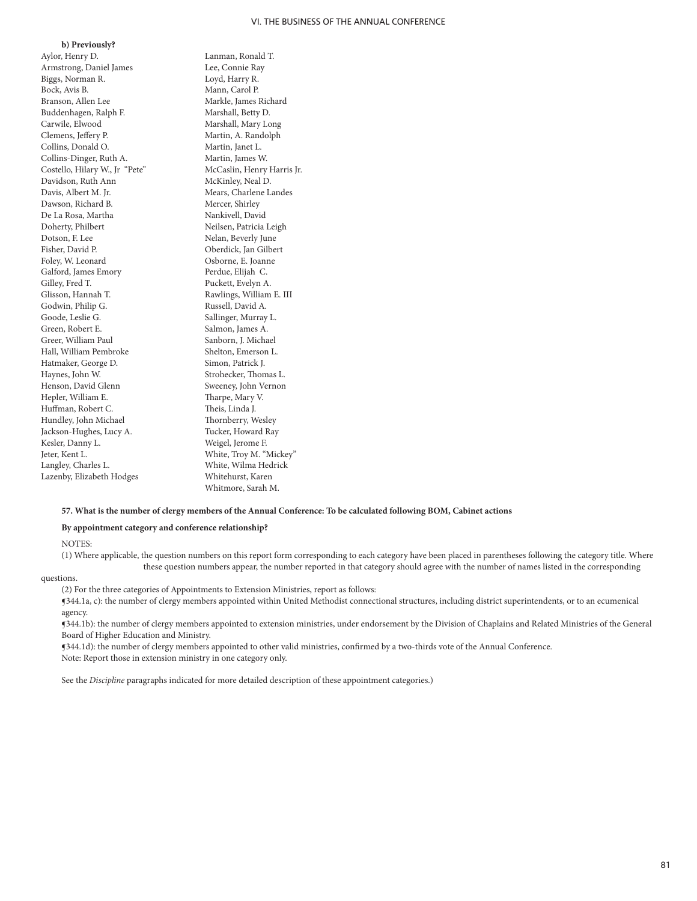**b) Previously?** Aylor, Henry D. Lanman, Ronald T. Armstrong, Daniel James Lee, Connie Ray Biggs, Norman R. Loyd, Harry R. Bock, Avis B. Mann, Carol P. Branson, Allen Lee Markle, James Richard<br>Buddenhagen, Ralph F. Marshall, Betty D. Buddenhagen, Ralph F.<br>Carwile, Elwood Clemens, Jeffery P. Martin, A. Randolph Collins, Donald O. Martin, Janet L. Collins-Dinger, Ruth A. Martin, James W. Costello, Hilary W., Jr "Pete" McCaslin, Henry Harris Jr. Davidson, Ruth Ann Davis, Albert M. Jr. Mears, Charlene Landes Dawson, Richard B. Mercer, Shirley De La Rosa, Martha Nankivell, David Dotson, F. Lee Nelan, Beverly June<br>Fisher, David P. (2008) Dependick, Jan Gilber Foley, W. Leonard Osborne, E. Joanne Galford, James Emory Perdue, Elijah C. Gilley, Fred T. Puckett, Evelyn A Gilley, Fred T. (2008) Puckett, Evelyn A. Glisson, Hannah T. (2008) Puckett, Evelyn A. Godwin, Philip G. Russell, David A. Goode, Leslie G. Sallinger, Murray L. Greer, William Paul Sanborn, J. Michael Hall, William Pembroke Shelton, Emerson L. Hatmaker, George D. Simon, Patrick J. Haynes, John W. Strohecker, Thomas L. Henson. David Glenn Sweeney, John Vernon Hepler, William E. Tharpe, Mary V. Huffman, Robert C. Theis, Linda J. Hundley, John Michael Thornberry, Wesley Jackson-Hughes, Lucy A. Tucker, Howard Ray Kesler, Danny L. Weigel, Jerome F. Jeter, Kent L. White, Troy M. "Mickey" Langley, Charles L. White, Wilma Hedrick Lazenby, Elizabeth Hodges Whitehurst, Karen

Marshall, Mary Long Neilsen, Patricia Leigh Oberdick, Jan Gilbert Rawlings, William E. III Salmon, James A. Sweeney, John Vernon Whitmore, Sarah M.

#### **57. What is the number of clergy members of the Annual Conference: To be calculated following BOM, Cabinet actions**

#### **By appointment category and conference relationship?**

NOTES:

(1) Where applicable, the question numbers on this report form corresponding to each category have been placed in parentheses following the category title. Where these question numbers appear, the number reported in that category should agree with the number of names listed in the corresponding

questions.

(2) For the three categories of Appointments to Extension Ministries, report as follows:

¶344.1a, c): the number of clergy members appointed within United Methodist connectional structures, including district superintendents, or to an ecumenical agency.

¶344.1b): the number of clergy members appointed to extension ministries, under endorsement by the Division of Chaplains and Related Ministries of the General Board of Higher Education and Ministry.

¶344.1d): the number of clergy members appointed to other valid ministries, confirmed by a two-thirds vote of the Annual Conference. Note: Report those in extension ministry in one category only.

See the *Discipline* paragraphs indicated for more detailed description of these appointment categories.)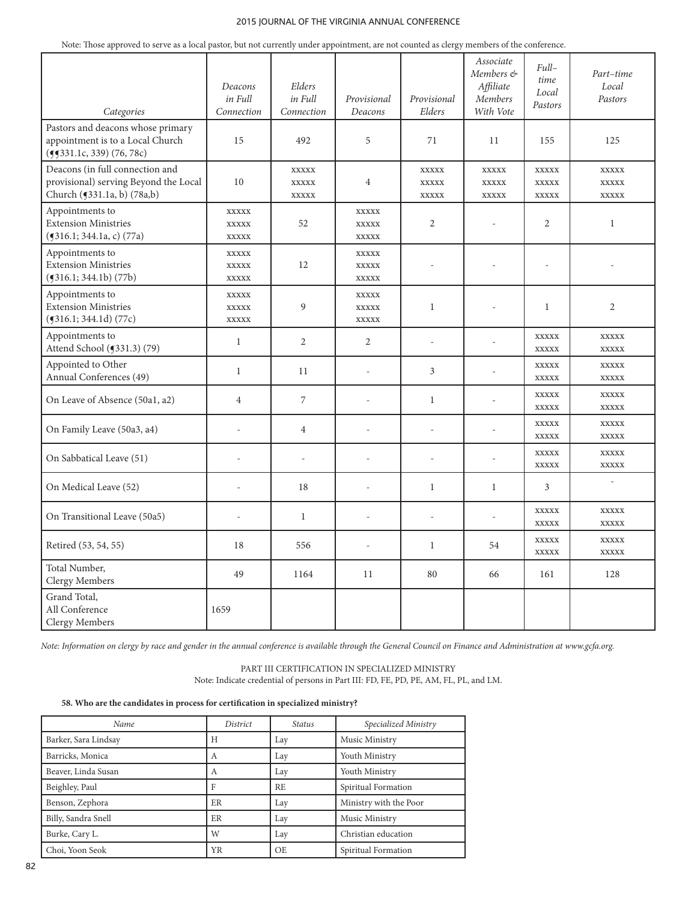Note: Those approved to serve as a local pastor, but not currently under appointment, are not counted as clergy members of the conference.

| Categories                                                                                              | Deacons<br>in Full<br>Connection             | Elders<br>in Full<br>Connection              | Provisional<br>Deacons                       | Provisional<br>Elders                        | Associate<br>Members &<br>Affiliate<br>Members<br>With Vote | Full-<br>time<br>Local<br>Pastors            | Part-time<br>Local<br>Pastors                |
|---------------------------------------------------------------------------------------------------------|----------------------------------------------|----------------------------------------------|----------------------------------------------|----------------------------------------------|-------------------------------------------------------------|----------------------------------------------|----------------------------------------------|
| Pastors and deacons whose primary<br>appointment is to a Local Church<br>(55331.1c, 339) (76, 78c)      | 15                                           | 492                                          | 5                                            | 71                                           | 11                                                          | 155                                          | 125                                          |
| Deacons (in full connection and<br>provisional) serving Beyond the Local<br>Church (5331.1a, b) (78a,b) | 10                                           | <b>XXXXX</b><br><b>XXXXX</b><br><b>XXXXX</b> | $\overline{4}$                               | <b>XXXXX</b><br><b>XXXXX</b><br><b>XXXXX</b> | <b>XXXXX</b><br><b>XXXXX</b><br><b>XXXXX</b>                | <b>XXXXX</b><br><b>XXXXX</b><br><b>XXXXX</b> | <b>XXXXX</b><br><b>XXXXX</b><br><b>XXXXX</b> |
| Appointments to<br><b>Extension Ministries</b><br>$($ 516.1; 344.1a, c $)$ (77a)                        | <b>XXXXX</b><br><b>XXXXX</b><br><b>XXXXX</b> | 52                                           | <b>XXXXX</b><br><b>XXXXX</b><br><b>XXXXX</b> | $\overline{2}$                               |                                                             | $\overline{2}$                               | $\mathbf{1}$                                 |
| Appointments to<br><b>Extension Ministries</b><br>(9316.1; 344.1b) (77b)                                | <b>XXXXX</b><br><b>XXXXX</b><br><b>XXXXX</b> | 12                                           | <b>XXXXX</b><br><b>XXXXX</b><br><b>XXXXX</b> | $\overline{a}$                               | $\sim$                                                      | $\overline{\phantom{a}}$                     |                                              |
| Appointments to<br><b>Extension Ministries</b><br>$($ 516.1; 344.1d) (77c)                              | <b>XXXXX</b><br><b>XXXXX</b><br><b>XXXXX</b> | $\mathfrak{g}$                               | <b>XXXXX</b><br><b>XXXXX</b><br><b>XXXXX</b> | $\mathbf{1}$                                 |                                                             | 1                                            | 2                                            |
| Appointments to<br>Attend School (5331.3) (79)                                                          | $\mathbf{1}$                                 | $\overline{2}$                               | 2                                            | $\overline{\phantom{a}}$                     | $\overline{a}$                                              | <b>XXXXX</b><br><b>XXXXX</b>                 | <b>XXXXX</b><br><b>XXXXX</b>                 |
| Appointed to Other<br>Annual Conferences (49)                                                           | $\mathbf{1}$                                 | 11                                           | $\overline{a}$                               | 3                                            | $\overline{a}$                                              | <b>XXXXX</b><br><b>XXXXX</b>                 | <b>XXXXX</b><br><b>XXXXX</b>                 |
| On Leave of Absence (50a1, a2)                                                                          | $\overline{4}$                               | 7                                            | ÷,                                           | $\mathbf{1}$                                 | $\overline{a}$                                              | <b>XXXXX</b><br><b>XXXXX</b>                 | <b>XXXXX</b><br><b>XXXXX</b>                 |
| On Family Leave (50a3, a4)                                                                              |                                              | $\overline{4}$                               |                                              | $\sim$                                       |                                                             | <b>XXXXX</b><br><b>XXXXX</b>                 | <b>XXXXX</b><br><b>XXXXX</b>                 |
| On Sabbatical Leave (51)                                                                                | $\overline{\phantom{a}}$                     | ÷,                                           | $\overline{\phantom{a}}$                     | $\overline{a}$                               | $\overline{\phantom{a}}$                                    | <b>XXXXX</b><br><b>XXXXX</b>                 | <b>XXXXX</b><br><b>XXXXX</b>                 |
| On Medical Leave (52)                                                                                   |                                              | 18                                           |                                              | $\mathbf{1}$                                 | $\mathbf{1}$                                                | 3                                            | $\overline{a}$                               |
| On Transitional Leave (50a5)                                                                            | $\overline{\phantom{a}}$                     | $\mathbf{1}$                                 | ÷,                                           | $\overline{a}$                               | $\overline{\phantom{a}}$                                    | <b>XXXXX</b><br><b>XXXXX</b>                 | <b>XXXXX</b><br><b>XXXXX</b>                 |
| Retired (53, 54, 55)                                                                                    | 18                                           | 556                                          | $\bar{ }$                                    | $\mathbf{1}$                                 | 54                                                          | <b>XXXXX</b><br><b>XXXXX</b>                 | <b>XXXXX</b><br><b>XXXXX</b>                 |
| Total Number,<br>Clergy Members                                                                         | 49                                           | 1164                                         | 11                                           | 80                                           | 66                                                          | 161                                          | 128                                          |
| Grand Total,<br>All Conference<br>Clergy Members                                                        | 1659                                         |                                              |                                              |                                              |                                                             |                                              |                                              |

*Note: Information on clergy by race and gender in the annual conference is available through the General Council on Finance and Administration at www.gcfa.org.* 

PART III CERTIFICATION IN SPECIALIZED MINISTRY Note: Indicate credential of persons in Part III: FD, FE, PD, PE, AM, FL, PL, and LM.

# **58. Who are the candidates in process for certification in specialized ministry?**

| Name                 | District  | <i>Status</i> | Specialized Ministry   |
|----------------------|-----------|---------------|------------------------|
| Barker, Sara Lindsay | H         | Lay           | Music Ministry         |
| Barricks, Monica     | А         | Lay           | Youth Ministry         |
| Beaver, Linda Susan  | A         | Lay           | Youth Ministry         |
| Beighley, Paul       | F         | RE            | Spiritual Formation    |
| Benson, Zephora      | ER        | Lay           | Ministry with the Poor |
| Billy, Sandra Snell  | ER        | Lay           | Music Ministry         |
| Burke, Cary L.       | W         | Lay           | Christian education    |
| Choi, Yoon Seok      | <b>YR</b> | OE.           | Spiritual Formation    |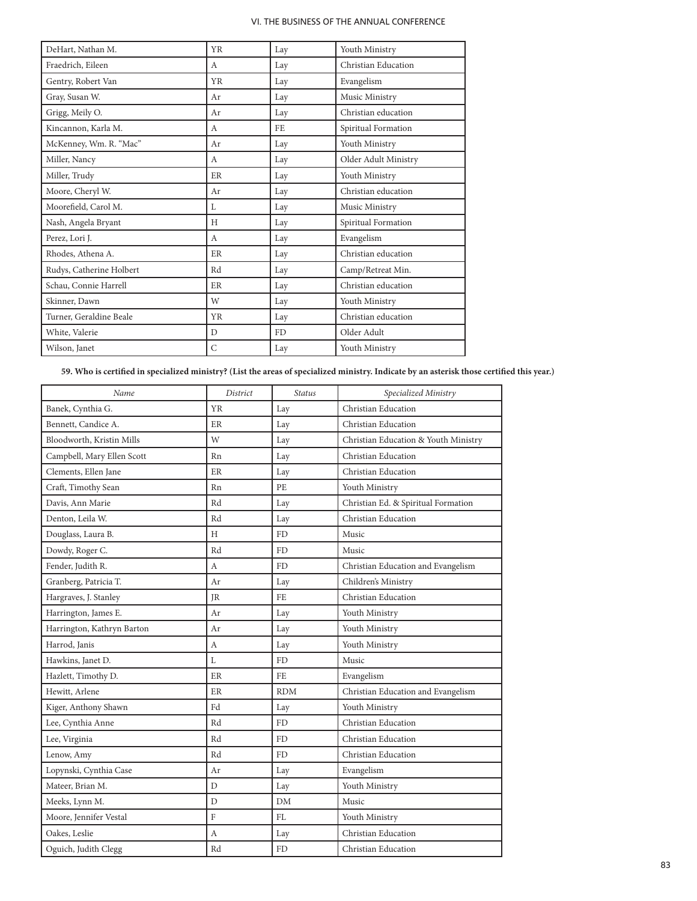| DeHart, Nathan M.        | <b>YR</b>    | Lay       | Youth Ministry       |
|--------------------------|--------------|-----------|----------------------|
| Fraedrich, Eileen        | A            | Lay       | Christian Education  |
| Gentry, Robert Van       | YR           | Lay       | Evangelism           |
| Gray, Susan W.           | Ar           | Lay       | Music Ministry       |
| Grigg, Meily O.          | Ar           | Lay       | Christian education  |
| Kincannon, Karla M.      | А            | FE.       | Spiritual Formation  |
| McKenney, Wm. R. "Mac"   | Ar           | Lay       | Youth Ministry       |
| Miller, Nancy            | A            | Lay       | Older Adult Ministry |
| Miller, Trudy            | ER           | Lay       | Youth Ministry       |
| Moore, Cheryl W.         | Ar           | Lay       | Christian education  |
| Moorefield, Carol M.     | L            | Lay       | Music Ministry       |
| Nash, Angela Bryant      | H            | Lay       | Spiritual Formation  |
| Perez, Lori J.           | A            | Lay       | Evangelism           |
| Rhodes, Athena A.        | ER           | Lay       | Christian education  |
| Rudys, Catherine Holbert | Rd           | Lay       | Camp/Retreat Min.    |
| Schau, Connie Harrell    | ER           | Lay       | Christian education  |
| Skinner, Dawn            | W            | Lay       | Youth Ministry       |
| Turner, Geraldine Beale  | <b>YR</b>    | Lay       | Christian education  |
| White, Valerie           | $\mathbf{D}$ | <b>FD</b> | Older Adult          |
| Wilson, Janet            | $\mathsf{C}$ | Lay       | Youth Ministry       |

**59. Who is certified in specialized ministry? (List the areas of specialized ministry. Indicate by an asterisk those certified this year.)**

| Name                       | District  | <b>Status</b> | Specialized Ministry                 |
|----------------------------|-----------|---------------|--------------------------------------|
| Banek, Cynthia G.          | <b>YR</b> | Lay           | Christian Education                  |
| Bennett, Candice A.        | ER        | Lay           | Christian Education                  |
| Bloodworth, Kristin Mills  | W         | Lay           | Christian Education & Youth Ministry |
| Campbell, Mary Ellen Scott | Rn        | Lay           | Christian Education                  |
| Clements, Ellen Jane       | ER        | Lay           | Christian Education                  |
| Craft, Timothy Sean        | Rn        | <b>PE</b>     | Youth Ministry                       |
| Davis, Ann Marie           | Rd        | Lay           | Christian Ed. & Spiritual Formation  |
| Denton, Leila W.           | Rd        | Lay           | Christian Education                  |
| Douglass, Laura B.         | H         | <b>FD</b>     | Music                                |
| Dowdy, Roger C.            | Rd        | <b>FD</b>     | Music                                |
| Fender, Judith R.          | A         | FD.           | Christian Education and Evangelism   |
| Granberg, Patricia T.      | Ar        | Lay           | Children's Ministry                  |
| Hargraves, J. Stanley      | JR        | FE            | Christian Education                  |
| Harrington, James E.       | Ar        | Lay           | Youth Ministry                       |
| Harrington, Kathryn Barton | Ar        | Lay           | Youth Ministry                       |
| Harrod, Janis              | А         | Lay           | Youth Ministry                       |
| Hawkins, Janet D.          | L         | FD            | Music                                |
| Hazlett, Timothy D.        | ER        | FE            | Evangelism                           |
| Hewitt, Arlene             | ER        | <b>RDM</b>    | Christian Education and Evangelism   |
| Kiger, Anthony Shawn       | Fd        | Lay           | Youth Ministry                       |
| Lee, Cynthia Anne          | Rd        | <b>FD</b>     | Christian Education                  |
| Lee, Virginia              | Rd        | <b>FD</b>     | Christian Education                  |
| Lenow, Amy                 | Rd        | <b>FD</b>     | Christian Education                  |
| Lopynski, Cynthia Case     | Ar        | Lay           | Evangelism                           |
| Mateer, Brian M.           | D         | Lay           | Youth Ministry                       |
| Meeks, Lynn M.             | D         | DM            | Music                                |
| Moore, Jennifer Vestal     | F         | FL            | Youth Ministry                       |
| Oakes, Leslie              | A         | Lay           | Christian Education                  |
| Oguich, Judith Clegg       | Rd        | FD            | Christian Education                  |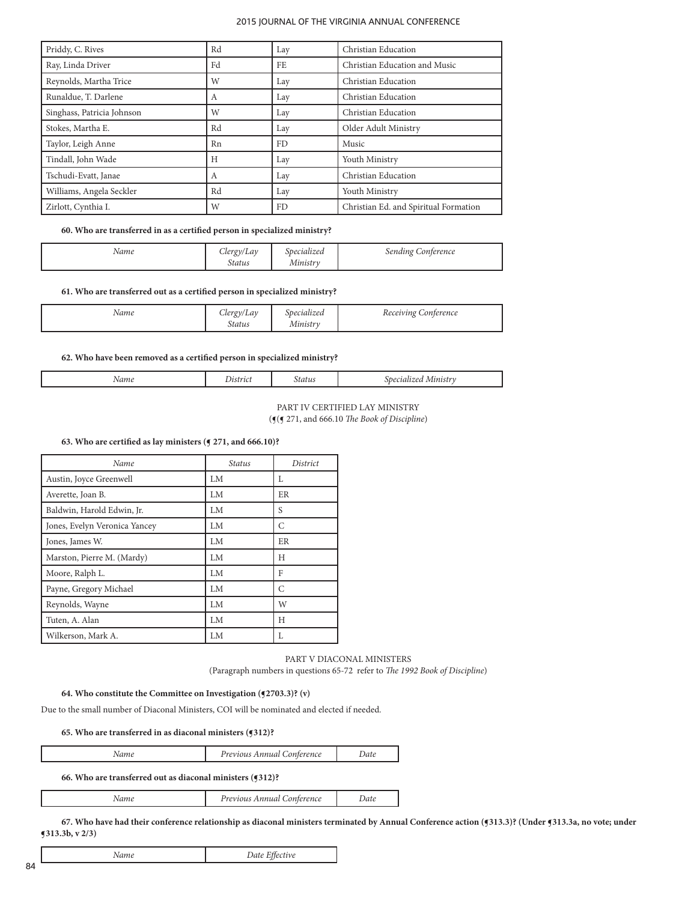| Priddy, C. Rives           | Rd | Lay | Christian Education                   |
|----------------------------|----|-----|---------------------------------------|
| Ray, Linda Driver          | Fd | FE. | Christian Education and Music         |
| Reynolds, Martha Trice     | W  | Lay | Christian Education                   |
| Runaldue, T. Darlene       | А  | Lay | Christian Education                   |
| Singhass, Patricia Johnson | W  | Lay | Christian Education                   |
| Stokes, Martha E.          | Rd | Lay | Older Adult Ministry                  |
| Taylor, Leigh Anne         | Rn | FD. | Music                                 |
| Tindall, John Wade         | H  | Lay | Youth Ministry                        |
| Tschudi-Evatt, Janae       | A  | Lay | Christian Education                   |
| Williams, Angela Seckler   | Rd | Lay | Youth Ministry                        |
| Zirlott, Cynthia I.        | W  | FD. | Christian Ed. and Spiritual Formation |

## **60. Who are transferred in as a certified person in specialized ministry?**

| Name | $L$ ergy/Lav  | Specialized | sending <b>'</b>        |
|------|---------------|-------------|-------------------------|
|      | <b>Status</b> | Ministry    | <sup>r</sup> Conference |

### **61. Who are transferred out as a certified person in specialized ministry?**

| Name | $C$ lergy<br>v/Lav<br>Status | specialized<br>Ministry | Receiving<br><i>Conference</i> |
|------|------------------------------|-------------------------|--------------------------------|
|------|------------------------------|-------------------------|--------------------------------|

# **62. Who have been removed as a certified person in specialized ministry?**

| . |
|---|
|---|

| PART IV CERTIFIED LAY MINISTRY                        |
|-------------------------------------------------------|
| ( $\P$ ( $\P$ 271, and 666.10 The Book of Discipline) |

#### **63. Who are certified as lay ministers (¶ 271, and 666.10)?**

| Name                          | <b>Status</b> | District |
|-------------------------------|---------------|----------|
| Austin, Joyce Greenwell       | LM            | L        |
| Averette, Joan B.             | LM            | ER       |
| Baldwin, Harold Edwin, Jr.    | LM            | S        |
| Jones, Evelyn Veronica Yancey | LM            | C        |
| Jones, James W.               | LM            | ER       |
| Marston, Pierre M. (Mardy)    | LM.           | Н        |
| Moore, Ralph L.               | LM            | F        |
| Payne, Gregory Michael        | LM.           | C        |
| Reynolds, Wayne               | LM.           | W        |
| Tuten, A. Alan                | LM            | Н        |
| Wilkerson, Mark A.            | LM            | L        |

PART V DIACONAL MINISTERS (Paragraph numbers in questions 65-72 refer to *The 1992 Book of Discipline*)

## **64. Who constitute the Committee on Investigation (¶2703.3)? (v)**

Due to the small number of Diaconal Ministers, COI will be nominated and elected if needed.

## **65. Who are transferred in as diaconal ministers (¶312)?**

|  | Name | Previous Annual Conference | Date |
|--|------|----------------------------|------|
|--|------|----------------------------|------|

## **66. Who are transferred out as diaconal ministers (¶312)?**

*Name Previous Annual Conference Date*

67. Who have had their conference relationship as diaconal ministers terminated by Annual Conference action (§313.3)? (Under §313.3a, no vote; under **¶313.3b, v 2/3)**

| Name | Date Effective |
|------|----------------|
|------|----------------|

84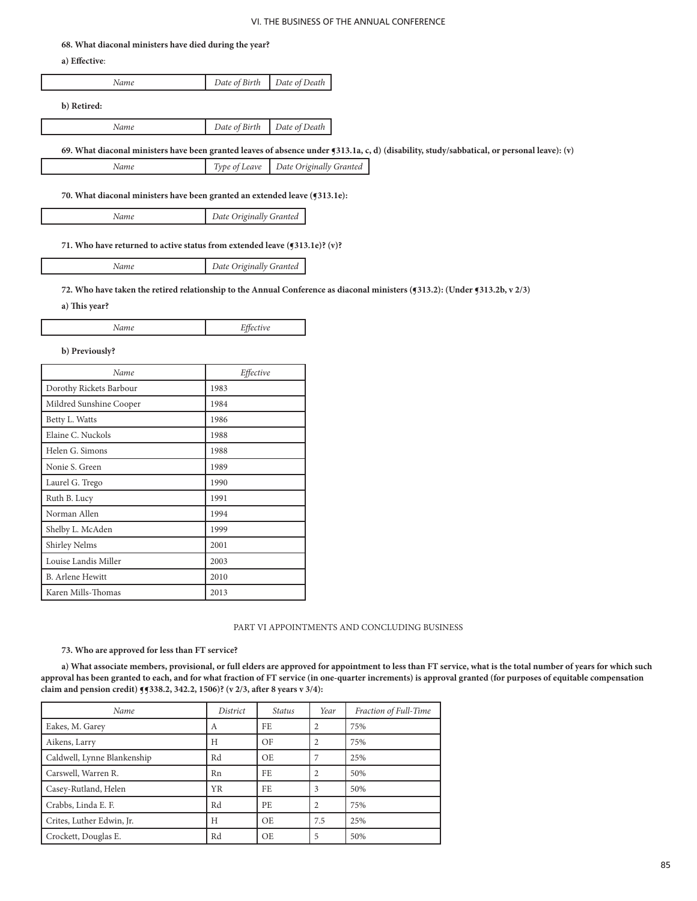#### **68. What diaconal ministers have died during the year?**

**a) Effective**:

| Name        | Date of Birth $\vert$ Date of Death $\vert$ |
|-------------|---------------------------------------------|
| b) Retired: |                                             |

*Name Date of Birth Date of Death*

**69. What diaconal ministers have been granted leaves of absence under ¶313.1a, c, d) (disability, study/sabbatical, or personal leave): (v)**

| Name |  | Type of Leave   Date Originally Granted |
|------|--|-----------------------------------------|
|------|--|-----------------------------------------|

**70. What diaconal ministers have been granted an extended leave (¶313.1e):**

*Name Date Originally Granted*

**71. Who have returned to active status from extended leave (¶313.1e)? (v)?**

*Name Date Originally Granted*

# **72. Who have taken the retired relationship to the Annual Conference as diaconal ministers (¶313.2): (Under ¶313.2b, v 2/3)**

**a) This year?**

| Name<br>. | $\Gamma$ <sup><math>\alpha</math></sup><br>Effective<br>-<br>$\sim$<br> |
|-----------|-------------------------------------------------------------------------|
|-----------|-------------------------------------------------------------------------|

#### **b) Previously?**

| Name                    | Effective |
|-------------------------|-----------|
| Dorothy Rickets Barbour | 1983      |
| Mildred Sunshine Cooper | 1984      |
| Betty L. Watts          | 1986      |
| Elaine C. Nuckols       | 1988      |
| Helen G. Simons         | 1988      |
| Nonie S. Green          | 1989      |
| Laurel G. Trego         | 1990      |
| Ruth B. Lucy            | 1991      |
| Norman Allen            | 1994      |
| Shelby L. McAden        | 1999      |
| <b>Shirley Nelms</b>    | 2001      |
| Louise Landis Miller    | 2003      |
| <b>B.</b> Arlene Hewitt | 2010      |
| Karen Mills-Thomas      | 2013      |

#### PART VI APPOINTMENTS AND CONCLUDING BUSINESS

# **73. Who are approved for less than FT service?**

**a) What associate members, provisional, or full elders are approved for appointment to less than FT service, what is the total number of years for which such approval has been granted to each, and for what fraction of FT service (in one-quarter increments) is approval granted (for purposes of equitable compensation claim and pension credit) ¶¶338.2, 342.2, 1506)? (v 2/3, after 8 years v 3/4):**

| Name                        | District  | <i>Status</i> | Year | Fraction of Full-Time |
|-----------------------------|-----------|---------------|------|-----------------------|
| Eakes, M. Garey             | А         | FE.           | 2    | 75%                   |
| Aikens, Larry               | H         | OF            |      | 75%                   |
| Caldwell, Lynne Blankenship | Rd        | OE.           |      | 25%                   |
| Carswell, Warren R.         | Rn        | FE.           |      | 50%                   |
| Casey-Rutland, Helen        | <b>YR</b> | FE.           | 3    | 50%                   |
| Crabbs, Linda E. F.         | Rd        | PE.           | 2    | 75%                   |
| Crites, Luther Edwin, Jr.   | H         | OE.           | 7.5  | 25%                   |
| Crockett, Douglas E.        | Rd        | OE            | 5    | 50%                   |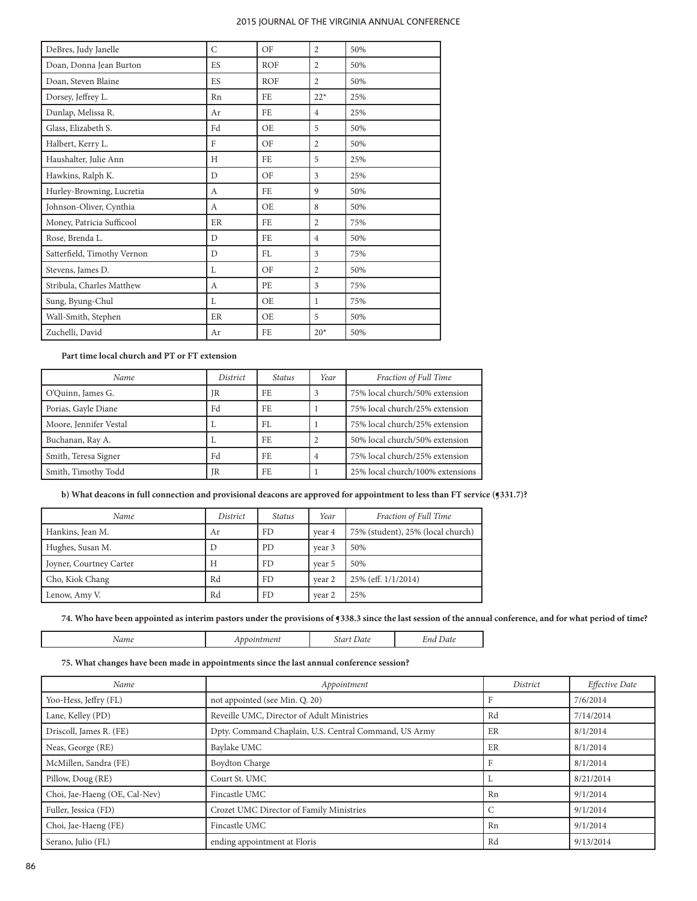| DeBres, Judy Janelle        | $\mathsf{C}$ | OF         | $\overline{2}$ | 50% |
|-----------------------------|--------------|------------|----------------|-----|
| Doan, Donna Jean Burton     | <b>ES</b>    | <b>ROF</b> | $\overline{2}$ | 50% |
| Doan, Steven Blaine         | ES           | <b>ROF</b> | $\overline{2}$ | 50% |
| Dorsey, Jeffrey L.          | Rn           | <b>FE</b>  | $22*$          | 25% |
| Dunlap, Melissa R.          | Ar           | FE         | $\overline{4}$ | 25% |
| Glass, Elizabeth S.         | Fd           | <b>OE</b>  | 5              | 50% |
| Halbert, Kerry L.           | F            | OF         | $\overline{2}$ | 50% |
| Haushalter, Julie Ann       | H            | FE         | 5              | 25% |
| Hawkins, Ralph K.           | D            | OF         | 3              | 25% |
| Hurley-Browning, Lucretia   | А            | FE         | 9              | 50% |
| Johnson-Oliver, Cynthia     | A            | OE.        | 8              | 50% |
| Money, Patricia Sufficool   | ER           | FE.        | $\overline{c}$ | 75% |
| Rose, Brenda L.             | D            | FE         | $\overline{4}$ | 50% |
| Satterfield, Timothy Vernon | D            | FL.        | 3              | 75% |
| Stevens, James D.           | L            | OF         | $\overline{2}$ | 50% |
| Stribula, Charles Matthew   | А            | PE         | 3              | 75% |
| Sung, Byung-Chul            | L            | OE         | 1              | 75% |
| Wall-Smith, Stephen         | ER           | OE         | 5              | 50% |
| Zuchelli, David             | Ar           | FE.        | $20*$          | 50% |

# **Part time local church and PT or FT extension**

| Name                   | District | Status | Year | Fraction of Full Time            |
|------------------------|----------|--------|------|----------------------------------|
| O'Quinn, James G.      | IR       | FF.    |      | 75% local church/50% extension   |
| Porias, Gayle Diane    | Fd       | FE.    |      | 75% local church/25% extension   |
| Moore, Jennifer Vestal |          | FL.    |      | 75% local church/25% extension   |
| Buchanan, Ray A.       |          | FE.    |      | 50% local church/50% extension   |
| Smith, Teresa Signer   | Fd       | FE.    | 4    | 75% local church/25% extension   |
| Smith, Timothy Todd    | IR       | FE.    |      | 25% local church/100% extensions |

**b) What deacons in full connection and provisional deacons are approved for appointment to less than FT service (§331.7)?** 

| Name                    | District | <i>Status</i> | Year   | Fraction of Full Time             |
|-------------------------|----------|---------------|--------|-----------------------------------|
| Hankins, Jean M.        | Ar       | FD            | vear 4 | 75% (student), 25% (local church) |
| Hughes, Susan M.        | $\Box$   | <b>PD</b>     | vear 3 | 50%                               |
| Joyner, Courtney Carter | H        | <b>FD</b>     | vear 5 | 50%                               |
| Cho, Kiok Chang         | Rd       | <b>FD</b>     | vear 2 | 25% (eff. 1/1/2014)               |
| Lenow, Amy V.           | Rd       | FD            | vear 2 | 25%                               |

**74. Who have been appointed as interim pastors under the provisions of ¶338.3 since the last session of the annual conference, and for what period of time?**

*Name Appointment Start Date End Date*

**75. What changes have been made in appointments since the last annual conference session?** 

| Name                          | Appointment                                           | <i>District</i>  | Effective Date |
|-------------------------------|-------------------------------------------------------|------------------|----------------|
| Yoo-Hess, Jeffry (FL)         | not appointed (see Min. Q. 20)                        |                  | 7/6/2014       |
| Lane, Kelley (PD)             | Reveille UMC, Director of Adult Ministries            | Rd               | 7/14/2014      |
| Driscoll, James R. (FE)       | Dpty. Command Chaplain, U.S. Central Command, US Army | ER               | 8/1/2014       |
| Neas, George (RE)             | Baylake UMC                                           | ER               | 8/1/2014       |
| McMillen, Sandra (FE)         | <b>Boydton Charge</b>                                 |                  | 8/1/2014       |
| Pillow, Doug (RE)             | Court St. UMC                                         |                  | 8/21/2014      |
| Choi, Jae-Haeng (OE, Cal-Nev) | Fincastle UMC                                         | Rn               | 9/1/2014       |
| Fuller, Jessica (FD)          | Crozet UMC Director of Family Ministries              | $\sqrt{2}$<br>ι. | 9/1/2014       |
| Choi, Jae-Haeng (FE)          | Fincastle UMC                                         | Rn               | 9/1/2014       |
| Serano, Julio (FL)            | ending appointment at Floris                          | Rd               | 9/13/2014      |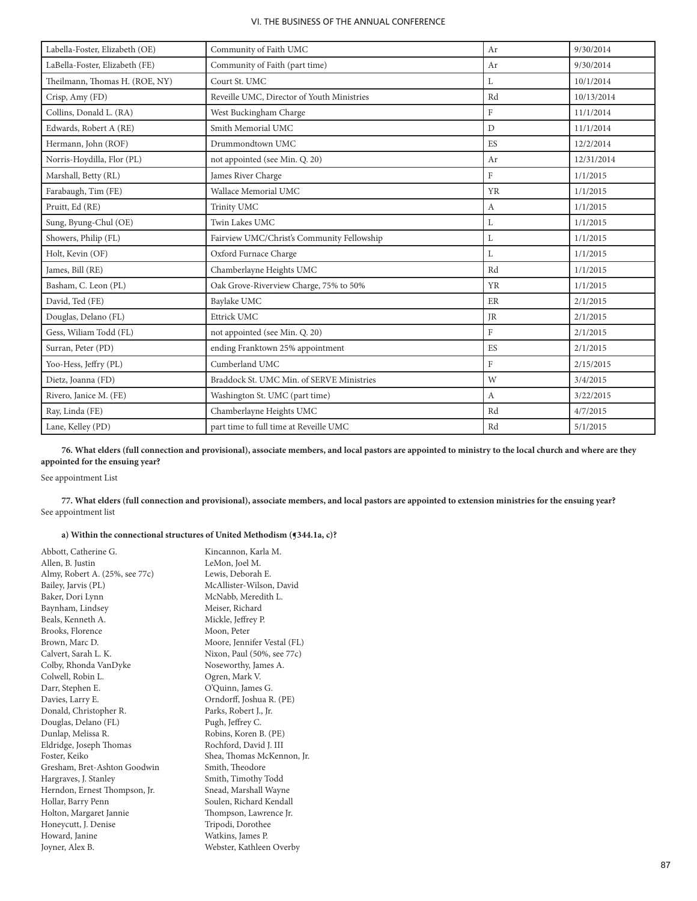| Labella-Foster, Elizabeth (OE) | Community of Faith UMC                     | Ar             | 9/30/2014  |
|--------------------------------|--------------------------------------------|----------------|------------|
| LaBella-Foster, Elizabeth (FE) | Community of Faith (part time)             | Ar             | 9/30/2014  |
| Theilmann, Thomas H. (ROE, NY) | Court St. UMC                              | L              | 10/1/2014  |
| Crisp, Amy (FD)                | Reveille UMC, Director of Youth Ministries | Rd             | 10/13/2014 |
| Collins, Donald L. (RA)        | West Buckingham Charge                     | $\mathbf{F}$   | 11/1/2014  |
| Edwards, Robert A (RE)         | Smith Memorial UMC                         | $\overline{D}$ | 11/1/2014  |
| Hermann, John (ROF)            | Drummondtown UMC                           | ES             | 12/2/2014  |
| Norris-Hoydilla, Flor (PL)     | not appointed (see Min. Q. 20)             | Ar             | 12/31/2014 |
| Marshall, Betty (RL)           | James River Charge                         | $\mathbf{F}$   | 1/1/2015   |
| Farabaugh, Tim (FE)            | Wallace Memorial UMC                       | <b>YR</b>      | 1/1/2015   |
| Pruitt, Ed (RE)                | Trinity UMC                                | $\mathbf{A}$   | 1/1/2015   |
| Sung, Byung-Chul (OE)          | Twin Lakes UMC                             | L              | 1/1/2015   |
| Showers, Philip (FL)           | Fairview UMC/Christ's Community Fellowship | L              | 1/1/2015   |
| Holt, Kevin (OF)               | Oxford Furnace Charge                      | L              | 1/1/2015   |
| James, Bill (RE)               | Chamberlayne Heights UMC                   | Rd             | 1/1/2015   |
| Basham, C. Leon (PL)           | Oak Grove-Riverview Charge, 75% to 50%     | <b>YR</b>      | 1/1/2015   |
| David, Ted (FE)                | Baylake UMC                                | ER             | 2/1/2015   |
| Douglas, Delano (FL)           | Ettrick UMC                                | <b>JR</b>      | 2/1/2015   |
| Gess, Wiliam Todd (FL)         | not appointed (see Min. Q. 20)             | F              | 2/1/2015   |
| Surran, Peter (PD)             | ending Franktown 25% appointment           | ES             | 2/1/2015   |
| Yoo-Hess, Jeffry (PL)          | Cumberland UMC                             | $\mathbf{F}$   | 2/15/2015  |
| Dietz, Joanna (FD)             | Braddock St. UMC Min. of SERVE Ministries  | W              | 3/4/2015   |
| Rivero, Janice M. (FE)         | Washington St. UMC (part time)             | A              | 3/22/2015  |
| Ray, Linda (FE)                | Chamberlayne Heights UMC                   | Rd             | 4/7/2015   |
| Lane, Kelley (PD)              | part time to full time at Reveille UMC     | Rd             | 5/1/2015   |

**76. What elders (full connection and provisional), associate members, and local pastors are appointed to ministry to the local church and where are they appointed for the ensuing year?**

# See appointment List

**77. What elders (full connection and provisional), associate members, and local pastors are appointed to extension ministries for the ensuing year?** See appointment list

# **a) Within the connectional structures of United Methodism (¶344.1a, c)?**

| Abbott, Catherine G.           | Kincannon, Karla M.<br>LeMon, Joel M. |
|--------------------------------|---------------------------------------|
| Allen, B. Justin               |                                       |
| Almy, Robert A. (25%, see 77c) | Lewis, Deborah E.                     |
| Bailey, Jarvis (PL)            | McAllister-Wilson, David              |
| Baker, Dori Lynn               | McNabb, Meredith L.                   |
| Baynham, Lindsey               | Meiser, Richard                       |
| Beals, Kenneth A.              | Mickle, Jeffrey P.                    |
| Brooks, Florence               | Moon, Peter                           |
| Brown, Marc D.                 | Moore, Jennifer Vestal (FL)           |
| Calvert, Sarah L. K.           | Nixon, Paul (50%, see 77c)            |
| Colby, Rhonda VanDyke          | Noseworthy, James A.                  |
| Colwell, Robin L.              | Ogren, Mark V.                        |
| Darr, Stephen E.               | O'Quinn, James G.                     |
| Davies, Larry E.               | Orndorff, Joshua R. (PE)              |
| Donald, Christopher R.         | Parks, Robert J., Jr.                 |
| Douglas, Delano (FL)           | Pugh, Jeffrey C.                      |
| Dunlap, Melissa R.             | Robins, Koren B. (PE)                 |
| Eldridge, Joseph Thomas        | Rochford, David J. III                |
| Foster, Keiko                  | Shea, Thomas McKennon, Jr.            |
| Gresham, Bret-Ashton Goodwin   | Smith, Theodore                       |
| Hargraves, J. Stanley          | Smith, Timothy Todd                   |
| Herndon, Ernest Thompson, Jr.  | Snead, Marshall Wayne                 |
| Hollar, Barry Penn             | Soulen, Richard Kendall               |
| Holton, Margaret Jannie        | Thompson, Lawrence Jr.                |
| Honeycutt, J. Denise           | Tripodi, Dorothee                     |
| Howard, Janine                 | Watkins, James P.                     |
| Joyner, Alex B.                | Webster, Kathleen Overby              |
|                                |                                       |